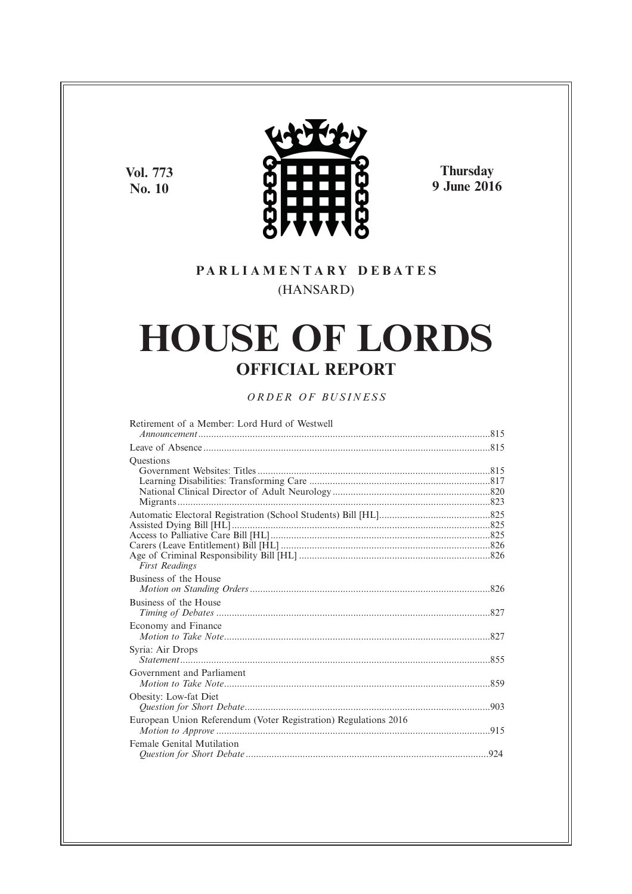**Vol. 773 No. 10**



**Thursday 9 June 2016**

# **P A R L I A M E N T A R Y D E B A T E S** (HANSARD)

# **HOUSE OF LORDS OFFICIAL REPORT**

# *O R D E R O F BU S I N E S S*

| Retirement of a Member: Lord Hurd of Westwell                   |  |
|-----------------------------------------------------------------|--|
|                                                                 |  |
|                                                                 |  |
| <b>Ouestions</b>                                                |  |
|                                                                 |  |
|                                                                 |  |
|                                                                 |  |
|                                                                 |  |
|                                                                 |  |
|                                                                 |  |
|                                                                 |  |
|                                                                 |  |
|                                                                 |  |
| <b>First Readings</b>                                           |  |
| Business of the House                                           |  |
|                                                                 |  |
| Business of the House                                           |  |
|                                                                 |  |
| Economy and Finance                                             |  |
|                                                                 |  |
| Syria: Air Drops                                                |  |
|                                                                 |  |
| Government and Parliament                                       |  |
|                                                                 |  |
| Obesity: Low-fat Diet                                           |  |
|                                                                 |  |
|                                                                 |  |
| European Union Referendum (Voter Registration) Regulations 2016 |  |
|                                                                 |  |
| Female Genital Mutilation                                       |  |
|                                                                 |  |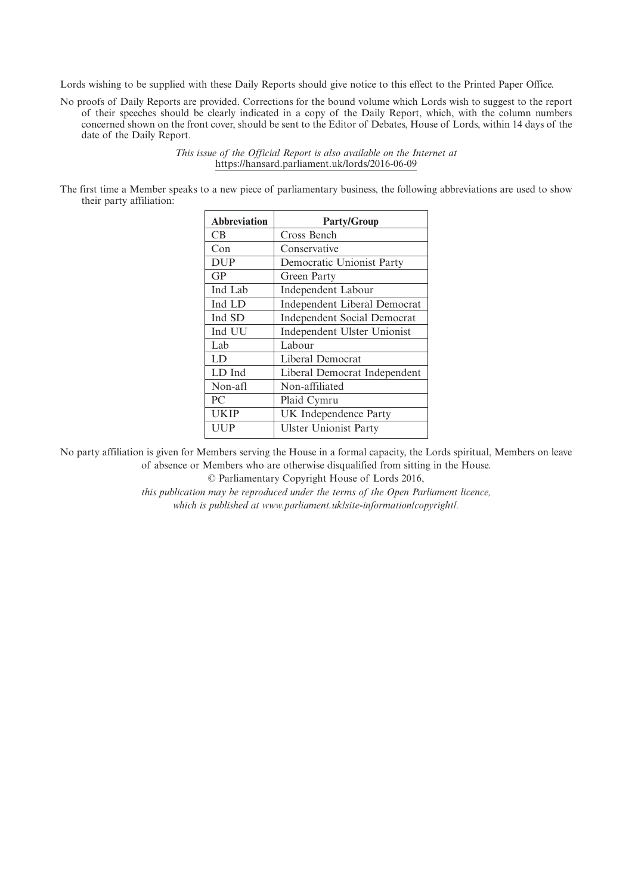Lords wishing to be supplied with these Daily Reports should give notice to this effect to the Printed Paper Office.

No proofs of Daily Reports are provided. Corrections for the bound volume which Lords wish to suggest to the report of their speeches should be clearly indicated in a copy of the Daily Report, which, with the column numbers concerned shown on the front cover, should be sent to the Editor of Debates, House of Lords, within 14 days of the date of the Daily Report.

> *This issue of the Official Report is also available on the Internet at* https://hansard.parliament.uk/lords/2016-06-09

The first time a Member speaks to a new piece of parliamentary business, the following abbreviations are used to show their party affiliation:

| <b>Abbreviation</b> | <b>Party/Group</b>                 |
|---------------------|------------------------------------|
| CВ                  | Cross Bench                        |
| Con                 | Conservative                       |
| <b>DUP</b>          | Democratic Unionist Party          |
| GP                  | Green Party                        |
| Ind Lab             | Independent Labour                 |
| Ind LD              | Independent Liberal Democrat       |
| Ind SD              | <b>Independent Social Democrat</b> |
| Ind UU              | Independent Ulster Unionist        |
| Lab                 | Labour                             |
| LD                  | Liberal Democrat                   |
| LD Ind              | Liberal Democrat Independent       |
| Non-afl             | Non-affiliated                     |
| PC                  | Plaid Cymru                        |
| <b>UKIP</b>         | UK Independence Party              |
| UUP                 | <b>Ulster Unionist Party</b>       |
|                     |                                    |

No party affiliation is given for Members serving the House in a formal capacity, the Lords spiritual, Members on leave of absence or Members who are otherwise disqualified from sitting in the House.

© Parliamentary Copyright House of Lords 2016,

*this publication may be reproduced under the terms of the Open Parliament licence, which is published at www.parliament.uk/site-information/copyright/.*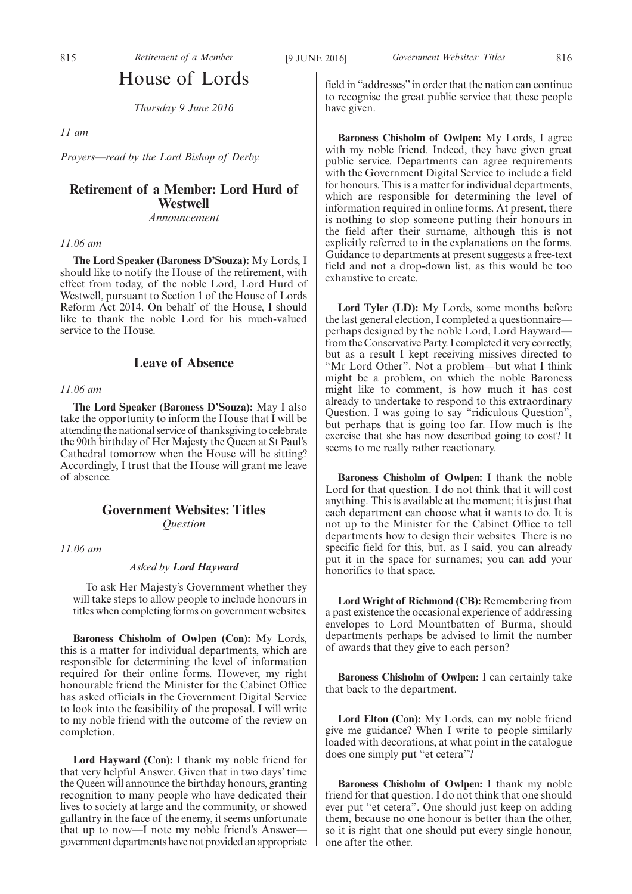# House of Lords

*Thursday 9 June 2016*

*11 am*

*Prayers—read by the Lord Bishop of Derby.*

# **Retirement of a Member: Lord Hurd of Westwell** *Announcement*

# *11.06 am*

**The Lord Speaker (Baroness D'Souza):** My Lords, I should like to notify the House of the retirement, with effect from today, of the noble Lord, Lord Hurd of Westwell, pursuant to Section 1 of the House of Lords Reform Act 2014. On behalf of the House, I should like to thank the noble Lord for his much-valued service to the House.

# **Leave of Absence**

# *11.06 am*

**The Lord Speaker (Baroness D'Souza):** May I also take the opportunity to inform the House that I will be attending the national service of thanksgiving to celebrate the 90th birthday of Her Majesty the Queen at St Paul's Cathedral tomorrow when the House will be sitting? Accordingly, I trust that the House will grant me leave of absence.

# **Government Websites: Titles** *Question*

*11.06 am*

# *Asked by Lord Hayward*

To ask Her Majesty's Government whether they will take steps to allow people to include honours in titles when completing forms on government websites.

**Baroness Chisholm of Owlpen (Con):** My Lords, this is a matter for individual departments, which are responsible for determining the level of information required for their online forms. However, my right honourable friend the Minister for the Cabinet Office has asked officials in the Government Digital Service to look into the feasibility of the proposal. I will write to my noble friend with the outcome of the review on completion.

**Lord Hayward (Con):** I thank my noble friend for that very helpful Answer. Given that in two days' time the Queen will announce the birthday honours, granting recognition to many people who have dedicated their lives to society at large and the community, or showed gallantry in the face of the enemy, it seems unfortunate that up to now—I note my noble friend's Answer government departments have not provided an appropriate field in "addresses"in order that the nation can continue to recognise the great public service that these people have given.

**Baroness Chisholm of Owlpen:** My Lords, I agree with my noble friend. Indeed, they have given great public service. Departments can agree requirements with the Government Digital Service to include a field for honours. This is a matter for individual departments, which are responsible for determining the level of information required in online forms. At present, there is nothing to stop someone putting their honours in the field after their surname, although this is not explicitly referred to in the explanations on the forms. Guidance to departments at present suggests a free-text field and not a drop-down list, as this would be too exhaustive to create.

**Lord Tyler (LD):** My Lords, some months before the last general election, I completed a questionnaire perhaps designed by the noble Lord, Lord Hayward from the Conservative Party. I completed it very correctly, but as a result I kept receiving missives directed to "Mr Lord Other". Not a problem—but what I think might be a problem, on which the noble Baroness might like to comment, is how much it has cost already to undertake to respond to this extraordinary Question. I was going to say "ridiculous Question", but perhaps that is going too far. How much is the exercise that she has now described going to cost? It seems to me really rather reactionary.

**Baroness Chisholm of Owlpen:** I thank the noble Lord for that question. I do not think that it will cost anything. This is available at the moment; it is just that each department can choose what it wants to do. It is not up to the Minister for the Cabinet Office to tell departments how to design their websites. There is no specific field for this, but, as I said, you can already put it in the space for surnames; you can add your honorifics to that space.

**Lord Wright of Richmond (CB):** Remembering from a past existence the occasional experience of addressing envelopes to Lord Mountbatten of Burma, should departments perhaps be advised to limit the number of awards that they give to each person?

**Baroness Chisholm of Owlpen:** I can certainly take that back to the department.

**Lord Elton (Con):** My Lords, can my noble friend give me guidance? When I write to people similarly loaded with decorations, at what point in the catalogue does one simply put "et cetera"?

**Baroness Chisholm of Owlpen:** I thank my noble friend for that question. I do not think that one should ever put "et cetera". One should just keep on adding them, because no one honour is better than the other, so it is right that one should put every single honour, one after the other.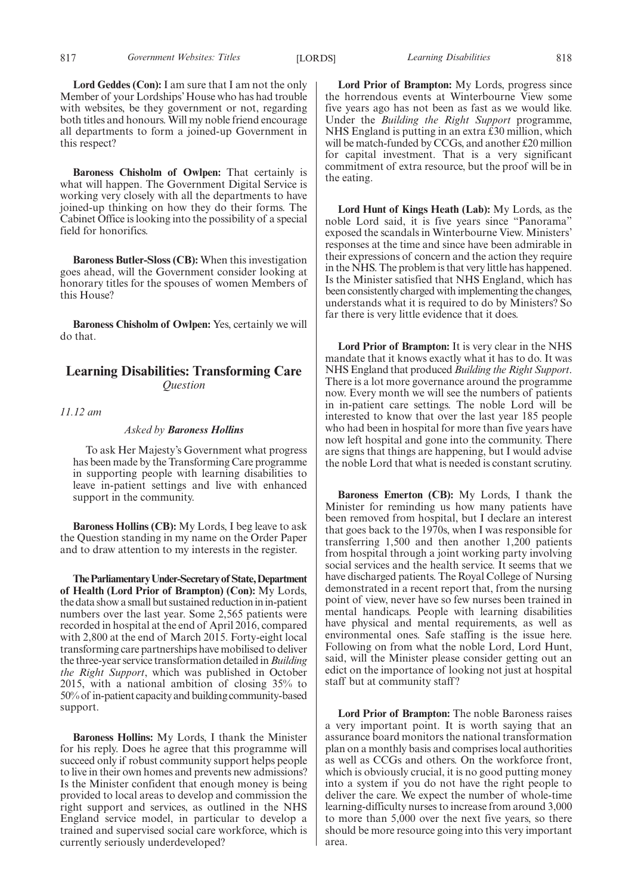**Baroness Chisholm of Owlpen:** That certainly is what will happen. The Government Digital Service is working very closely with all the departments to have joined-up thinking on how they do their forms. The Cabinet Office is looking into the possibility of a special field for honorifics.

**Baroness Butler-Sloss (CB):** When this investigation goes ahead, will the Government consider looking at honorary titles for the spouses of women Members of this House?

**Baroness Chisholm of Owlpen:** Yes, certainly we will do that.

# **Learning Disabilities: Transforming Care** *Question*

*11.12 am*

# *Asked by Baroness Hollins*

To ask Her Majesty's Government what progress has been made by the Transforming Care programme in supporting people with learning disabilities to leave in-patient settings and live with enhanced support in the community.

**Baroness Hollins (CB):** My Lords, I beg leave to ask the Question standing in my name on the Order Paper and to draw attention to my interests in the register.

**TheParliamentaryUnder-Secretaryof State,Department of Health (Lord Prior of Brampton) (Con):** My Lords, the data show a small but sustained reduction in in-patient numbers over the last year. Some 2,565 patients were recorded in hospital at the end of April 2016, compared with 2,800 at the end of March 2015. Forty-eight local transforming care partnerships have mobilised to deliver the three-year service transformation detailed in*Building the Right Support*, which was published in October 2015, with a national ambition of closing 35% to 50% of in-patient capacity and building community-based support.

**Baroness Hollins:** My Lords, I thank the Minister for his reply. Does he agree that this programme will succeed only if robust community support helps people to live in their own homes and prevents new admissions? Is the Minister confident that enough money is being provided to local areas to develop and commission the right support and services, as outlined in the NHS England service model, in particular to develop a trained and supervised social care workforce, which is currently seriously underdeveloped?

**Lord Prior of Brampton:** My Lords, progress since the horrendous events at Winterbourne View some five years ago has not been as fast as we would like. Under the *Building the Right Support* programme, NHS England is putting in an extra £30 million, which will be match-funded by CCGs, and another £20 million for capital investment. That is a very significant commitment of extra resource, but the proof will be in the eating.

**Lord Hunt of Kings Heath (Lab):** My Lords, as the noble Lord said, it is five years since "Panorama" exposed the scandals in Winterbourne View. Ministers' responses at the time and since have been admirable in their expressions of concern and the action they require in the NHS. The problem is that very little has happened. Is the Minister satisfied that NHS England, which has been consistently charged with implementing the changes, understands what it is required to do by Ministers? So far there is very little evidence that it does.

**Lord Prior of Brampton:** It is very clear in the NHS mandate that it knows exactly what it has to do. It was NHS England that produced *Building the Right Support*. There is a lot more governance around the programme now. Every month we will see the numbers of patients in in-patient care settings. The noble Lord will be interested to know that over the last year 185 people who had been in hospital for more than five years have now left hospital and gone into the community. There are signs that things are happening, but I would advise the noble Lord that what is needed is constant scrutiny.

**Baroness Emerton (CB):** My Lords, I thank the Minister for reminding us how many patients have been removed from hospital, but I declare an interest that goes back to the 1970s, when I was responsible for transferring 1,500 and then another 1,200 patients from hospital through a joint working party involving social services and the health service. It seems that we have discharged patients. The Royal College of Nursing demonstrated in a recent report that, from the nursing point of view, never have so few nurses been trained in mental handicaps. People with learning disabilities have physical and mental requirements, as well as environmental ones. Safe staffing is the issue here. Following on from what the noble Lord, Lord Hunt, said, will the Minister please consider getting out an edict on the importance of looking not just at hospital staff but at community staff?

**Lord Prior of Brampton:** The noble Baroness raises a very important point. It is worth saying that an assurance board monitors the national transformation plan on a monthly basis and comprises local authorities as well as CCGs and others. On the workforce front, which is obviously crucial, it is no good putting money into a system if you do not have the right people to deliver the care. We expect the number of whole-time learning-difficulty nurses to increase from around 3,000 to more than 5,000 over the next five years, so there should be more resource going into this very important area.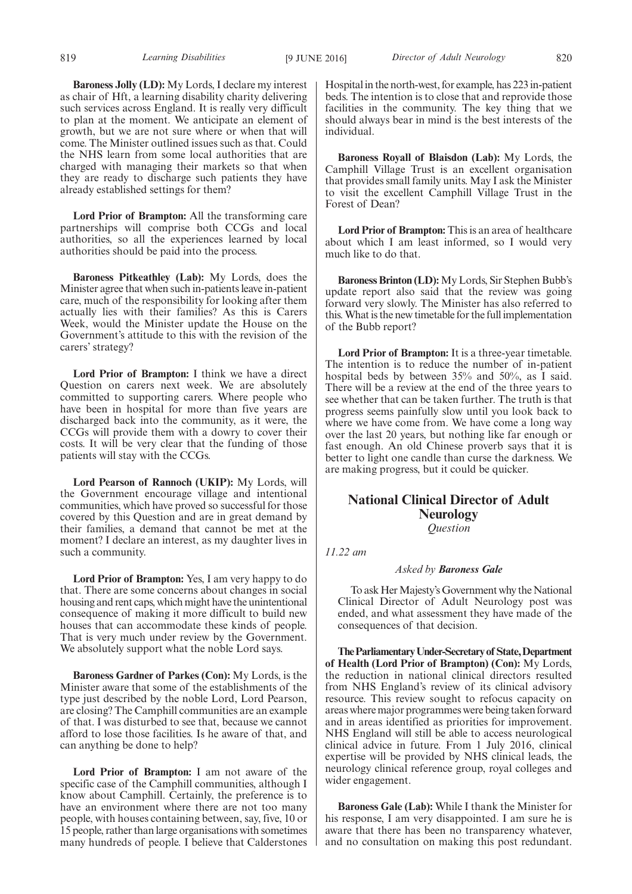**Baroness Jolly (LD):** My Lords, I declare my interest as chair of Hft, a learning disability charity delivering such services across England. It is really very difficult to plan at the moment. We anticipate an element of growth, but we are not sure where or when that will come. The Minister outlined issues such as that. Could the NHS learn from some local authorities that are charged with managing their markets so that when they are ready to discharge such patients they have already established settings for them?

**Lord Prior of Brampton:** All the transforming care partnerships will comprise both CCGs and local authorities, so all the experiences learned by local authorities should be paid into the process.

**Baroness Pitkeathley (Lab):** My Lords, does the Minister agree that when such in-patients leave in-patient care, much of the responsibility for looking after them actually lies with their families? As this is Carers Week, would the Minister update the House on the Government's attitude to this with the revision of the carers' strategy?

**Lord Prior of Brampton:** I think we have a direct Question on carers next week. We are absolutely committed to supporting carers. Where people who have been in hospital for more than five years are discharged back into the community, as it were, the CCGs will provide them with a dowry to cover their costs. It will be very clear that the funding of those patients will stay with the CCGs.

**Lord Pearson of Rannoch (UKIP):** My Lords, will the Government encourage village and intentional communities, which have proved so successful for those covered by this Question and are in great demand by their families, a demand that cannot be met at the moment? I declare an interest, as my daughter lives in such a community.

**Lord Prior of Brampton:** Yes, I am very happy to do that. There are some concerns about changes in social housing and rent caps, which might have the unintentional consequence of making it more difficult to build new houses that can accommodate these kinds of people. That is very much under review by the Government. We absolutely support what the noble Lord says.

**Baroness Gardner of Parkes (Con):** My Lords, is the Minister aware that some of the establishments of the type just described by the noble Lord, Lord Pearson, are closing? The Camphill communities are an example of that. I was disturbed to see that, because we cannot afford to lose those facilities. Is he aware of that, and can anything be done to help?

**Lord Prior of Brampton:** I am not aware of the specific case of the Camphill communities, although I know about Camphill. Certainly, the preference is to have an environment where there are not too many people, with houses containing between, say, five, 10 or 15 people, rather than large organisations with sometimes many hundreds of people. I believe that Calderstones

Hospital in the north-west, for example, has 223 in-patient beds. The intention is to close that and reprovide those facilities in the community. The key thing that we should always bear in mind is the best interests of the individual.

**Baroness Royall of Blaisdon (Lab):** My Lords, the Camphill Village Trust is an excellent organisation that provides small family units. May I ask the Minister to visit the excellent Camphill Village Trust in the Forest of Dean?

Lord Prior of Brampton: This is an area of healthcare about which I am least informed, so I would very much like to do that.

**Baroness Brinton (LD):** My Lords, Sir Stephen Bubb's update report also said that the review was going forward very slowly. The Minister has also referred to this. What is the new timetable for the full implementation of the Bubb report?

**Lord Prior of Brampton:** It is a three-year timetable. The intention is to reduce the number of in-patient hospital beds by between 35% and 50%, as I said. There will be a review at the end of the three years to see whether that can be taken further. The truth is that progress seems painfully slow until you look back to where we have come from. We have come a long way over the last 20 years, but nothing like far enough or fast enough. An old Chinese proverb says that it is better to light one candle than curse the darkness. We are making progress, but it could be quicker.

# **National Clinical Director of Adult Neurology** *Question*

*11.22 am*

# *Asked by Baroness Gale*

To ask Her Majesty's Government why the National Clinical Director of Adult Neurology post was ended, and what assessment they have made of the consequences of that decision.

**TheParliamentaryUnder-Secretaryof State,Department of Health (Lord Prior of Brampton) (Con):** My Lords, the reduction in national clinical directors resulted from NHS England's review of its clinical advisory resource. This review sought to refocus capacity on areas where major programmes were being taken forward and in areas identified as priorities for improvement. NHS England will still be able to access neurological clinical advice in future. From 1 July 2016, clinical expertise will be provided by NHS clinical leads, the neurology clinical reference group, royal colleges and wider engagement.

**Baroness Gale (Lab):** While I thank the Minister for his response, I am very disappointed. I am sure he is aware that there has been no transparency whatever, and no consultation on making this post redundant.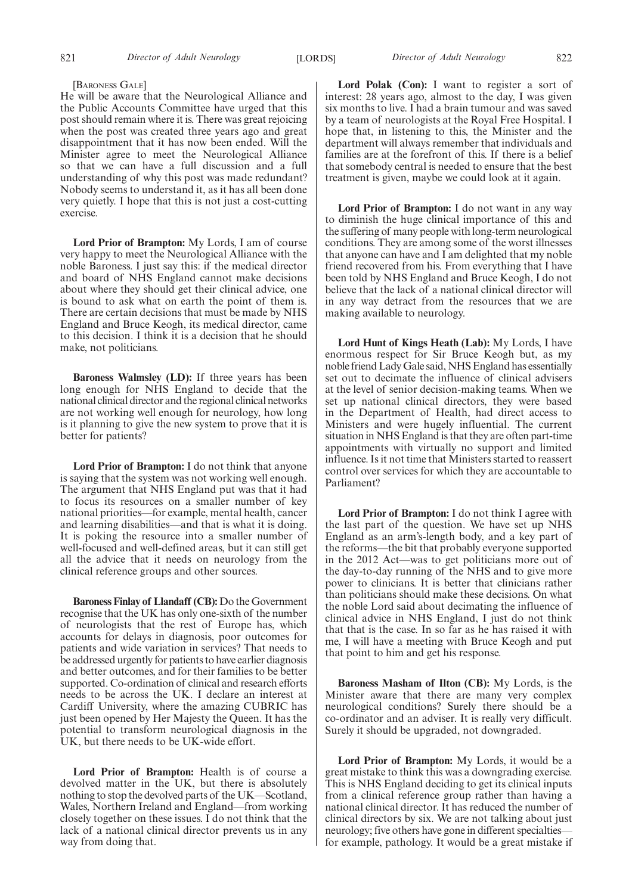#### [BARONESS GALE]

He will be aware that the Neurological Alliance and the Public Accounts Committee have urged that this post should remain where it is. There was great rejoicing when the post was created three years ago and great disappointment that it has now been ended. Will the Minister agree to meet the Neurological Alliance so that we can have a full discussion and a full understanding of why this post was made redundant? Nobody seems to understand it, as it has all been done very quietly. I hope that this is not just a cost-cutting exercise.

**Lord Prior of Brampton:** My Lords, I am of course very happy to meet the Neurological Alliance with the noble Baroness. I just say this: if the medical director and board of NHS England cannot make decisions about where they should get their clinical advice, one is bound to ask what on earth the point of them is. There are certain decisions that must be made by NHS England and Bruce Keogh, its medical director, came to this decision. I think it is a decision that he should make, not politicians.

**Baroness Walmsley (LD):** If three years has been long enough for NHS England to decide that the national clinical director and the regional clinical networks are not working well enough for neurology, how long is it planning to give the new system to prove that it is better for patients?

**Lord Prior of Brampton:** I do not think that anyone is saying that the system was not working well enough. The argument that NHS England put was that it had to focus its resources on a smaller number of key national priorities—for example, mental health, cancer and learning disabilities—and that is what it is doing. It is poking the resource into a smaller number of well-focused and well-defined areas, but it can still get all the advice that it needs on neurology from the clinical reference groups and other sources.

**Baroness Finlay of Llandaff (CB):** Do the Government recognise that the UK has only one-sixth of the number of neurologists that the rest of Europe has, which accounts for delays in diagnosis, poor outcomes for patients and wide variation in services? That needs to be addressed urgently for patients to have earlier diagnosis and better outcomes, and for their families to be better supported. Co-ordination of clinical and research efforts needs to be across the UK. I declare an interest at Cardiff University, where the amazing CUBRIC has just been opened by Her Majesty the Queen. It has the potential to transform neurological diagnosis in the UK, but there needs to be UK-wide effort.

**Lord Prior of Brampton:** Health is of course a devolved matter in the UK, but there is absolutely nothing to stop the devolved parts of the UK—Scotland, Wales, Northern Ireland and England—from working closely together on these issues. I do not think that the lack of a national clinical director prevents us in any way from doing that.

Lord Polak (Con): I want to register a sort of interest: 28 years ago, almost to the day, I was given six months to live. I had a brain tumour and was saved by a team of neurologists at the Royal Free Hospital. I hope that, in listening to this, the Minister and the department will always remember that individuals and families are at the forefront of this. If there is a belief that somebody central is needed to ensure that the best treatment is given, maybe we could look at it again.

**Lord Prior of Brampton:** I do not want in any way to diminish the huge clinical importance of this and the suffering of many people with long-term neurological conditions. They are among some of the worst illnesses that anyone can have and I am delighted that my noble friend recovered from his. From everything that I have been told by NHS England and Bruce Keogh, I do not believe that the lack of a national clinical director will in any way detract from the resources that we are making available to neurology.

**Lord Hunt of Kings Heath (Lab):** My Lords, I have enormous respect for Sir Bruce Keogh but, as my noble friend Lady Gale said, NHS England has essentially set out to decimate the influence of clinical advisers at the level of senior decision-making teams. When we set up national clinical directors, they were based in the Department of Health, had direct access to Ministers and were hugely influential. The current situation in NHS England is that they are often part-time appointments with virtually no support and limited influence. Is it not time that Ministers started to reassert control over services for which they are accountable to Parliament?

**Lord Prior of Brampton:** I do not think I agree with the last part of the question. We have set up NHS England as an arm's-length body, and a key part of the reforms—the bit that probably everyone supported in the 2012 Act—was to get politicians more out of the day-to-day running of the NHS and to give more power to clinicians. It is better that clinicians rather than politicians should make these decisions. On what the noble Lord said about decimating the influence of clinical advice in NHS England, I just do not think that that is the case. In so far as he has raised it with me, I will have a meeting with Bruce Keogh and put that point to him and get his response.

**Baroness Masham of Ilton (CB):** My Lords, is the Minister aware that there are many very complex neurological conditions? Surely there should be a co-ordinator and an adviser. It is really very difficult. Surely it should be upgraded, not downgraded.

**Lord Prior of Brampton:** My Lords, it would be a great mistake to think this was a downgrading exercise. This is NHS England deciding to get its clinical inputs from a clinical reference group rather than having a national clinical director. It has reduced the number of clinical directors by six. We are not talking about just neurology; five others have gone in different specialties for example, pathology. It would be a great mistake if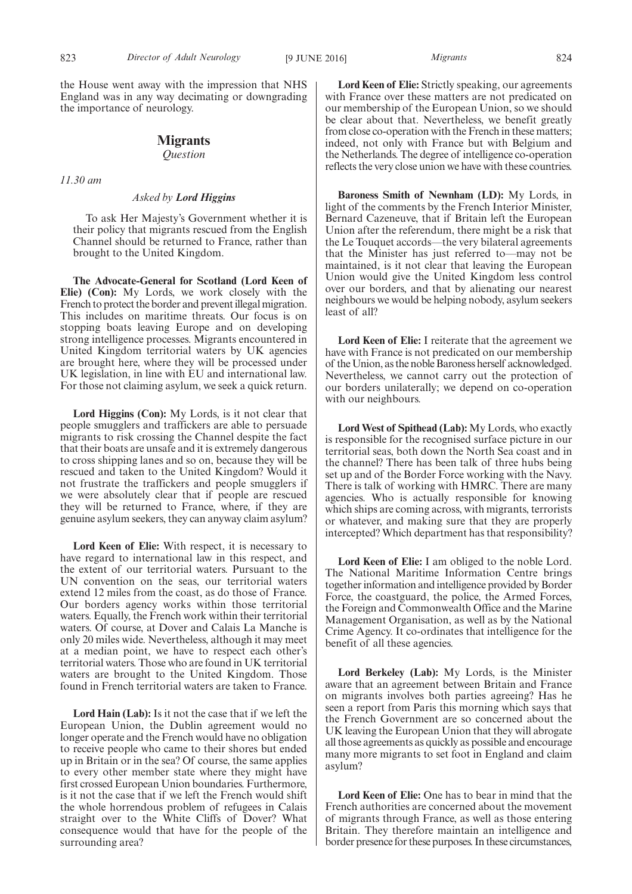the House went away with the impression that NHS England was in any way decimating or downgrading the importance of neurology.

# **Migrants**

*Question*

*11.30 am*

# *Asked by Lord Higgins*

To ask Her Majesty's Government whether it is their policy that migrants rescued from the English Channel should be returned to France, rather than brought to the United Kingdom.

**The Advocate-General for Scotland (Lord Keen of Elie) (Con):** My Lords, we work closely with the French to protect the border and prevent illegal migration. This includes on maritime threats. Our focus is on stopping boats leaving Europe and on developing strong intelligence processes. Migrants encountered in United Kingdom territorial waters by UK agencies are brought here, where they will be processed under UK legislation, in line with EU and international law. For those not claiming asylum, we seek a quick return.

**Lord Higgins (Con):** My Lords, is it not clear that people smugglers and traffickers are able to persuade migrants to risk crossing the Channel despite the fact that their boats are unsafe and it is extremely dangerous to cross shipping lanes and so on, because they will be rescued and taken to the United Kingdom? Would it not frustrate the traffickers and people smugglers if we were absolutely clear that if people are rescued they will be returned to France, where, if they are genuine asylum seekers, they can anyway claim asylum?

**Lord Keen of Elie:** With respect, it is necessary to have regard to international law in this respect, and the extent of our territorial waters. Pursuant to the UN convention on the seas, our territorial waters extend 12 miles from the coast, as do those of France. Our borders agency works within those territorial waters. Equally, the French work within their territorial waters. Of course, at Dover and Calais La Manche is only 20 miles wide. Nevertheless, although it may meet at a median point, we have to respect each other's territorial waters. Those who are found in UK territorial waters are brought to the United Kingdom. Those found in French territorial waters are taken to France.

**Lord Hain (Lab):** Is it not the case that if we left the European Union, the Dublin agreement would no longer operate and the French would have no obligation to receive people who came to their shores but ended up in Britain or in the sea? Of course, the same applies to every other member state where they might have first crossed European Union boundaries. Furthermore, is it not the case that if we left the French would shift the whole horrendous problem of refugees in Calais straight over to the White Cliffs of Dover? What consequence would that have for the people of the surrounding area?

**Lord Keen of Elie:** Strictly speaking, our agreements with France over these matters are not predicated on our membership of the European Union, so we should be clear about that. Nevertheless, we benefit greatly from close co-operation with the French in these matters; indeed, not only with France but with Belgium and the Netherlands. The degree of intelligence co-operation reflects the very close union we have with these countries.

**Baroness Smith of Newnham (LD):** My Lords, in light of the comments by the French Interior Minister, Bernard Cazeneuve, that if Britain left the European Union after the referendum, there might be a risk that the Le Touquet accords—the very bilateral agreements that the Minister has just referred to—may not be maintained, is it not clear that leaving the European Union would give the United Kingdom less control over our borders, and that by alienating our nearest neighbours we would be helping nobody, asylum seekers least of all?

**Lord Keen of Elie:** I reiterate that the agreement we have with France is not predicated on our membership of the Union, as the noble Baroness herself acknowledged. Nevertheless, we cannot carry out the protection of our borders unilaterally; we depend on co-operation with our neighbours.

**Lord West of Spithead (Lab):** My Lords, who exactly is responsible for the recognised surface picture in our territorial seas, both down the North Sea coast and in the channel? There has been talk of three hubs being set up and of the Border Force working with the Navy. There is talk of working with HMRC. There are many agencies. Who is actually responsible for knowing which ships are coming across, with migrants, terrorists or whatever, and making sure that they are properly intercepted? Which department has that responsibility?

**Lord Keen of Elie:** I am obliged to the noble Lord. The National Maritime Information Centre brings together information and intelligence provided by Border Force, the coastguard, the police, the Armed Forces, the Foreign and Commonwealth Office and the Marine Management Organisation, as well as by the National Crime Agency. It co-ordinates that intelligence for the benefit of all these agencies.

**Lord Berkeley (Lab):** My Lords, is the Minister aware that an agreement between Britain and France on migrants involves both parties agreeing? Has he seen a report from Paris this morning which says that the French Government are so concerned about the UK leaving the European Union that they will abrogate all those agreements as quickly as possible and encourage many more migrants to set foot in England and claim asylum?

**Lord Keen of Elie:** One has to bear in mind that the French authorities are concerned about the movement of migrants through France, as well as those entering Britain. They therefore maintain an intelligence and border presence for these purposes. In these circumstances,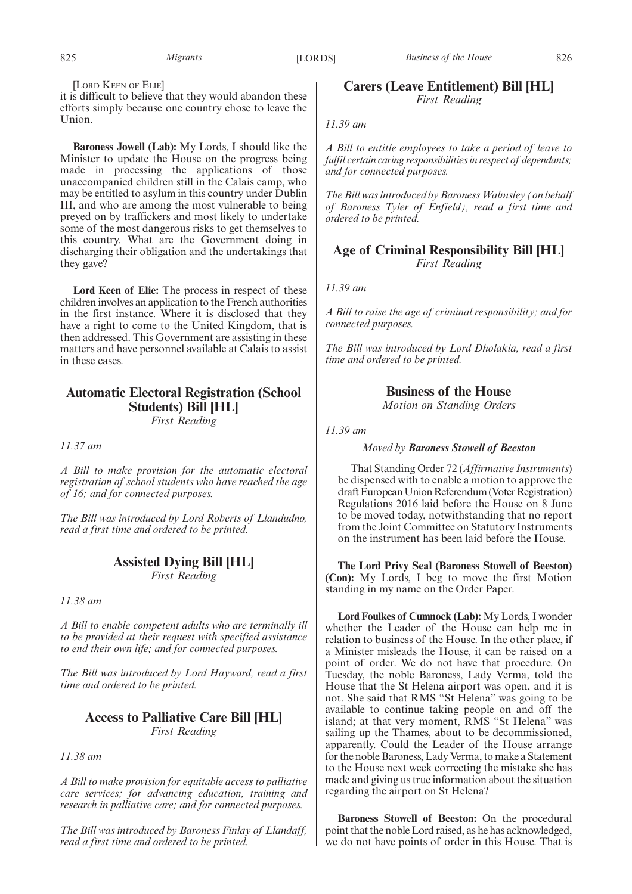[LORD KEEN OF ELIE]

it is difficult to believe that they would abandon these efforts simply because one country chose to leave the Union.

**Baroness Jowell (Lab):** My Lords, I should like the Minister to update the House on the progress being made in processing the applications of those unaccompanied children still in the Calais camp, who may be entitled to asylum in this country under Dublin III, and who are among the most vulnerable to being preyed on by traffickers and most likely to undertake some of the most dangerous risks to get themselves to this country. What are the Government doing in discharging their obligation and the undertakings that they gave?

**Lord Keen of Elie:** The process in respect of these children involves an application to the French authorities in the first instance. Where it is disclosed that they have a right to come to the United Kingdom, that is then addressed. This Government are assisting in these matters and have personnel available at Calais to assist in these cases.

# **Automatic Electoral Registration (School Students) Bill [HL]**

*First Reading*

*11.37 am*

*A Bill to make provision for the automatic electoral registration of school students who have reached the age of 16; and for connected purposes.*

*The Bill was introduced by Lord Roberts of Llandudno, read a first time and ordered to be printed.*

# **Assisted Dying Bill [HL]** *First Reading*

*11.38 am*

*A Bill to enable competent adults who are terminally ill to be provided at their request with specified assistance to end their own life; and for connected purposes.*

*The Bill was introduced by Lord Hayward, read a first time and ordered to be printed.*

# **Access to Palliative Care Bill [HL]** *First Reading*

*11.38 am*

*A Bill to make provision for equitable access to palliative care services; for advancing education, training and research in palliative care; and for connected purposes.*

*The Bill was introduced by Baroness Finlay of Llandaff, read a first time and ordered to be printed.*

# **Carers (Leave Entitlement) Bill [HL]** *First Reading*

*11.39 am*

*A Bill to entitle employees to take a period of leave to fulfil certain caring responsibilities in respect of dependants; and for connected purposes.*

*The Bill was introduced by Baroness Walmsley (on behalf of Baroness Tyler of Enfield), read a first time and ordered to be printed.*

# **Age of Criminal Responsibility Bill [HL]** *First Reading*

*11.39 am*

*A Bill to raise the age of criminal responsibility; and for connected purposes.*

*The Bill was introduced by Lord Dholakia, read a first time and ordered to be printed.*

**Business of the House**

*Motion on Standing Orders*

*11.39 am*

*Moved by Baroness Stowell of Beeston*

That Standing Order 72 (*Affirmative Instruments*) be dispensed with to enable a motion to approve the draft European Union Referendum (Voter Registration) Regulations 2016 laid before the House on 8 June to be moved today, notwithstanding that no report from the Joint Committee on Statutory Instruments on the instrument has been laid before the House.

**The Lord Privy Seal (Baroness Stowell of Beeston) (Con):** My Lords, I beg to move the first Motion standing in my name on the Order Paper.

**Lord Foulkes of Cumnock (Lab):** My Lords, I wonder whether the Leader of the House can help me in relation to business of the House. In the other place, if a Minister misleads the House, it can be raised on a point of order. We do not have that procedure. On Tuesday, the noble Baroness, Lady Verma, told the House that the St Helena airport was open, and it is not. She said that RMS "St Helena" was going to be available to continue taking people on and off the island; at that very moment, RMS "St Helena" was sailing up the Thames, about to be decommissioned, apparently. Could the Leader of the House arrange for the noble Baroness, Lady Verma, to make a Statement to the House next week correcting the mistake she has made and giving us true information about the situation regarding the airport on St Helena?

**Baroness Stowell of Beeston:** On the procedural point that the noble Lord raised, as he has acknowledged, we do not have points of order in this House. That is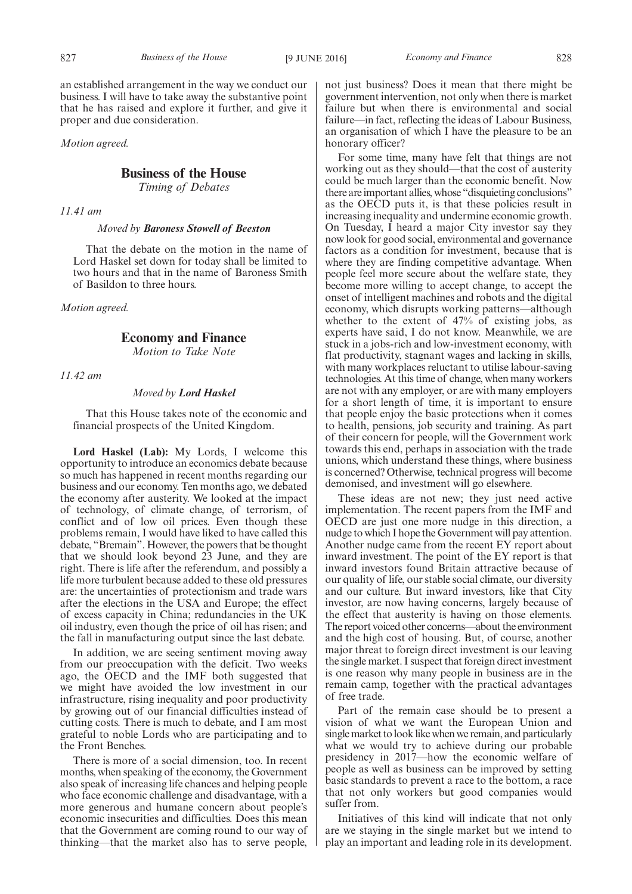an established arrangement in the way we conduct our business. I will have to take away the substantive point that he has raised and explore it further, and give it proper and due consideration.

*Motion agreed.*

# **Business of the House**

*Timing of Debates*

*11.41 am*

# *Moved by Baroness Stowell of Beeston*

That the debate on the motion in the name of Lord Haskel set down for today shall be limited to two hours and that in the name of Baroness Smith of Basildon to three hours.

*Motion agreed.*

# **Economy and Finance**

*Motion to Take Note*

*11.42 am*

# *Moved by Lord Haskel*

That this House takes note of the economic and financial prospects of the United Kingdom.

**Lord Haskel (Lab):** My Lords, I welcome this opportunity to introduce an economics debate because so much has happened in recent months regarding our business and our economy. Ten months ago, we debated the economy after austerity. We looked at the impact of technology, of climate change, of terrorism, of conflict and of low oil prices. Even though these problems remain, I would have liked to have called this debate, "Bremain". However, the powers that be thought that we should look beyond 23 June, and they are right. There is life after the referendum, and possibly a life more turbulent because added to these old pressures are: the uncertainties of protectionism and trade wars after the elections in the USA and Europe; the effect of excess capacity in China; redundancies in the UK oil industry, even though the price of oil has risen; and the fall in manufacturing output since the last debate.

In addition, we are seeing sentiment moving away from our preoccupation with the deficit. Two weeks ago, the OECD and the IMF both suggested that we might have avoided the low investment in our infrastructure, rising inequality and poor productivity by growing out of our financial difficulties instead of cutting costs. There is much to debate, and I am most grateful to noble Lords who are participating and to the Front Benches.

There is more of a social dimension, too. In recent months, when speaking of the economy, the Government also speak of increasing life chances and helping people who face economic challenge and disadvantage, with a more generous and humane concern about people's economic insecurities and difficulties. Does this mean that the Government are coming round to our way of thinking—that the market also has to serve people, not just business? Does it mean that there might be government intervention, not only when there is market failure but when there is environmental and social failure—in fact, reflecting the ideas of Labour Business, an organisation of which I have the pleasure to be an honorary officer?

For some time, many have felt that things are not working out as they should—that the cost of austerity could be much larger than the economic benefit. Now there are important allies, whose "disquieting conclusions" as the OECD puts it, is that these policies result in increasing inequality and undermine economic growth. On Tuesday, I heard a major City investor say they now look for good social, environmental and governance factors as a condition for investment, because that is where they are finding competitive advantage. When people feel more secure about the welfare state, they become more willing to accept change, to accept the onset of intelligent machines and robots and the digital economy, which disrupts working patterns—although whether to the extent of 47% of existing jobs, as experts have said, I do not know. Meanwhile, we are stuck in a jobs-rich and low-investment economy, with flat productivity, stagnant wages and lacking in skills, with many workplaces reluctant to utilise labour-saving technologies. At this time of change, when many workers are not with any employer, or are with many employers for a short length of time, it is important to ensure that people enjoy the basic protections when it comes to health, pensions, job security and training. As part of their concern for people, will the Government work towards this end, perhaps in association with the trade unions, which understand these things, where business is concerned? Otherwise, technical progress will become demonised, and investment will go elsewhere.

These ideas are not new; they just need active implementation. The recent papers from the IMF and OECD are just one more nudge in this direction, a nudge to which I hope the Government will pay attention. Another nudge came from the recent EY report about inward investment. The point of the EY report is that inward investors found Britain attractive because of our quality of life, our stable social climate, our diversity and our culture. But inward investors, like that City investor, are now having concerns, largely because of the effect that austerity is having on those elements. The report voiced other concerns—about the environment and the high cost of housing. But, of course, another major threat to foreign direct investment is our leaving the single market. I suspect that foreign direct investment is one reason why many people in business are in the remain camp, together with the practical advantages of free trade.

Part of the remain case should be to present a vision of what we want the European Union and single market to look like when we remain, and particularly what we would try to achieve during our probable presidency in 2017—how the economic welfare of people as well as business can be improved by setting basic standards to prevent a race to the bottom, a race that not only workers but good companies would suffer from.

Initiatives of this kind will indicate that not only are we staying in the single market but we intend to play an important and leading role in its development.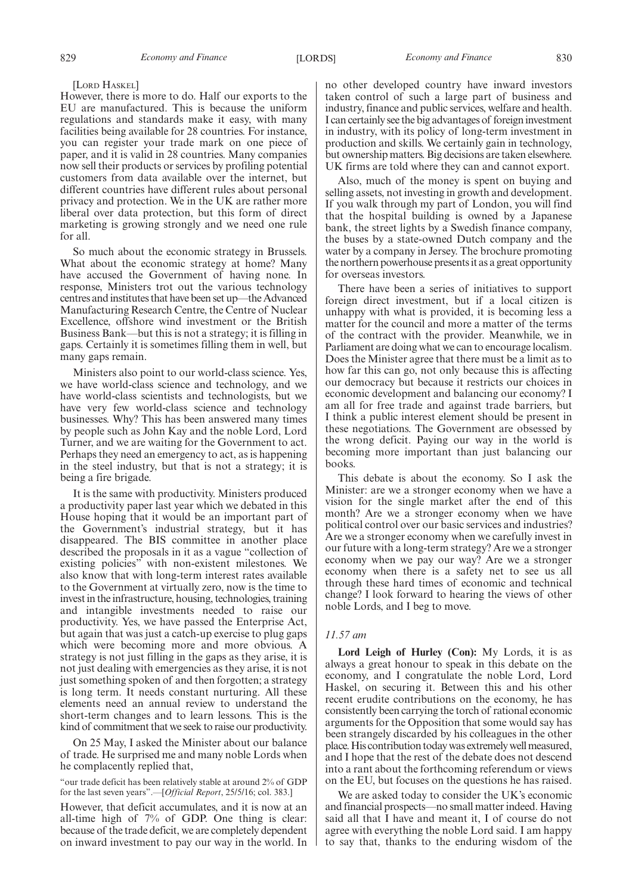# [LORD HASKEL]

However, there is more to do. Half our exports to the EU are manufactured. This is because the uniform regulations and standards make it easy, with many facilities being available for 28 countries. For instance, you can register your trade mark on one piece of paper, and it is valid in 28 countries. Many companies now sell their products or services by profiling potential customers from data available over the internet, but different countries have different rules about personal privacy and protection. We in the UK are rather more liberal over data protection, but this form of direct marketing is growing strongly and we need one rule for all.

So much about the economic strategy in Brussels. What about the economic strategy at home? Many have accused the Government of having none. In response, Ministers trot out the various technology centres and institutes that have been set up—the Advanced Manufacturing Research Centre, the Centre of Nuclear Excellence, offshore wind investment or the British Business Bank—but this is not a strategy; it is filling in gaps. Certainly it is sometimes filling them in well, but many gaps remain.

Ministers also point to our world-class science. Yes, we have world-class science and technology, and we have world-class scientists and technologists, but we have very few world-class science and technology businesses. Why? This has been answered many times by people such as John Kay and the noble Lord, Lord Turner, and we are waiting for the Government to act. Perhaps they need an emergency to act, as is happening in the steel industry, but that is not a strategy; it is being a fire brigade.

It is the same with productivity. Ministers produced a productivity paper last year which we debated in this House hoping that it would be an important part of the Government's industrial strategy, but it has disappeared. The BIS committee in another place described the proposals in it as a vague "collection of existing policies" with non-existent milestones. We also know that with long-term interest rates available to the Government at virtually zero, now is the time to invest in the infrastructure, housing, technologies, training and intangible investments needed to raise our productivity. Yes, we have passed the Enterprise Act, but again that was just a catch-up exercise to plug gaps which were becoming more and more obvious. A strategy is not just filling in the gaps as they arise, it is not just dealing with emergencies as they arise, it is not just something spoken of and then forgotten; a strategy is long term. It needs constant nurturing. All these elements need an annual review to understand the short-term changes and to learn lessons. This is the kind of commitment that we seek to raise our productivity.

On 25 May, I asked the Minister about our balance of trade. He surprised me and many noble Lords when he complacently replied that,

"our trade deficit has been relatively stable at around 2% of GDP for the last seven years".—[*Official Report*, 25/5/16; col. 383.]

However, that deficit accumulates, and it is now at an all-time high of 7% of GDP. One thing is clear: because of the trade deficit, we are completely dependent on inward investment to pay our way in the world. In no other developed country have inward investors taken control of such a large part of business and industry, finance and public services, welfare and health. I can certainly see the big advantages of foreign investment in industry, with its policy of long-term investment in production and skills. We certainly gain in technology, but ownership matters. Big decisions are taken elsewhere. UK firms are told where they can and cannot export.

Also, much of the money is spent on buying and selling assets, not investing in growth and development. If you walk through my part of London, you will find that the hospital building is owned by a Japanese bank, the street lights by a Swedish finance company, the buses by a state-owned Dutch company and the water by a company in Jersey. The brochure promoting the northern powerhouse presents it as a great opportunity for overseas investors.

There have been a series of initiatives to support foreign direct investment, but if a local citizen is unhappy with what is provided, it is becoming less a matter for the council and more a matter of the terms of the contract with the provider. Meanwhile, we in Parliament are doing what we can to encourage localism. Does the Minister agree that there must be a limit as to how far this can go, not only because this is affecting our democracy but because it restricts our choices in economic development and balancing our economy? I am all for free trade and against trade barriers, but I think a public interest element should be present in these negotiations. The Government are obsessed by the wrong deficit. Paying our way in the world is becoming more important than just balancing our books.

This debate is about the economy. So I ask the Minister: are we a stronger economy when we have a vision for the single market after the end of this month? Are we a stronger economy when we have political control over our basic services and industries? Are we a stronger economy when we carefully invest in our future with a long-term strategy? Are we a stronger economy when we pay our way? Are we a stronger economy when there is a safety net to see us all through these hard times of economic and technical change? I look forward to hearing the views of other noble Lords, and I beg to move.

# *11.57 am*

**Lord Leigh of Hurley (Con):** My Lords, it is as always a great honour to speak in this debate on the economy, and I congratulate the noble Lord, Lord Haskel, on securing it. Between this and his other recent erudite contributions on the economy, he has consistently been carrying the torch of rational economic arguments for the Opposition that some would say has been strangely discarded by his colleagues in the other place. His contribution today was extremely well measured, and I hope that the rest of the debate does not descend into a rant about the forthcoming referendum or views on the EU, but focuses on the questions he has raised.

We are asked today to consider the UK's economic and financial prospects—no small matter indeed. Having said all that I have and meant it, I of course do not agree with everything the noble Lord said. I am happy to say that, thanks to the enduring wisdom of the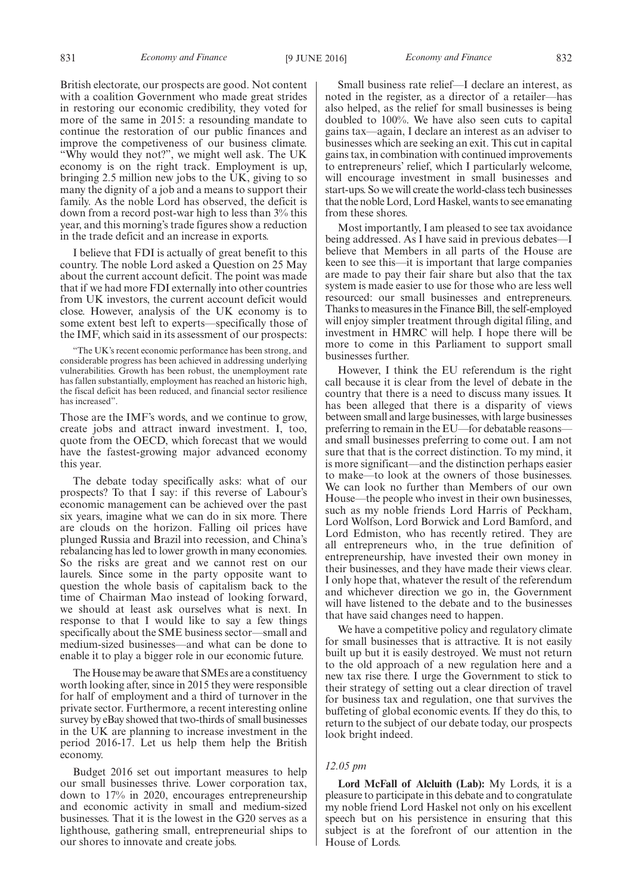British electorate, our prospects are good. Not content with a coalition Government who made great strides in restoring our economic credibility, they voted for more of the same in 2015: a resounding mandate to continue the restoration of our public finances and improve the competiveness of our business climate. "Why would they not?", we might well ask. The UK economy is on the right track. Employment is up, bringing 2.5 million new jobs to the UK, giving to so many the dignity of a job and a means to support their family. As the noble Lord has observed, the deficit is down from a record post-war high to less than 3% this year, and this morning's trade figures show a reduction in the trade deficit and an increase in exports.

I believe that FDI is actually of great benefit to this country. The noble Lord asked a Question on 25 May about the current account deficit. The point was made that if we had more FDI externally into other countries from UK investors, the current account deficit would close. However, analysis of the UK economy is to some extent best left to experts—specifically those of the IMF, which said in its assessment of our prospects:

"The UK's recent economic performance has been strong, and considerable progress has been achieved in addressing underlying vulnerabilities. Growth has been robust, the unemployment rate has fallen substantially, employment has reached an historic high, the fiscal deficit has been reduced, and financial sector resilience has increased".

Those are the IMF's words, and we continue to grow, create jobs and attract inward investment. I, too, quote from the OECD, which forecast that we would have the fastest-growing major advanced economy this year.

The debate today specifically asks: what of our prospects? To that I say: if this reverse of Labour's economic management can be achieved over the past six years, imagine what we can do in six more. There are clouds on the horizon. Falling oil prices have plunged Russia and Brazil into recession, and China's rebalancing has led to lower growth in many economies. So the risks are great and we cannot rest on our laurels. Since some in the party opposite want to question the whole basis of capitalism back to the time of Chairman Mao instead of looking forward, we should at least ask ourselves what is next. In response to that I would like to say a few things specifically about the SME business sector—small and medium-sized businesses—and what can be done to enable it to play a bigger role in our economic future.

The House may be aware that SMEs are a constituency worth looking after, since in 2015 they were responsible for half of employment and a third of turnover in the private sector. Furthermore, a recent interesting online survey by eBay showed that two-thirds of small businesses in the UK are planning to increase investment in the period 2016-17. Let us help them help the British economy.

Budget 2016 set out important measures to help our small businesses thrive. Lower corporation tax, down to 17% in 2020, encourages entrepreneurship and economic activity in small and medium-sized businesses. That it is the lowest in the G20 serves as a lighthouse, gathering small, entrepreneurial ships to our shores to innovate and create jobs.

Small business rate relief—I declare an interest, as noted in the register, as a director of a retailer—has also helped, as the relief for small businesses is being doubled to 100%. We have also seen cuts to capital gains tax—again, I declare an interest as an adviser to businesses which are seeking an exit. This cut in capital gains tax, in combination with continued improvements to entrepreneurs' relief, which I particularly welcome, will encourage investment in small businesses and start-ups. So we will create the world-class tech businesses that the noble Lord, Lord Haskel, wants to see emanating from these shores.

Most importantly, I am pleased to see tax avoidance being addressed. As I have said in previous debates—I believe that Members in all parts of the House are keen to see this—it is important that large companies are made to pay their fair share but also that the tax system is made easier to use for those who are less well resourced: our small businesses and entrepreneurs. Thanks to measures in the Finance Bill, the self-employed will enjoy simpler treatment through digital filing, and investment in HMRC will help. I hope there will be more to come in this Parliament to support small businesses further.

However, I think the EU referendum is the right call because it is clear from the level of debate in the country that there is a need to discuss many issues. It has been alleged that there is a disparity of views between small and large businesses, with large businesses preferring to remain in the EU—for debatable reasons and small businesses preferring to come out. I am not sure that that is the correct distinction. To my mind, it is more significant—and the distinction perhaps easier to make—to look at the owners of those businesses. We can look no further than Members of our own House—the people who invest in their own businesses, such as my noble friends Lord Harris of Peckham, Lord Wolfson, Lord Borwick and Lord Bamford, and Lord Edmiston, who has recently retired. They are all entrepreneurs who, in the true definition of entrepreneurship, have invested their own money in their businesses, and they have made their views clear. I only hope that, whatever the result of the referendum and whichever direction we go in, the Government will have listened to the debate and to the businesses that have said changes need to happen.

We have a competitive policy and regulatory climate for small businesses that is attractive. It is not easily built up but it is easily destroyed. We must not return to the old approach of a new regulation here and a new tax rise there. I urge the Government to stick to their strategy of setting out a clear direction of travel for business tax and regulation, one that survives the buffeting of global economic events. If they do this, to return to the subject of our debate today, our prospects look bright indeed.

# *12.05 pm*

**Lord McFall of Alcluith (Lab):** My Lords, it is a pleasure to participate in this debate and to congratulate my noble friend Lord Haskel not only on his excellent speech but on his persistence in ensuring that this subject is at the forefront of our attention in the House of Lords.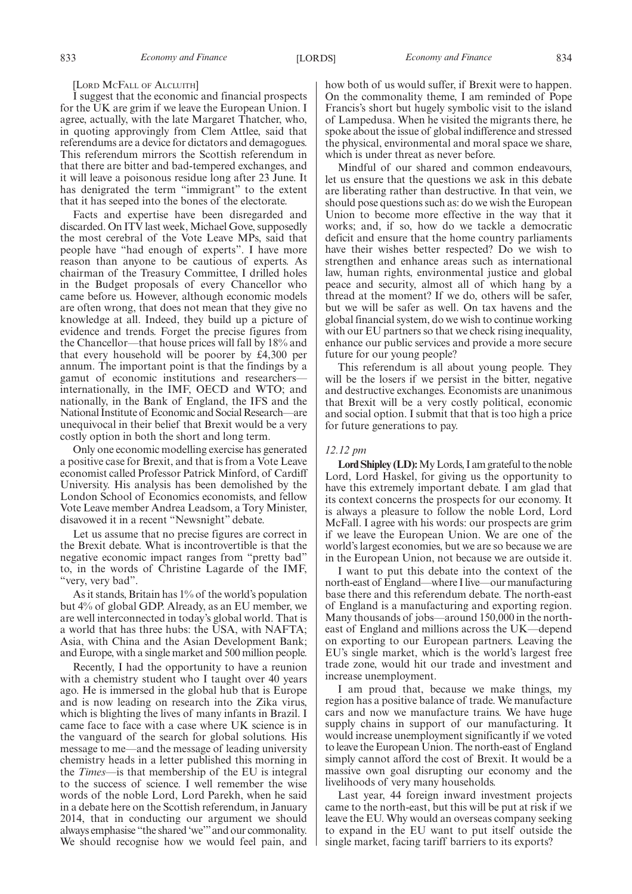### [LORD MCFALL OF ALCLUITH]

I suggest that the economic and financial prospects for the UK are grim if we leave the European Union. I agree, actually, with the late Margaret Thatcher, who, in quoting approvingly from Clem Attlee, said that referendums are a device for dictators and demagogues. This referendum mirrors the Scottish referendum in that there are bitter and bad-tempered exchanges, and it will leave a poisonous residue long after 23 June. It has denigrated the term "immigrant" to the extent that it has seeped into the bones of the electorate.

Facts and expertise have been disregarded and discarded. On ITV last week, Michael Gove, supposedly the most cerebral of the Vote Leave MPs, said that people have "had enough of experts". I have more reason than anyone to be cautious of experts. As chairman of the Treasury Committee, I drilled holes in the Budget proposals of every Chancellor who came before us. However, although economic models are often wrong, that does not mean that they give no knowledge at all. Indeed, they build up a picture of evidence and trends. Forget the precise figures from the Chancellor—that house prices will fall by 18% and that every household will be poorer by £4,300 per annum. The important point is that the findings by a gamut of economic institutions and researchers internationally, in the IMF, OECD and WTO; and nationally, in the Bank of England, the IFS and the National Institute of Economic and Social Research—are unequivocal in their belief that Brexit would be a very costly option in both the short and long term.

Only one economic modelling exercise has generated a positive case for Brexit, and that is from a Vote Leave economist called Professor Patrick Minford, of Cardiff University. His analysis has been demolished by the London School of Economics economists, and fellow Vote Leave member Andrea Leadsom, a Tory Minister, disavowed it in a recent "Newsnight" debate.

Let us assume that no precise figures are correct in the Brexit debate. What is incontrovertible is that the negative economic impact ranges from "pretty bad" to, in the words of Christine Lagarde of the IMF, "very, very bad".

As it stands, Britain has 1% of the world's population but 4% of global GDP. Already, as an EU member, we are well interconnected in today's global world. That is a world that has three hubs: the USA, with NAFTA; Asia, with China and the Asian Development Bank; and Europe, with a single market and 500 million people.

Recently, I had the opportunity to have a reunion with a chemistry student who I taught over 40 years ago. He is immersed in the global hub that is Europe and is now leading on research into the Zika virus, which is blighting the lives of many infants in Brazil. I came face to face with a case where UK science is in the vanguard of the search for global solutions. His message to me—and the message of leading university chemistry heads in a letter published this morning in the *Times*—is that membership of the EU is integral to the success of science. I well remember the wise words of the noble Lord, Lord Parekh, when he said in a debate here on the Scottish referendum, in January 2014, that in conducting our argument we should always emphasise "the shared 'we'"and our commonality. We should recognise how we would feel pain, and how both of us would suffer, if Brexit were to happen. On the commonality theme, I am reminded of Pope Francis's short but hugely symbolic visit to the island of Lampedusa. When he visited the migrants there, he spoke about the issue of global indifference and stressed the physical, environmental and moral space we share, which is under threat as never before.

Mindful of our shared and common endeavours, let us ensure that the questions we ask in this debate are liberating rather than destructive. In that vein, we should pose questions such as: do we wish the European Union to become more effective in the way that it works; and, if so, how do we tackle a democratic deficit and ensure that the home country parliaments have their wishes better respected? Do we wish to strengthen and enhance areas such as international law, human rights, environmental justice and global peace and security, almost all of which hang by a thread at the moment? If we do, others will be safer, but we will be safer as well. On tax havens and the global financial system, do we wish to continue working with our EU partners so that we check rising inequality, enhance our public services and provide a more secure future for our young people?

This referendum is all about young people. They will be the losers if we persist in the bitter, negative and destructive exchanges. Economists are unanimous that Brexit will be a very costly political, economic and social option. I submit that that is too high a price for future generations to pay.

# *12.12 pm*

**Lord Shipley (LD):**My Lords, I am grateful to the noble Lord, Lord Haskel, for giving us the opportunity to have this extremely important debate. I am glad that its context concerns the prospects for our economy. It is always a pleasure to follow the noble Lord, Lord McFall. I agree with his words: our prospects are grim if we leave the European Union. We are one of the world's largest economies, but we are so because we are in the European Union, not because we are outside it.

I want to put this debate into the context of the north-east of England—where I live—our manufacturing base there and this referendum debate. The north-east of England is a manufacturing and exporting region. Many thousands of jobs—around 150,000 in the northeast of England and millions across the UK—depend on exporting to our European partners. Leaving the EU's single market, which is the world's largest free trade zone, would hit our trade and investment and increase unemployment.

I am proud that, because we make things, my region has a positive balance of trade. We manufacture cars and now we manufacture trains. We have huge supply chains in support of our manufacturing. It would increase unemployment significantly if we voted to leave the European Union. The north-east of England simply cannot afford the cost of Brexit. It would be a massive own goal disrupting our economy and the livelihoods of very many households.

Last year, 44 foreign inward investment projects came to the north-east, but this will be put at risk if we leave the EU. Why would an overseas company seeking to expand in the EU want to put itself outside the single market, facing tariff barriers to its exports?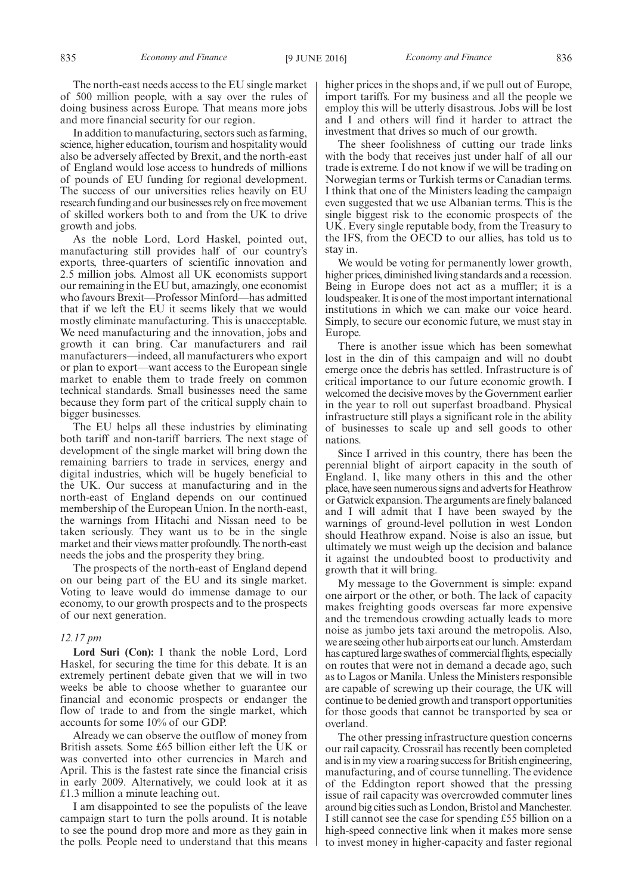In addition to manufacturing, sectors such as farming, science, higher education, tourism and hospitality would also be adversely affected by Brexit, and the north-east of England would lose access to hundreds of millions of pounds of EU funding for regional development. The success of our universities relies heavily on EU research funding and our businesses rely on free movement of skilled workers both to and from the UK to drive growth and jobs.

As the noble Lord, Lord Haskel, pointed out, manufacturing still provides half of our country's exports, three-quarters of scientific innovation and 2.5 million jobs. Almost all UK economists support our remaining in the EU but, amazingly, one economist who favours Brexit—Professor Minford—has admitted that if we left the EU it seems likely that we would mostly eliminate manufacturing. This is unacceptable. We need manufacturing and the innovation, jobs and growth it can bring. Car manufacturers and rail manufacturers—indeed, all manufacturers who export or plan to export—want access to the European single market to enable them to trade freely on common technical standards. Small businesses need the same because they form part of the critical supply chain to bigger businesses.

The EU helps all these industries by eliminating both tariff and non-tariff barriers. The next stage of development of the single market will bring down the remaining barriers to trade in services, energy and digital industries, which will be hugely beneficial to the UK. Our success at manufacturing and in the north-east of England depends on our continued membership of the European Union. In the north-east, the warnings from Hitachi and Nissan need to be taken seriously. They want us to be in the single market and their views matter profoundly. The north-east needs the jobs and the prosperity they bring.

The prospects of the north-east of England depend on our being part of the EU and its single market. Voting to leave would do immense damage to our economy, to our growth prospects and to the prospects of our next generation.

# *12.17 pm*

**Lord Suri (Con):** I thank the noble Lord, Lord Haskel, for securing the time for this debate. It is an extremely pertinent debate given that we will in two weeks be able to choose whether to guarantee our financial and economic prospects or endanger the flow of trade to and from the single market, which accounts for some 10% of our GDP.

Already we can observe the outflow of money from British assets. Some £65 billion either left the UK or was converted into other currencies in March and April. This is the fastest rate since the financial crisis in early 2009. Alternatively, we could look at it as £1.3 million a minute leaching out.

I am disappointed to see the populists of the leave campaign start to turn the polls around. It is notable to see the pound drop more and more as they gain in the polls. People need to understand that this means higher prices in the shops and, if we pull out of Europe, import tariffs. For my business and all the people we employ this will be utterly disastrous. Jobs will be lost and I and others will find it harder to attract the investment that drives so much of our growth.

The sheer foolishness of cutting our trade links with the body that receives just under half of all our trade is extreme. I do not know if we will be trading on Norwegian terms or Turkish terms or Canadian terms. I think that one of the Ministers leading the campaign even suggested that we use Albanian terms. This is the single biggest risk to the economic prospects of the UK. Every single reputable body, from the Treasury to the IFS, from the OECD to our allies, has told us to stay in.

We would be voting for permanently lower growth, higher prices, diminished living standards and a recession. Being in Europe does not act as a muffler; it is a loudspeaker. It is one of the most important international institutions in which we can make our voice heard. Simply, to secure our economic future, we must stay in Europe.

There is another issue which has been somewhat lost in the din of this campaign and will no doubt emerge once the debris has settled. Infrastructure is of critical importance to our future economic growth. I welcomed the decisive moves by the Government earlier in the year to roll out superfast broadband. Physical infrastructure still plays a significant role in the ability of businesses to scale up and sell goods to other nations.

Since I arrived in this country, there has been the perennial blight of airport capacity in the south of England. I, like many others in this and the other place, have seen numerous signs and adverts for Heathrow or Gatwick expansion. The arguments are finely balanced and I will admit that I have been swayed by the warnings of ground-level pollution in west London should Heathrow expand. Noise is also an issue, but ultimately we must weigh up the decision and balance it against the undoubted boost to productivity and growth that it will bring.

My message to the Government is simple: expand one airport or the other, or both. The lack of capacity makes freighting goods overseas far more expensive and the tremendous crowding actually leads to more noise as jumbo jets taxi around the metropolis. Also, we are seeing other hub airports eat our lunch. Amsterdam has captured large swathes of commercial flights, especially on routes that were not in demand a decade ago, such as to Lagos or Manila. Unless the Ministers responsible are capable of screwing up their courage, the UK will continue to be denied growth and transport opportunities for those goods that cannot be transported by sea or overland.

The other pressing infrastructure question concerns our rail capacity. Crossrail has recently been completed and is in my view a roaring success for British engineering, manufacturing, and of course tunnelling. The evidence of the Eddington report showed that the pressing issue of rail capacity was overcrowded commuter lines around big cities such as London, Bristol and Manchester. I still cannot see the case for spending £55 billion on a high-speed connective link when it makes more sense to invest money in higher-capacity and faster regional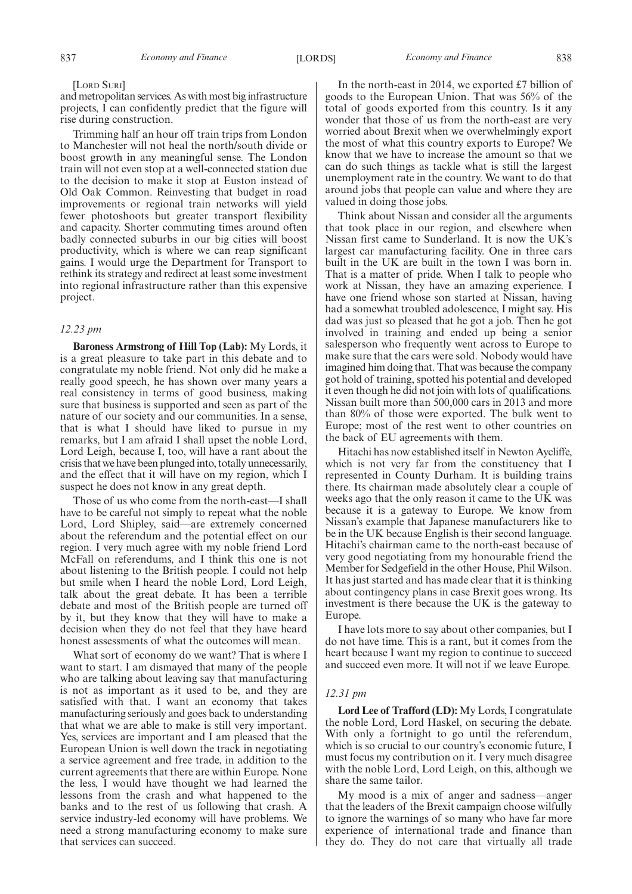#### [LORD SURI]

and metropolitan services. As with most big infrastructure projects, I can confidently predict that the figure will rise during construction.

Trimming half an hour off train trips from London to Manchester will not heal the north/south divide or boost growth in any meaningful sense. The London train will not even stop at a well-connected station due to the decision to make it stop at Euston instead of Old Oak Common. Reinvesting that budget in road improvements or regional train networks will yield fewer photoshoots but greater transport flexibility and capacity. Shorter commuting times around often badly connected suburbs in our big cities will boost productivity, which is where we can reap significant gains. I would urge the Department for Transport to rethink its strategy and redirect at least some investment into regional infrastructure rather than this expensive project.

# *12.23 pm*

**Baroness Armstrong of Hill Top (Lab):** My Lords, it is a great pleasure to take part in this debate and to congratulate my noble friend. Not only did he make a really good speech, he has shown over many years a real consistency in terms of good business, making sure that business is supported and seen as part of the nature of our society and our communities. In a sense, that is what I should have liked to pursue in my remarks, but I am afraid I shall upset the noble Lord, Lord Leigh, because I, too, will have a rant about the crisis that we have been plunged into, totally unnecessarily, and the effect that it will have on my region, which I suspect he does not know in any great depth.

Those of us who come from the north-east—I shall have to be careful not simply to repeat what the noble Lord, Lord Shipley, said—are extremely concerned about the referendum and the potential effect on our region. I very much agree with my noble friend Lord McFall on referendums, and I think this one is not about listening to the British people. I could not help but smile when I heard the noble Lord, Lord Leigh, talk about the great debate. It has been a terrible debate and most of the British people are turned off by it, but they know that they will have to make a decision when they do not feel that they have heard honest assessments of what the outcomes will mean.

What sort of economy do we want? That is where I want to start. I am dismayed that many of the people who are talking about leaving say that manufacturing is not as important as it used to be, and they are satisfied with that. I want an economy that takes manufacturing seriously and goes back to understanding that what we are able to make is still very important. Yes, services are important and I am pleased that the European Union is well down the track in negotiating a service agreement and free trade, in addition to the current agreements that there are within Europe. None the less, I would have thought we had learned the lessons from the crash and what happened to the banks and to the rest of us following that crash. A service industry-led economy will have problems. We need a strong manufacturing economy to make sure that services can succeed.

In the north-east in 2014, we exported £7 billion of goods to the European Union. That was 56% of the total of goods exported from this country. Is it any wonder that those of us from the north-east are very worried about Brexit when we overwhelmingly export the most of what this country exports to Europe? We know that we have to increase the amount so that we can do such things as tackle what is still the largest unemployment rate in the country. We want to do that around jobs that people can value and where they are valued in doing those jobs.

Think about Nissan and consider all the arguments that took place in our region, and elsewhere when Nissan first came to Sunderland. It is now the UK's largest car manufacturing facility. One in three cars built in the UK are built in the town I was born in. That is a matter of pride. When I talk to people who work at Nissan, they have an amazing experience. I have one friend whose son started at Nissan, having had a somewhat troubled adolescence, I might say. His dad was just so pleased that he got a job. Then he got involved in training and ended up being a senior salesperson who frequently went across to Europe to make sure that the cars were sold. Nobody would have imagined him doing that. That was because the company got hold of training, spotted his potential and developed it even though he did not join with lots of qualifications. Nissan built more than 500,000 cars in 2013 and more than 80% of those were exported. The bulk went to Europe; most of the rest went to other countries on the back of EU agreements with them.

Hitachi has now established itself in Newton Aycliffe, which is not very far from the constituency that I represented in County Durham. It is building trains there. Its chairman made absolutely clear a couple of weeks ago that the only reason it came to the UK was because it is a gateway to Europe. We know from Nissan's example that Japanese manufacturers like to be in the UK because English is their second language. Hitachi's chairman came to the north-east because of very good negotiating from my honourable friend the Member for Sedgefield in the other House, Phil Wilson. It has just started and has made clear that it is thinking about contingency plans in case Brexit goes wrong. Its investment is there because the UK is the gateway to Europe.

I have lots more to say about other companies, but I do not have time. This is a rant, but it comes from the heart because I want my region to continue to succeed and succeed even more. It will not if we leave Europe.

# *12.31 pm*

**Lord Lee of Trafford (LD):** My Lords, I congratulate the noble Lord, Lord Haskel, on securing the debate. With only a fortnight to go until the referendum, which is so crucial to our country's economic future, I must focus my contribution on it. I very much disagree with the noble Lord, Lord Leigh, on this, although we share the same tailor.

My mood is a mix of anger and sadness—anger that the leaders of the Brexit campaign choose wilfully to ignore the warnings of so many who have far more experience of international trade and finance than they do. They do not care that virtually all trade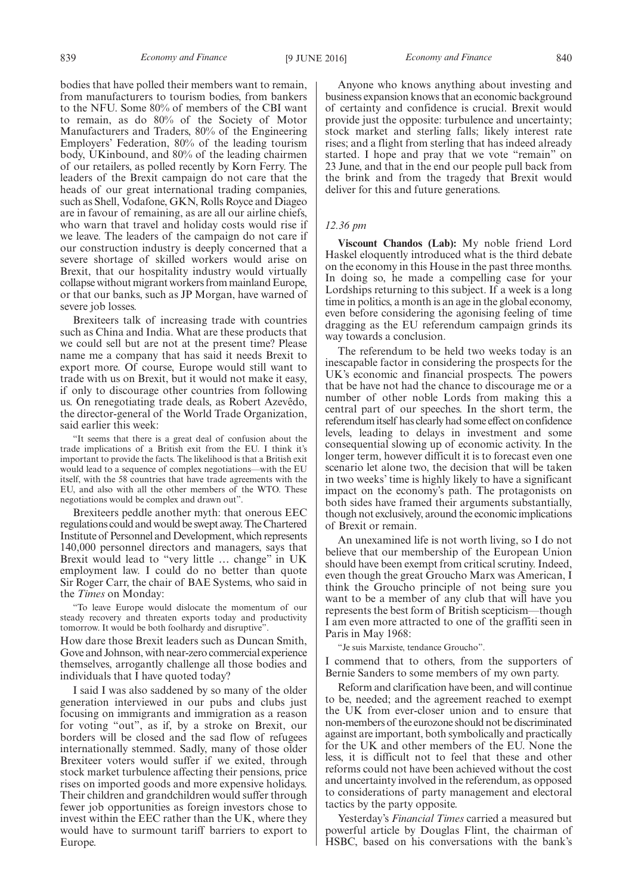bodies that have polled their members want to remain, from manufacturers to tourism bodies, from bankers to the NFU. Some 80% of members of the CBI want to remain, as do 80% of the Society of Motor Manufacturers and Traders, 80% of the Engineering Employers' Federation, 80% of the leading tourism body, UKinbound, and 80% of the leading chairmen of our retailers, as polled recently by Korn Ferry. The leaders of the Brexit campaign do not care that the heads of our great international trading companies, such as Shell, Vodafone, GKN, Rolls Royce and Diageo are in favour of remaining, as are all our airline chiefs, who warn that travel and holiday costs would rise if we leave. The leaders of the campaign do not care if our construction industry is deeply concerned that a severe shortage of skilled workers would arise on Brexit, that our hospitality industry would virtually collapse without migrant workers from mainland Europe, or that our banks, such as JP Morgan, have warned of severe job losses.

Brexiteers talk of increasing trade with countries such as China and India. What are these products that we could sell but are not at the present time? Please name me a company that has said it needs Brexit to export more. Of course, Europe would still want to trade with us on Brexit, but it would not make it easy, if only to discourage other countries from following us. On renegotiating trade deals, as Robert Azevêdo, the director-general of the World Trade Organization, said earlier this week:

"It seems that there is a great deal of confusion about the trade implications of a British exit from the EU. I think it's important to provide the facts. The likelihood is that a British exit would lead to a sequence of complex negotiations—with the EU itself, with the 58 countries that have trade agreements with the EU, and also with all the other members of the WTO. These negotiations would be complex and drawn out".

Brexiteers peddle another myth: that onerous EEC regulations could and would be swept away. The Chartered Institute of Personnel and Development, which represents 140,000 personnel directors and managers, says that Brexit would lead to "very little … change" in UK employment law. I could do no better than quote Sir Roger Carr, the chair of BAE Systems, who said in the *Times* on Monday:

"To leave Europe would dislocate the momentum of our steady recovery and threaten exports today and productivity tomorrow. It would be both foolhardy and disruptive".

How dare those Brexit leaders such as Duncan Smith, Gove and Johnson, with near-zero commercial experience themselves, arrogantly challenge all those bodies and individuals that I have quoted today?

I said I was also saddened by so many of the older generation interviewed in our pubs and clubs just focusing on immigrants and immigration as a reason for voting "out", as if, by a stroke on Brexit, our borders will be closed and the sad flow of refugees internationally stemmed. Sadly, many of those older Brexiteer voters would suffer if we exited, through stock market turbulence affecting their pensions, price rises on imported goods and more expensive holidays. Their children and grandchildren would suffer through fewer job opportunities as foreign investors chose to invest within the EEC rather than the UK, where they would have to surmount tariff barriers to export to Europe.

Anyone who knows anything about investing and business expansion knows that an economic background of certainty and confidence is crucial. Brexit would provide just the opposite: turbulence and uncertainty; stock market and sterling falls; likely interest rate rises; and a flight from sterling that has indeed already started. I hope and pray that we vote "remain" on 23 June, and that in the end our people pull back from the brink and from the tragedy that Brexit would deliver for this and future generations.

# *12.36 pm*

**Viscount Chandos (Lab):** My noble friend Lord Haskel eloquently introduced what is the third debate on the economy in this House in the past three months. In doing so, he made a compelling case for your Lordships returning to this subject. If a week is a long time in politics, a month is an age in the global economy, even before considering the agonising feeling of time dragging as the EU referendum campaign grinds its way towards a conclusion.

The referendum to be held two weeks today is an inescapable factor in considering the prospects for the UK's economic and financial prospects. The powers that be have not had the chance to discourage me or a number of other noble Lords from making this a central part of our speeches. In the short term, the referendum itself has clearly had some effect on confidence levels, leading to delays in investment and some consequential slowing up of economic activity. In the longer term, however difficult it is to forecast even one scenario let alone two, the decision that will be taken in two weeks' time is highly likely to have a significant impact on the economy's path. The protagonists on both sides have framed their arguments substantially, though not exclusively, around the economic implications of Brexit or remain.

An unexamined life is not worth living, so I do not believe that our membership of the European Union should have been exempt from critical scrutiny. Indeed, even though the great Groucho Marx was American, I think the Groucho principle of not being sure you want to be a member of any club that will have you represents the best form of British scepticism—though I am even more attracted to one of the graffiti seen in Paris in May 1968:

"Je suis Marxiste, tendance Groucho".

I commend that to others, from the supporters of Bernie Sanders to some members of my own party.

Reform and clarification have been, and will continue to be, needed; and the agreement reached to exempt the UK from ever-closer union and to ensure that non-members of the eurozone should not be discriminated against are important, both symbolically and practically for the UK and other members of the EU. None the less, it is difficult not to feel that these and other reforms could not have been achieved without the cost and uncertainty involved in the referendum, as opposed to considerations of party management and electoral tactics by the party opposite.

Yesterday's *Financial Times* carried a measured but powerful article by Douglas Flint, the chairman of HSBC, based on his conversations with the bank's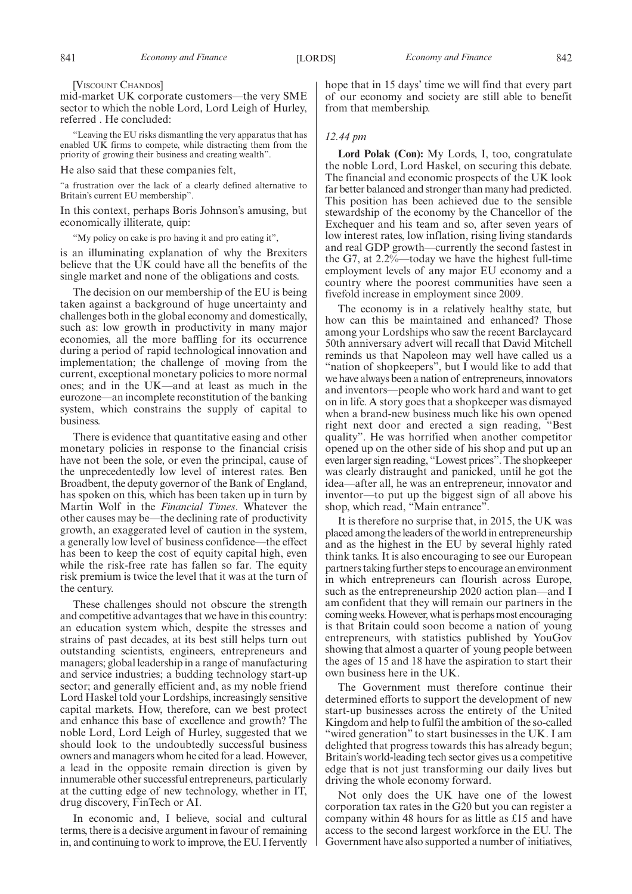[VISCOUNT CHANDOS]

mid-market UK corporate customers—the very SME sector to which the noble Lord, Lord Leigh of Hurley, referred . He concluded:

"Leaving the EU risks dismantling the very apparatus that has enabled UK firms to compete, while distracting them from the priority of growing their business and creating wealth".

He also said that these companies felt,

"a frustration over the lack of a clearly defined alternative to Britain's current EU membership".

In this context, perhaps Boris Johnson's amusing, but economically illiterate, quip:

"My policy on cake is pro having it and pro eating it",

is an illuminating explanation of why the Brexiters believe that the UK could have all the benefits of the single market and none of the obligations and costs.

The decision on our membership of the EU is being taken against a background of huge uncertainty and challenges both in the global economy and domestically, such as: low growth in productivity in many major economies, all the more baffling for its occurrence during a period of rapid technological innovation and implementation; the challenge of moving from the current, exceptional monetary policies to more normal ones; and in the UK—and at least as much in the eurozone—an incomplete reconstitution of the banking system, which constrains the supply of capital to business.

There is evidence that quantitative easing and other monetary policies in response to the financial crisis have not been the sole, or even the principal, cause of the unprecedentedly low level of interest rates. Ben Broadbent, the deputy governor of the Bank of England, has spoken on this, which has been taken up in turn by Martin Wolf in the *Financial Times*. Whatever the other causes may be—the declining rate of productivity growth, an exaggerated level of caution in the system, a generally low level of business confidence—the effect has been to keep the cost of equity capital high, even while the risk-free rate has fallen so far. The equity risk premium is twice the level that it was at the turn of the century.

These challenges should not obscure the strength and competitive advantages that we have in this country: an education system which, despite the stresses and strains of past decades, at its best still helps turn out outstanding scientists, engineers, entrepreneurs and managers; global leadership in a range of manufacturing and service industries; a budding technology start-up sector; and generally efficient and, as my noble friend Lord Haskel told your Lordships, increasingly sensitive capital markets. How, therefore, can we best protect and enhance this base of excellence and growth? The noble Lord, Lord Leigh of Hurley, suggested that we should look to the undoubtedly successful business owners and managers whom he cited for a lead. However, a lead in the opposite remain direction is given by innumerable other successful entrepreneurs, particularly at the cutting edge of new technology, whether in IT, drug discovery, FinTech or AI.

In economic and, I believe, social and cultural terms, there is a decisive argument in favour of remaining in, and continuing to work to improve, the EU. I fervently hope that in 15 days' time we will find that every part of our economy and society are still able to benefit from that membership.

# *12.44 pm*

**Lord Polak (Con):** My Lords, I, too, congratulate the noble Lord, Lord Haskel, on securing this debate. The financial and economic prospects of the UK look far better balanced and stronger than many had predicted. This position has been achieved due to the sensible stewardship of the economy by the Chancellor of the Exchequer and his team and so, after seven years of low interest rates, low inflation, rising living standards and real GDP growth—currently the second fastest in the G7, at  $2.2\%$ —today we have the highest full-time employment levels of any major EU economy and a country where the poorest communities have seen a fivefold increase in employment since 2009.

The economy is in a relatively healthy state, but how can this be maintained and enhanced? Those among your Lordships who saw the recent Barclaycard 50th anniversary advert will recall that David Mitchell reminds us that Napoleon may well have called us a "nation of shopkeepers", but I would like to add that we have always been a nation of entrepreneurs, innovators and inventors—people who work hard and want to get on in life. A story goes that a shopkeeper was dismayed when a brand-new business much like his own opened right next door and erected a sign reading, "Best quality". He was horrified when another competitor opened up on the other side of his shop and put up an even larger sign reading, "Lowest prices". The shopkeeper was clearly distraught and panicked, until he got the idea—after all, he was an entrepreneur, innovator and inventor—to put up the biggest sign of all above his shop, which read, "Main entrance".

It is therefore no surprise that, in 2015, the UK was placed among the leaders of the world in entrepreneurship and as the highest in the EU by several highly rated think tanks. It is also encouraging to see our European partners taking further steps to encourage an environment in which entrepreneurs can flourish across Europe, such as the entrepreneurship 2020 action plan—and I am confident that they will remain our partners in the coming weeks. However, what is perhaps most encouraging is that Britain could soon become a nation of young entrepreneurs, with statistics published by YouGov showing that almost a quarter of young people between the ages of 15 and 18 have the aspiration to start their own business here in the UK.

The Government must therefore continue their determined efforts to support the development of new start-up businesses across the entirety of the United Kingdom and help to fulfil the ambition of the so-called "wired generation" to start businesses in the UK. I am delighted that progress towards this has already begun; Britain's world-leading tech sector gives us a competitive edge that is not just transforming our daily lives but driving the whole economy forward.

Not only does the UK have one of the lowest corporation tax rates in the G20 but you can register a company within 48 hours for as little as £15 and have access to the second largest workforce in the EU. The Government have also supported a number of initiatives,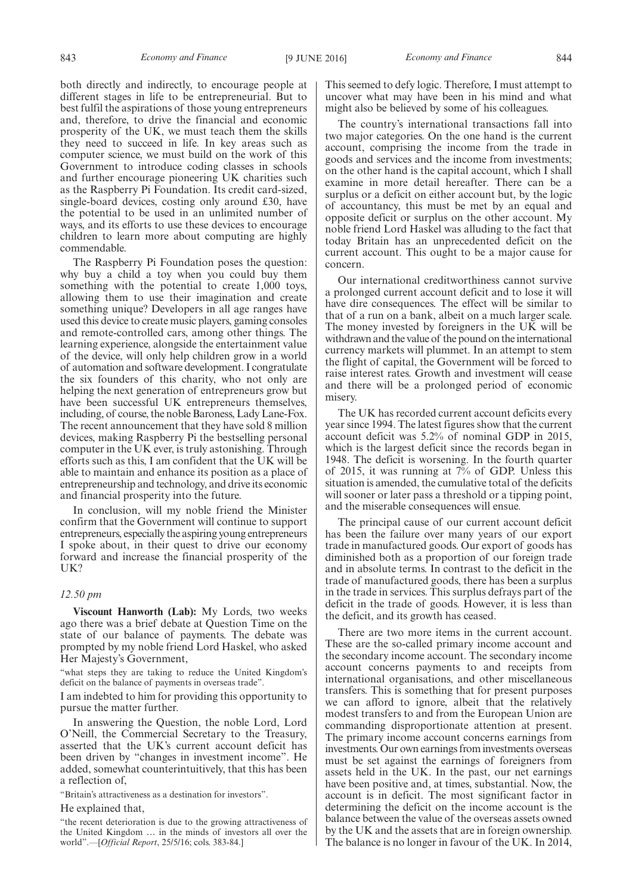both directly and indirectly, to encourage people at different stages in life to be entrepreneurial. But to best fulfil the aspirations of those young entrepreneurs and, therefore, to drive the financial and economic prosperity of the UK, we must teach them the skills they need to succeed in life. In key areas such as computer science, we must build on the work of this Government to introduce coding classes in schools and further encourage pioneering UK charities such as the Raspberry Pi Foundation. Its credit card-sized, single-board devices, costing only around £30, have the potential to be used in an unlimited number of ways, and its efforts to use these devices to encourage children to learn more about computing are highly commendable.

The Raspberry Pi Foundation poses the question: why buy a child a toy when you could buy them something with the potential to create 1,000 toys, allowing them to use their imagination and create something unique? Developers in all age ranges have used this device to create music players, gaming consoles and remote-controlled cars, among other things. The learning experience, alongside the entertainment value of the device, will only help children grow in a world of automation and software development. I congratulate the six founders of this charity, who not only are helping the next generation of entrepreneurs grow but have been successful UK entrepreneurs themselves, including, of course, the noble Baroness, Lady Lane-Fox. The recent announcement that they have sold 8 million devices, making Raspberry Pi the bestselling personal computer in the UK ever, is truly astonishing. Through efforts such as this, I am confident that the UK will be able to maintain and enhance its position as a place of entrepreneurship and technology, and drive its economic and financial prosperity into the future.

In conclusion, will my noble friend the Minister confirm that the Government will continue to support entrepreneurs, especially the aspiring young entrepreneurs I spoke about, in their quest to drive our economy forward and increase the financial prosperity of the UK?

# *12.50 pm*

**Viscount Hanworth (Lab):** My Lords, two weeks ago there was a brief debate at Question Time on the state of our balance of payments. The debate was prompted by my noble friend Lord Haskel, who asked Her Majesty's Government,

"what steps they are taking to reduce the United Kingdom's deficit on the balance of payments in overseas trade".

I am indebted to him for providing this opportunity to pursue the matter further.

In answering the Question, the noble Lord, Lord O'Neill, the Commercial Secretary to the Treasury, asserted that the UK's current account deficit has been driven by "changes in investment income". He added, somewhat counterintuitively, that this has been a reflection of,

"Britain's attractiveness as a destination for investors".

# He explained that,

"the recent deterioration is due to the growing attractiveness of the United Kingdom … in the minds of investors all over the world".—[*Official Report*, 25/5/16; cols. 383-84.]

This seemed to defy logic. Therefore, I must attempt to uncover what may have been in his mind and what might also be believed by some of his colleagues.

The country's international transactions fall into two major categories. On the one hand is the current account, comprising the income from the trade in goods and services and the income from investments; on the other hand is the capital account, which I shall examine in more detail hereafter. There can be a surplus or a deficit on either account but, by the logic of accountancy, this must be met by an equal and opposite deficit or surplus on the other account. My noble friend Lord Haskel was alluding to the fact that today Britain has an unprecedented deficit on the current account. This ought to be a major cause for concern.

Our international creditworthiness cannot survive a prolonged current account deficit and to lose it will have dire consequences. The effect will be similar to that of a run on a bank, albeit on a much larger scale. The money invested by foreigners in the UK will be withdrawn and the value of the pound on the international currency markets will plummet. In an attempt to stem the flight of capital, the Government will be forced to raise interest rates. Growth and investment will cease and there will be a prolonged period of economic misery.

The UK has recorded current account deficits every year since 1994. The latest figures show that the current account deficit was 5.2% of nominal GDP in 2015, which is the largest deficit since the records began in 1948. The deficit is worsening. In the fourth quarter of 2015, it was running at  $7\%$  of GDP. Unless this situation is amended, the cumulative total of the deficits will sooner or later pass a threshold or a tipping point, and the miserable consequences will ensue.

The principal cause of our current account deficit has been the failure over many years of our export trade in manufactured goods. Our export of goods has diminished both as a proportion of our foreign trade and in absolute terms. In contrast to the deficit in the trade of manufactured goods, there has been a surplus in the trade in services. This surplus defrays part of the deficit in the trade of goods. However, it is less than the deficit, and its growth has ceased.

There are two more items in the current account. These are the so-called primary income account and the secondary income account. The secondary income account concerns payments to and receipts from international organisations, and other miscellaneous transfers. This is something that for present purposes we can afford to ignore, albeit that the relatively modest transfers to and from the European Union are commanding disproportionate attention at present. The primary income account concerns earnings from investments. Our own earnings from investments overseas must be set against the earnings of foreigners from assets held in the UK. In the past, our net earnings have been positive and, at times, substantial. Now, the account is in deficit. The most significant factor in determining the deficit on the income account is the balance between the value of the overseas assets owned by the UK and the assets that are in foreign ownership. The balance is no longer in favour of the UK. In 2014,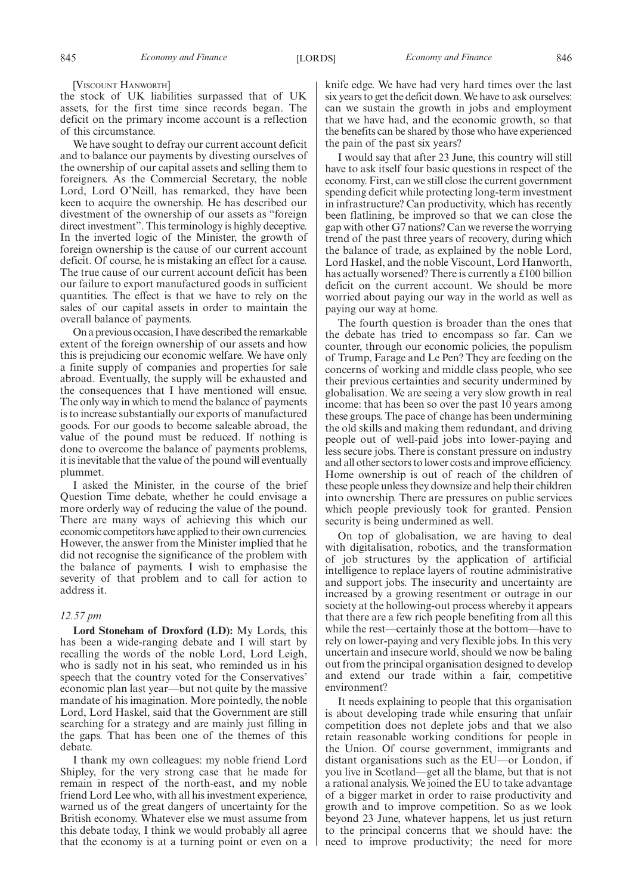[VISCOUNT HANWORTH]

the stock of UK liabilities surpassed that of UK assets, for the first time since records began. The deficit on the primary income account is a reflection of this circumstance.

We have sought to defray our current account deficit and to balance our payments by divesting ourselves of the ownership of our capital assets and selling them to foreigners. As the Commercial Secretary, the noble Lord, Lord O'Neill, has remarked, they have been keen to acquire the ownership. He has described our divestment of the ownership of our assets as "foreign direct investment". This terminology is highly deceptive. In the inverted logic of the Minister, the growth of foreign ownership is the cause of our current account deficit. Of course, he is mistaking an effect for a cause. The true cause of our current account deficit has been our failure to export manufactured goods in sufficient quantities. The effect is that we have to rely on the sales of our capital assets in order to maintain the overall balance of payments.

On a previous occasion, I have described the remarkable extent of the foreign ownership of our assets and how this is prejudicing our economic welfare. We have only a finite supply of companies and properties for sale abroad. Eventually, the supply will be exhausted and the consequences that I have mentioned will ensue. The only way in which to mend the balance of payments is to increase substantially our exports of manufactured goods. For our goods to become saleable abroad, the value of the pound must be reduced. If nothing is done to overcome the balance of payments problems, it is inevitable that the value of the pound will eventually plummet.

I asked the Minister, in the course of the brief Question Time debate, whether he could envisage a more orderly way of reducing the value of the pound. There are many ways of achieving this which our economic competitors have applied to their own currencies. However, the answer from the Minister implied that he did not recognise the significance of the problem with the balance of payments. I wish to emphasise the severity of that problem and to call for action to address it.

# *12.57 pm*

**Lord Stoneham of Droxford (LD):** My Lords, this has been a wide-ranging debate and I will start by recalling the words of the noble Lord, Lord Leigh, who is sadly not in his seat, who reminded us in his speech that the country voted for the Conservatives' economic plan last year—but not quite by the massive mandate of his imagination. More pointedly, the noble Lord, Lord Haskel, said that the Government are still searching for a strategy and are mainly just filling in the gaps. That has been one of the themes of this debate.

I thank my own colleagues: my noble friend Lord Shipley, for the very strong case that he made for remain in respect of the north-east, and my noble friend Lord Lee who, with all his investment experience, warned us of the great dangers of uncertainty for the British economy. Whatever else we must assume from this debate today, I think we would probably all agree that the economy is at a turning point or even on a knife edge. We have had very hard times over the last six years to get the deficit down. We have to ask ourselves: can we sustain the growth in jobs and employment that we have had, and the economic growth, so that the benefits can be shared by those who have experienced the pain of the past six years?

I would say that after 23 June, this country will still have to ask itself four basic questions in respect of the economy. First, can we still close the current government spending deficit while protecting long-term investment in infrastructure? Can productivity, which has recently been flatlining, be improved so that we can close the gap with other G7 nations? Can we reverse the worrying trend of the past three years of recovery, during which the balance of trade, as explained by the noble Lord, Lord Haskel, and the noble Viscount, Lord Hanworth, has actually worsened? There is currently a £100 billion deficit on the current account. We should be more worried about paying our way in the world as well as paying our way at home.

The fourth question is broader than the ones that the debate has tried to encompass so far. Can we counter, through our economic policies, the populism of Trump, Farage and Le Pen? They are feeding on the concerns of working and middle class people, who see their previous certainties and security undermined by globalisation. We are seeing a very slow growth in real income: that has been so over the past 10 years among these groups. The pace of change has been undermining the old skills and making them redundant, and driving people out of well-paid jobs into lower-paying and less secure jobs. There is constant pressure on industry and all other sectors to lower costs and improve efficiency. Home ownership is out of reach of the children of these people unless they downsize and help their children into ownership. There are pressures on public services which people previously took for granted. Pension security is being undermined as well.

On top of globalisation, we are having to deal with digitalisation, robotics, and the transformation of job structures by the application of artificial intelligence to replace layers of routine administrative and support jobs. The insecurity and uncertainty are increased by a growing resentment or outrage in our society at the hollowing-out process whereby it appears that there are a few rich people benefiting from all this while the rest—certainly those at the bottom—have to rely on lower-paying and very flexible jobs. In this very uncertain and insecure world, should we now be baling out from the principal organisation designed to develop and extend our trade within a fair, competitive environment?

It needs explaining to people that this organisation is about developing trade while ensuring that unfair competition does not deplete jobs and that we also retain reasonable working conditions for people in the Union. Of course government, immigrants and distant organisations such as the EU—or London, if you live in Scotland—get all the blame, but that is not a rational analysis. We joined the EU to take advantage of a bigger market in order to raise productivity and growth and to improve competition. So as we look beyond 23 June, whatever happens, let us just return to the principal concerns that we should have: the need to improve productivity; the need for more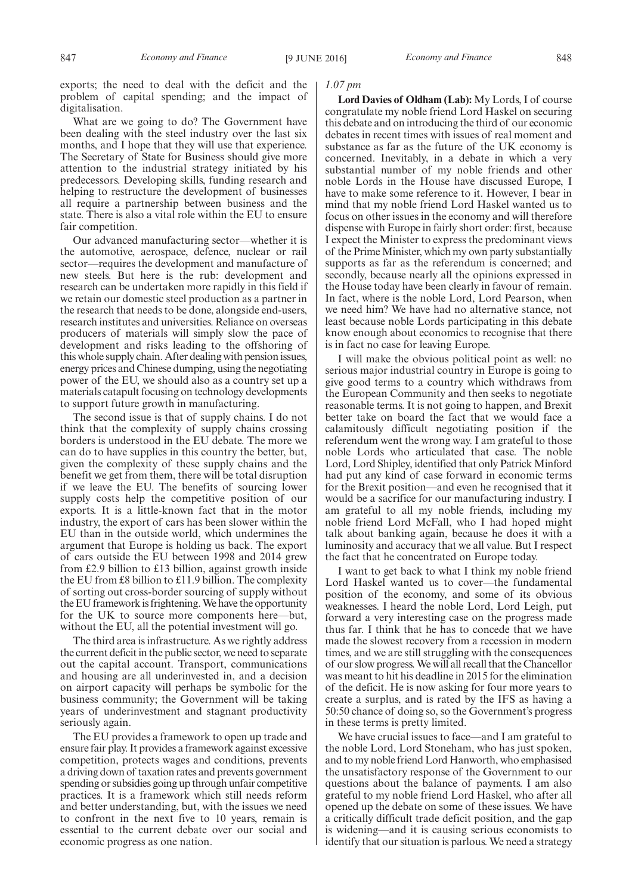exports; the need to deal with the deficit and the problem of capital spending; and the impact of digitalisation.

What are we going to do? The Government have been dealing with the steel industry over the last six months, and I hope that they will use that experience. The Secretary of State for Business should give more attention to the industrial strategy initiated by his predecessors. Developing skills, funding research and helping to restructure the development of businesses all require a partnership between business and the state. There is also a vital role within the EU to ensure fair competition.

Our advanced manufacturing sector—whether it is the automotive, aerospace, defence, nuclear or rail sector—requires the development and manufacture of new steels. But here is the rub: development and research can be undertaken more rapidly in this field if we retain our domestic steel production as a partner in the research that needs to be done, alongside end-users, research institutes and universities. Reliance on overseas producers of materials will simply slow the pace of development and risks leading to the offshoring of this whole supply chain. After dealing with pension issues, energy prices and Chinese dumping, using the negotiating power of the EU, we should also as a country set up a materials catapult focusing on technology developments to support future growth in manufacturing.

The second issue is that of supply chains. I do not think that the complexity of supply chains crossing borders is understood in the EU debate. The more we can do to have supplies in this country the better, but, given the complexity of these supply chains and the benefit we get from them, there will be total disruption if we leave the EU. The benefits of sourcing lower supply costs help the competitive position of our exports. It is a little-known fact that in the motor industry, the export of cars has been slower within the EU than in the outside world, which undermines the argument that Europe is holding us back. The export of cars outside the EU between 1998 and 2014 grew from £2.9 billion to £13 billion, against growth inside the EU from £8 billion to £11.9 billion. The complexity of sorting out cross-border sourcing of supply without the EU framework is frightening. We have the opportunity for the UK to source more components here—but, without the EU, all the potential investment will go.

The third area is infrastructure. As we rightly address the current deficit in the public sector, we need to separate out the capital account. Transport, communications and housing are all underinvested in, and a decision on airport capacity will perhaps be symbolic for the business community; the Government will be taking years of underinvestment and stagnant productivity seriously again.

The EU provides a framework to open up trade and ensure fair play. It provides a framework against excessive competition, protects wages and conditions, prevents a driving down of taxation rates and prevents government spending or subsidies going up through unfair competitive practices. It is a framework which still needs reform and better understanding, but, with the issues we need to confront in the next five to 10 years, remain is essential to the current debate over our social and economic progress as one nation.

#### 847 *Economy and Finance* [9 JUNE 2016] *Economy and Finance* 848

# *1.07 pm*

**Lord Davies of Oldham (Lab):** My Lords, I of course congratulate my noble friend Lord Haskel on securing this debate and on introducing the third of our economic debates in recent times with issues of real moment and substance as far as the future of the UK economy is concerned. Inevitably, in a debate in which a very substantial number of my noble friends and other noble Lords in the House have discussed Europe, I have to make some reference to it. However, I bear in mind that my noble friend Lord Haskel wanted us to focus on other issues in the economy and will therefore dispense with Europe in fairly short order: first, because I expect the Minister to express the predominant views of the Prime Minister, which my own party substantially supports as far as the referendum is concerned; and secondly, because nearly all the opinions expressed in the House today have been clearly in favour of remain. In fact, where is the noble Lord, Lord Pearson, when we need him? We have had no alternative stance, not least because noble Lords participating in this debate know enough about economics to recognise that there is in fact no case for leaving Europe.

I will make the obvious political point as well: no serious major industrial country in Europe is going to give good terms to a country which withdraws from the European Community and then seeks to negotiate reasonable terms. It is not going to happen, and Brexit better take on board the fact that we would face a calamitously difficult negotiating position if the referendum went the wrong way. I am grateful to those noble Lords who articulated that case. The noble Lord, Lord Shipley, identified that only Patrick Minford had put any kind of case forward in economic terms for the Brexit position—and even he recognised that it would be a sacrifice for our manufacturing industry. I am grateful to all my noble friends, including my noble friend Lord McFall, who I had hoped might talk about banking again, because he does it with a luminosity and accuracy that we all value. But I respect the fact that he concentrated on Europe today.

I want to get back to what I think my noble friend Lord Haskel wanted us to cover—the fundamental position of the economy, and some of its obvious weaknesses. I heard the noble Lord, Lord Leigh, put forward a very interesting case on the progress made thus far. I think that he has to concede that we have made the slowest recovery from a recession in modern times, and we are still struggling with the consequences of our slow progress. We will all recall that the Chancellor was meant to hit his deadline in 2015 for the elimination of the deficit. He is now asking for four more years to create a surplus, and is rated by the IFS as having a 50:50 chance of doing so, so the Government's progress in these terms is pretty limited.

We have crucial issues to face—and I am grateful to the noble Lord, Lord Stoneham, who has just spoken, and to my noble friend Lord Hanworth, who emphasised the unsatisfactory response of the Government to our questions about the balance of payments. I am also grateful to my noble friend Lord Haskel, who after all opened up the debate on some of these issues. We have a critically difficult trade deficit position, and the gap is widening—and it is causing serious economists to identify that our situation is parlous. We need a strategy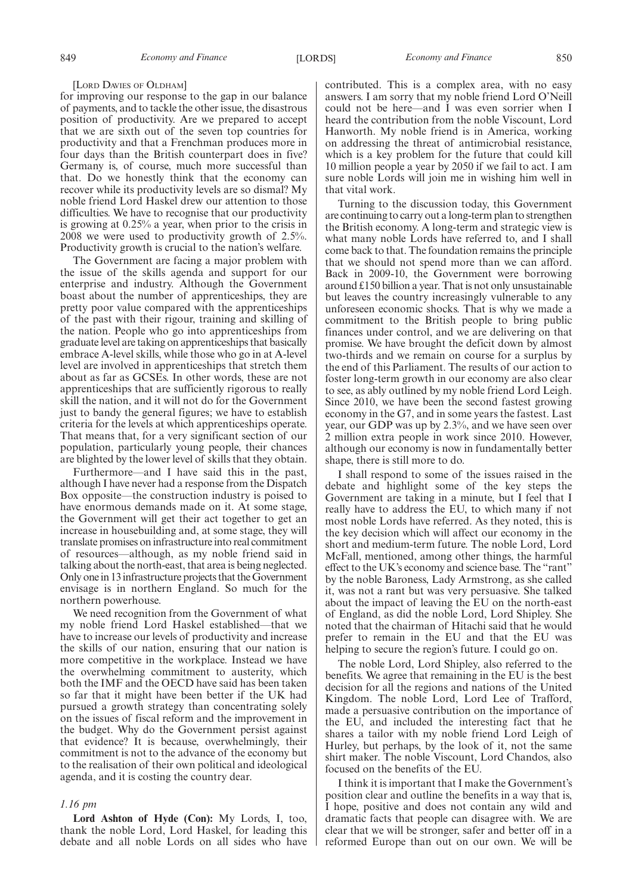#### [LORD DAVIES OF OLDHAM]

for improving our response to the gap in our balance of payments, and to tackle the other issue, the disastrous position of productivity. Are we prepared to accept that we are sixth out of the seven top countries for productivity and that a Frenchman produces more in four days than the British counterpart does in five? Germany is, of course, much more successful than that. Do we honestly think that the economy can recover while its productivity levels are so dismal? My noble friend Lord Haskel drew our attention to those difficulties. We have to recognise that our productivity is growing at 0.25% a year, when prior to the crisis in 2008 we were used to productivity growth of 2.5%. Productivity growth is crucial to the nation's welfare.

The Government are facing a major problem with the issue of the skills agenda and support for our enterprise and industry. Although the Government boast about the number of apprenticeships, they are pretty poor value compared with the apprenticeships of the past with their rigour, training and skilling of the nation. People who go into apprenticeships from graduate level are taking on apprenticeships that basically embrace A-level skills, while those who go in at A-level level are involved in apprenticeships that stretch them about as far as GCSEs. In other words, these are not apprenticeships that are sufficiently rigorous to really skill the nation, and it will not do for the Government just to bandy the general figures; we have to establish criteria for the levels at which apprenticeships operate. That means that, for a very significant section of our population, particularly young people, their chances are blighted by the lower level of skills that they obtain.

Furthermore—and I have said this in the past, although I have never had a response from the Dispatch Box opposite—the construction industry is poised to have enormous demands made on it. At some stage, the Government will get their act together to get an increase in housebuilding and, at some stage, they will translate promises on infrastructure into real commitment of resources—although, as my noble friend said in talking about the north-east, that area is being neglected. Only one in 13 infrastructure projects that the Government envisage is in northern England. So much for the northern powerhouse.

We need recognition from the Government of what my noble friend Lord Haskel established—that we have to increase our levels of productivity and increase the skills of our nation, ensuring that our nation is more competitive in the workplace. Instead we have the overwhelming commitment to austerity, which both the IMF and the OECD have said has been taken so far that it might have been better if the UK had pursued a growth strategy than concentrating solely on the issues of fiscal reform and the improvement in the budget. Why do the Government persist against that evidence? It is because, overwhelmingly, their commitment is not to the advance of the economy but to the realisation of their own political and ideological agenda, and it is costing the country dear.

### *1.16 pm*

**Lord Ashton of Hyde (Con):** My Lords, I, too, thank the noble Lord, Lord Haskel, for leading this debate and all noble Lords on all sides who have contributed. This is a complex area, with no easy answers. I am sorry that my noble friend Lord O'Neill could not be here—and I was even sorrier when I heard the contribution from the noble Viscount, Lord Hanworth. My noble friend is in America, working on addressing the threat of antimicrobial resistance, which is a key problem for the future that could kill 10 million people a year by 2050 if we fail to act. I am sure noble Lords will join me in wishing him well in that vital work.

Turning to the discussion today, this Government are continuing to carry out a long-term plan to strengthen the British economy. A long-term and strategic view is what many noble Lords have referred to, and I shall come back to that. The foundation remains the principle that we should not spend more than we can afford. Back in 2009-10, the Government were borrowing around £150 billion a year. That is not only unsustainable but leaves the country increasingly vulnerable to any unforeseen economic shocks. That is why we made a commitment to the British people to bring public finances under control, and we are delivering on that promise. We have brought the deficit down by almost two-thirds and we remain on course for a surplus by the end of this Parliament. The results of our action to foster long-term growth in our economy are also clear to see, as ably outlined by my noble friend Lord Leigh. Since 2010, we have been the second fastest growing economy in the G7, and in some years the fastest. Last year, our GDP was up by 2.3%, and we have seen over 2 million extra people in work since 2010. However, although our economy is now in fundamentally better shape, there is still more to do.

I shall respond to some of the issues raised in the debate and highlight some of the key steps the Government are taking in a minute, but I feel that I really have to address the EU, to which many if not most noble Lords have referred. As they noted, this is the key decision which will affect our economy in the short and medium-term future. The noble Lord, Lord McFall, mentioned, among other things, the harmful effect to the UK's economy and science base. The "rant" by the noble Baroness, Lady Armstrong, as she called it, was not a rant but was very persuasive. She talked about the impact of leaving the EU on the north-east of England, as did the noble Lord, Lord Shipley. She noted that the chairman of Hitachi said that he would prefer to remain in the EU and that the EU was helping to secure the region's future. I could go on.

The noble Lord, Lord Shipley, also referred to the benefits. We agree that remaining in the EU is the best decision for all the regions and nations of the United Kingdom. The noble Lord, Lord Lee of Trafford, made a persuasive contribution on the importance of the EU, and included the interesting fact that he shares a tailor with my noble friend Lord Leigh of Hurley, but perhaps, by the look of it, not the same shirt maker. The noble Viscount, Lord Chandos, also focused on the benefits of the EU.

I think it is important that I make the Government's position clear and outline the benefits in a way that is, I hope, positive and does not contain any wild and dramatic facts that people can disagree with. We are clear that we will be stronger, safer and better off in a reformed Europe than out on our own. We will be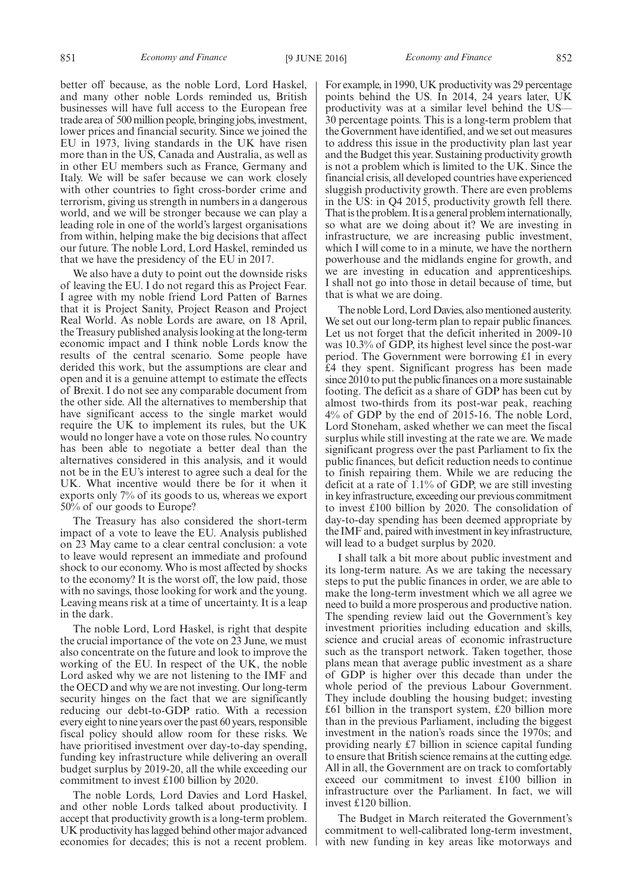better off because, as the noble Lord, Lord Haskel, and many other noble Lords reminded us, British businesses will have full access to the European free trade area of 500 million people, bringing jobs, investment, lower prices and financial security. Since we joined the EU in 1973, living standards in the UK have risen more than in the US, Canada and Australia, as well as in other EU members such as France, Germany and Italy. We will be safer because we can work closely with other countries to fight cross-border crime and terrorism, giving us strength in numbers in a dangerous world, and we will be stronger because we can play a leading role in one of the world's largest organisations from within, helping make the big decisions that affect our future. The noble Lord, Lord Haskel, reminded us that we have the presidency of the EU in 2017.

We also have a duty to point out the downside risks of leaving the EU. I do not regard this as Project Fear. I agree with my noble friend Lord Patten of Barnes that it is Project Sanity, Project Reason and Project Real World. As noble Lords are aware, on 18 April, the Treasury published analysis looking at the long-term economic impact and I think noble Lords know the results of the central scenario. Some people have derided this work, but the assumptions are clear and open and it is a genuine attempt to estimate the effects of Brexit. I do not see any comparable document from the other side. All the alternatives to membership that have significant access to the single market would require the UK to implement its rules, but the UK would no longer have a vote on those rules. No country has been able to negotiate a better deal than the alternatives considered in this analysis, and it would not be in the EU's interest to agree such a deal for the UK. What incentive would there be for it when it exports only 7% of its goods to us, whereas we export 50% of our goods to Europe?

The Treasury has also considered the short-term impact of a vote to leave the EU. Analysis published on 23 May came to a clear central conclusion: a vote to leave would represent an immediate and profound shock to our economy. Who is most affected by shocks to the economy? It is the worst off, the low paid, those with no savings, those looking for work and the young. Leaving means risk at a time of uncertainty. It is a leap in the dark.

The noble Lord, Lord Haskel, is right that despite the crucial importance of the vote on 23 June, we must also concentrate on the future and look to improve the working of the EU. In respect of the UK, the noble Lord asked why we are not listening to the IMF and the OECD and why we are not investing. Our long-term security hinges on the fact that we are significantly reducing our debt-to-GDP ratio. With a recession every eight to nine years over the past 60 years, responsible fiscal policy should allow room for these risks. We have prioritised investment over day-to-day spending, funding key infrastructure while delivering an overall budget surplus by 2019-20, all the while exceeding our commitment to invest £100 billion by 2020.

The noble Lords, Lord Davies and Lord Haskel, and other noble Lords talked about productivity. I accept that productivity growth is a long-term problem. UK productivity has lagged behind other major advanced economies for decades; this is not a recent problem. For example, in 1990, UK productivity was 29 percentage points behind the US. In 2014, 24 years later, UK productivity was at a similar level behind the US— 30 percentage points. This is a long-term problem that the Government have identified, and we set out measures to address this issue in the productivity plan last year and the Budget this year. Sustaining productivity growth is not a problem which is limited to the UK. Since the financial crisis, all developed countries have experienced sluggish productivity growth. There are even problems in the US: in Q4 2015, productivity growth fell there. That is the problem. It is a general problem internationally, so what are we doing about it? We are investing in infrastructure, we are increasing public investment, which I will come to in a minute, we have the northern powerhouse and the midlands engine for growth, and we are investing in education and apprenticeships. I shall not go into those in detail because of time, but that is what we are doing.

The noble Lord, Lord Davies, also mentioned austerity. We set out our long-term plan to repair public finances. Let us not forget that the deficit inherited in 2009-10 was 10.3% of GDP, its highest level since the post-war period. The Government were borrowing £1 in every £4 they spent. Significant progress has been made since 2010 to put the public finances on a more sustainable footing. The deficit as a share of GDP has been cut by almost two-thirds from its post-war peak, reaching 4% of GDP by the end of 2015-16. The noble Lord, Lord Stoneham, asked whether we can meet the fiscal surplus while still investing at the rate we are. We made significant progress over the past Parliament to fix the public finances, but deficit reduction needs to continue to finish repairing them. While we are reducing the deficit at a rate of 1.1% of GDP, we are still investing in key infrastructure, exceeding our previous commitment to invest £100 billion by 2020. The consolidation of day-to-day spending has been deemed appropriate by the IMF and, paired with investment in key infrastructure, will lead to a budget surplus by 2020.

I shall talk a bit more about public investment and its long-term nature. As we are taking the necessary steps to put the public finances in order, we are able to make the long-term investment which we all agree we need to build a more prosperous and productive nation. The spending review laid out the Government's key investment priorities including education and skills, science and crucial areas of economic infrastructure such as the transport network. Taken together, those plans mean that average public investment as a share of GDP is higher over this decade than under the whole period of the previous Labour Government. They include doubling the housing budget; investing £61 billion in the transport system, £20 billion more than in the previous Parliament, including the biggest investment in the nation's roads since the 1970s; and providing nearly £7 billion in science capital funding to ensure that British science remains at the cutting edge. All in all, the Government are on track to comfortably exceed our commitment to invest £100 billion in infrastructure over the Parliament. In fact, we will invest £120 billion.

The Budget in March reiterated the Government's commitment to well-calibrated long-term investment, with new funding in key areas like motorways and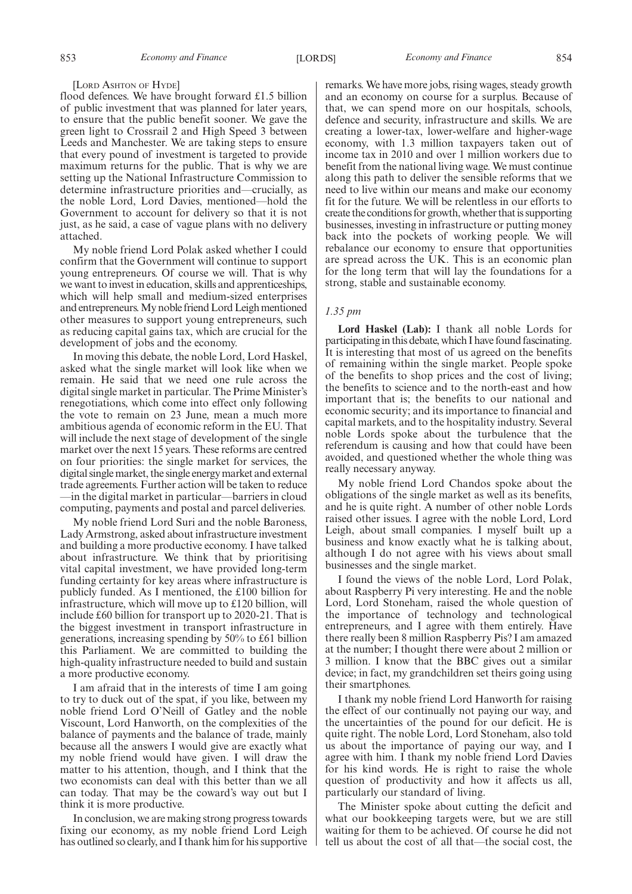# [LORD ASHTON OF HYDE]

flood defences. We have brought forward £1.5 billion of public investment that was planned for later years, to ensure that the public benefit sooner. We gave the green light to Crossrail 2 and High Speed 3 between Leeds and Manchester. We are taking steps to ensure that every pound of investment is targeted to provide maximum returns for the public. That is why we are setting up the National Infrastructure Commission to determine infrastructure priorities and—crucially, as the noble Lord, Lord Davies, mentioned—hold the Government to account for delivery so that it is not just, as he said, a case of vague plans with no delivery attached.

My noble friend Lord Polak asked whether I could confirm that the Government will continue to support young entrepreneurs. Of course we will. That is why we want to invest in education, skills and apprenticeships, which will help small and medium-sized enterprises and entrepreneurs. My noble friend Lord Leigh mentioned other measures to support young entrepreneurs, such as reducing capital gains tax, which are crucial for the development of jobs and the economy.

In moving this debate, the noble Lord, Lord Haskel, asked what the single market will look like when we remain. He said that we need one rule across the digital single market in particular. The Prime Minister's renegotiations, which come into effect only following the vote to remain on 23 June, mean a much more ambitious agenda of economic reform in the EU. That will include the next stage of development of the single market over the next 15 years. These reforms are centred on four priorities: the single market for services, the digital single market, the single energy market and external trade agreements. Further action will be taken to reduce —in the digital market in particular—barriers in cloud computing, payments and postal and parcel deliveries.

My noble friend Lord Suri and the noble Baroness, Lady Armstrong, asked about infrastructure investment and building a more productive economy. I have talked about infrastructure. We think that by prioritising vital capital investment, we have provided long-term funding certainty for key areas where infrastructure is publicly funded. As I mentioned, the £100 billion for infrastructure, which will move up to £120 billion, will include £60 billion for transport up to 2020-21. That is the biggest investment in transport infrastructure in generations, increasing spending by 50% to £61 billion this Parliament. We are committed to building the high-quality infrastructure needed to build and sustain a more productive economy.

I am afraid that in the interests of time I am going to try to duck out of the spat, if you like, between my noble friend Lord O'Neill of Gatley and the noble Viscount, Lord Hanworth, on the complexities of the balance of payments and the balance of trade, mainly because all the answers I would give are exactly what my noble friend would have given. I will draw the matter to his attention, though, and I think that the two economists can deal with this better than we all can today. That may be the coward's way out but I think it is more productive.

In conclusion, we are making strong progress towards fixing our economy, as my noble friend Lord Leigh has outlined so clearly, and I thank him for his supportive remarks. We have more jobs, rising wages, steady growth and an economy on course for a surplus. Because of that, we can spend more on our hospitals, schools, defence and security, infrastructure and skills. We are creating a lower-tax, lower-welfare and higher-wage economy, with 1.3 million taxpayers taken out of income tax in 2010 and over 1 million workers due to benefit from the national living wage. We must continue along this path to deliver the sensible reforms that we need to live within our means and make our economy fit for the future. We will be relentless in our efforts to create the conditions for growth, whether that is supporting businesses, investing in infrastructure or putting money back into the pockets of working people. We will rebalance our economy to ensure that opportunities are spread across the UK. This is an economic plan for the long term that will lay the foundations for a strong, stable and sustainable economy.

# *1.35 pm*

**Lord Haskel (Lab):** I thank all noble Lords for participating in this debate, which I have found fascinating. It is interesting that most of us agreed on the benefits of remaining within the single market. People spoke of the benefits to shop prices and the cost of living; the benefits to science and to the north-east and how important that is; the benefits to our national and economic security; and its importance to financial and capital markets, and to the hospitality industry. Several noble Lords spoke about the turbulence that the referendum is causing and how that could have been avoided, and questioned whether the whole thing was really necessary anyway.

My noble friend Lord Chandos spoke about the obligations of the single market as well as its benefits, and he is quite right. A number of other noble Lords raised other issues. I agree with the noble Lord, Lord Leigh, about small companies. I myself built up a business and know exactly what he is talking about, although I do not agree with his views about small businesses and the single market.

I found the views of the noble Lord, Lord Polak, about Raspberry Pi very interesting. He and the noble Lord, Lord Stoneham, raised the whole question of the importance of technology and technological entrepreneurs, and I agree with them entirely. Have there really been 8 million Raspberry Pis? I am amazed at the number; I thought there were about 2 million or 3 million. I know that the BBC gives out a similar device; in fact, my grandchildren set theirs going using their smartphones.

I thank my noble friend Lord Hanworth for raising the effect of our continually not paying our way, and the uncertainties of the pound for our deficit. He is quite right. The noble Lord, Lord Stoneham, also told us about the importance of paying our way, and I agree with him. I thank my noble friend Lord Davies for his kind words. He is right to raise the whole question of productivity and how it affects us all, particularly our standard of living.

The Minister spoke about cutting the deficit and what our bookkeeping targets were, but we are still waiting for them to be achieved. Of course he did not tell us about the cost of all that—the social cost, the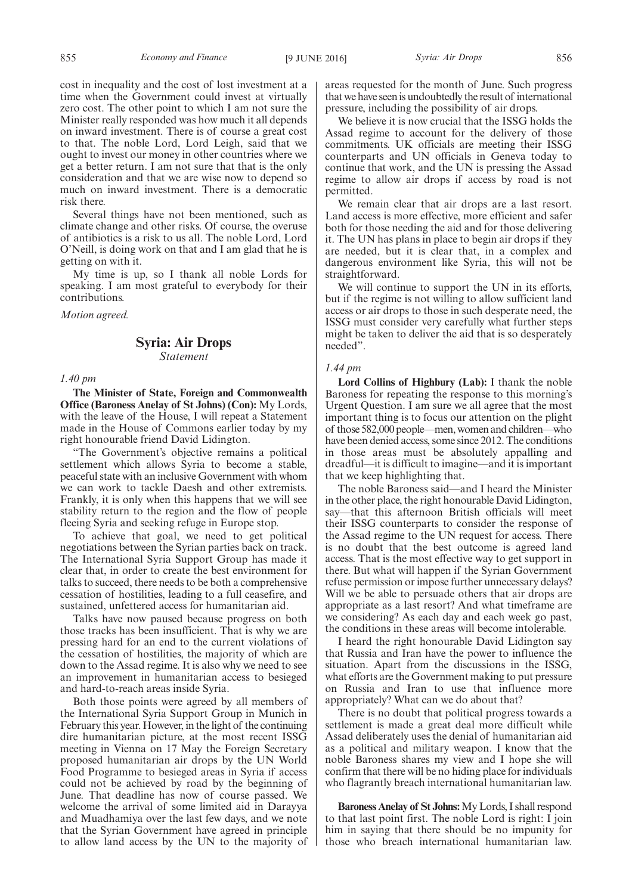cost in inequality and the cost of lost investment at a time when the Government could invest at virtually zero cost. The other point to which I am not sure the Minister really responded was how much it all depends on inward investment. There is of course a great cost to that. The noble Lord, Lord Leigh, said that we ought to invest our money in other countries where we get a better return. I am not sure that that is the only consideration and that we are wise now to depend so much on inward investment. There is a democratic risk there.

Several things have not been mentioned, such as climate change and other risks. Of course, the overuse of antibiotics is a risk to us all. The noble Lord, Lord O'Neill, is doing work on that and I am glad that he is getting on with it.

My time is up, so I thank all noble Lords for speaking. I am most grateful to everybody for their contributions.

*Motion agreed.*

# **Syria: Air Drops** *Statement*

# *1.40 pm*

**The Minister of State, Foreign and Commonwealth Office (Baroness Anelay of St Johns) (Con):** My Lords, with the leave of the House, I will repeat a Statement made in the House of Commons earlier today by my right honourable friend David Lidington.

"The Government's objective remains a political settlement which allows Syria to become a stable, peaceful state with an inclusive Government with whom we can work to tackle Daesh and other extremists. Frankly, it is only when this happens that we will see stability return to the region and the flow of people fleeing Syria and seeking refuge in Europe stop.

To achieve that goal, we need to get political negotiations between the Syrian parties back on track. The International Syria Support Group has made it clear that, in order to create the best environment for talks to succeed, there needs to be both a comprehensive cessation of hostilities, leading to a full ceasefire, and sustained, unfettered access for humanitarian aid.

Talks have now paused because progress on both those tracks has been insufficient. That is why we are pressing hard for an end to the current violations of the cessation of hostilities, the majority of which are down to the Assad regime. It is also why we need to see an improvement in humanitarian access to besieged and hard-to-reach areas inside Syria.

Both those points were agreed by all members of the International Syria Support Group in Munich in February this year. However, in the light of the continuing dire humanitarian picture, at the most recent ISSG meeting in Vienna on 17 May the Foreign Secretary proposed humanitarian air drops by the UN World Food Programme to besieged areas in Syria if access could not be achieved by road by the beginning of June. That deadline has now of course passed. We welcome the arrival of some limited aid in Darayya and Muadhamiya over the last few days, and we note that the Syrian Government have agreed in principle to allow land access by the UN to the majority of areas requested for the month of June. Such progress that we have seen is undoubtedly the result of international pressure, including the possibility of air drops.

We believe it is now crucial that the ISSG holds the Assad regime to account for the delivery of those commitments. UK officials are meeting their ISSG counterparts and UN officials in Geneva today to continue that work, and the UN is pressing the Assad regime to allow air drops if access by road is not permitted.

We remain clear that air drops are a last resort. Land access is more effective, more efficient and safer both for those needing the aid and for those delivering it. The UN has plans in place to begin air drops if they are needed, but it is clear that, in a complex and dangerous environment like Syria, this will not be straightforward.

We will continue to support the UN in its efforts, but if the regime is not willing to allow sufficient land access or air drops to those in such desperate need, the ISSG must consider very carefully what further steps might be taken to deliver the aid that is so desperately needed".

# *1.44 pm*

**Lord Collins of Highbury (Lab):** I thank the noble Baroness for repeating the response to this morning's Urgent Question. I am sure we all agree that the most important thing is to focus our attention on the plight of those 582,000 people—men, women and children—who have been denied access, some since 2012. The conditions in those areas must be absolutely appalling and dreadful—it is difficult to imagine—and it is important that we keep highlighting that.

The noble Baroness said—and I heard the Minister in the other place, the right honourable David Lidington, say—that this afternoon British officials will meet their ISSG counterparts to consider the response of the Assad regime to the UN request for access. There is no doubt that the best outcome is agreed land access. That is the most effective way to get support in there. But what will happen if the Syrian Government refuse permission or impose further unnecessary delays? Will we be able to persuade others that air drops are appropriate as a last resort? And what timeframe are we considering? As each day and each week go past, the conditions in these areas will become intolerable.

I heard the right honourable David Lidington say that Russia and Iran have the power to influence the situation. Apart from the discussions in the ISSG, what efforts are the Government making to put pressure on Russia and Iran to use that influence more appropriately? What can we do about that?

There is no doubt that political progress towards a settlement is made a great deal more difficult while Assad deliberately uses the denial of humanitarian aid as a political and military weapon. I know that the noble Baroness shares my view and I hope she will confirm that there will be no hiding place for individuals who flagrantly breach international humanitarian law.

**Baroness Anelay of St Johns:**My Lords, I shall respond to that last point first. The noble Lord is right: I join him in saying that there should be no impunity for those who breach international humanitarian law.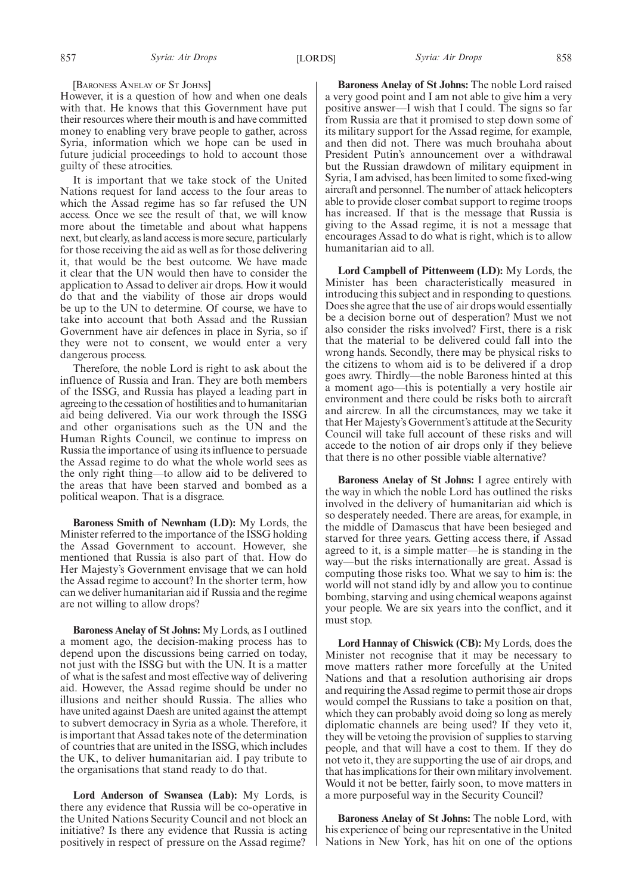#### [BARONESS ANELAY OF S<sup>T</sup> JOHNS]

However, it is a question of how and when one deals with that. He knows that this Government have put their resources where their mouth is and have committed money to enabling very brave people to gather, across Syria, information which we hope can be used in future judicial proceedings to hold to account those guilty of these atrocities.

It is important that we take stock of the United Nations request for land access to the four areas to which the Assad regime has so far refused the UN access. Once we see the result of that, we will know more about the timetable and about what happens next, but clearly, as land access is more secure, particularly for those receiving the aid as well as for those delivering it, that would be the best outcome. We have made it clear that the UN would then have to consider the application to Assad to deliver air drops. How it would do that and the viability of those air drops would be up to the UN to determine. Of course, we have to take into account that both Assad and the Russian Government have air defences in place in Syria, so if they were not to consent, we would enter a very dangerous process.

Therefore, the noble Lord is right to ask about the influence of Russia and Iran. They are both members of the ISSG, and Russia has played a leading part in agreeing to the cessation of hostilities and to humanitarian aid being delivered. Via our work through the ISSG and other organisations such as the UN and the Human Rights Council, we continue to impress on Russia the importance of using its influence to persuade the Assad regime to do what the whole world sees as the only right thing—to allow aid to be delivered to the areas that have been starved and bombed as a political weapon. That is a disgrace.

**Baroness Smith of Newnham (LD):** My Lords, the Minister referred to the importance of the ISSG holding the Assad Government to account. However, she mentioned that Russia is also part of that. How do Her Majesty's Government envisage that we can hold the Assad regime to account? In the shorter term, how can we deliver humanitarian aid if Russia and the regime are not willing to allow drops?

**Baroness Anelay of St Johns:** My Lords, as I outlined a moment ago, the decision-making process has to depend upon the discussions being carried on today, not just with the ISSG but with the UN. It is a matter of what is the safest and most effective way of delivering aid. However, the Assad regime should be under no illusions and neither should Russia. The allies who have united against Daesh are united against the attempt to subvert democracy in Syria as a whole. Therefore, it is important that Assad takes note of the determination of countries that are united in the ISSG, which includes the UK, to deliver humanitarian aid. I pay tribute to the organisations that stand ready to do that.

**Lord Anderson of Swansea (Lab):** My Lords, is there any evidence that Russia will be co-operative in the United Nations Security Council and not block an initiative? Is there any evidence that Russia is acting positively in respect of pressure on the Assad regime?

**Baroness Anelay of St Johns:** The noble Lord raised a very good point and I am not able to give him a very positive answer—I wish that I could. The signs so far from Russia are that it promised to step down some of its military support for the Assad regime, for example, and then did not. There was much brouhaha about President Putin's announcement over a withdrawal but the Russian drawdown of military equipment in Syria, I am advised, has been limited to some fixed-wing aircraft and personnel. The number of attack helicopters able to provide closer combat support to regime troops has increased. If that is the message that Russia is giving to the Assad regime, it is not a message that encourages Assad to do what is right, which is to allow humanitarian aid to all.

**Lord Campbell of Pittenweem (LD):** My Lords, the Minister has been characteristically measured in introducing this subject and in responding to questions. Does she agree that the use of air drops would essentially be a decision borne out of desperation? Must we not also consider the risks involved? First, there is a risk that the material to be delivered could fall into the wrong hands. Secondly, there may be physical risks to the citizens to whom aid is to be delivered if a drop goes awry. Thirdly—the noble Baroness hinted at this a moment ago—this is potentially a very hostile air environment and there could be risks both to aircraft and aircrew. In all the circumstances, may we take it that Her Majesty's Government's attitude at the Security Council will take full account of these risks and will accede to the notion of air drops only if they believe that there is no other possible viable alternative?

**Baroness Anelay of St Johns:** I agree entirely with the way in which the noble Lord has outlined the risks involved in the delivery of humanitarian aid which is so desperately needed. There are areas, for example, in the middle of Damascus that have been besieged and starved for three years. Getting access there, if Assad agreed to it, is a simple matter—he is standing in the way—but the risks internationally are great. Assad is computing those risks too. What we say to him is: the world will not stand idly by and allow you to continue bombing, starving and using chemical weapons against your people. We are six years into the conflict, and it must stop.

**Lord Hannay of Chiswick (CB):** My Lords, does the Minister not recognise that it may be necessary to move matters rather more forcefully at the United Nations and that a resolution authorising air drops and requiring the Assad regime to permit those air drops would compel the Russians to take a position on that, which they can probably avoid doing so long as merely diplomatic channels are being used? If they veto it, they will be vetoing the provision of supplies to starving people, and that will have a cost to them. If they do not veto it, they are supporting the use of air drops, and that has implications for their own military involvement. Would it not be better, fairly soon, to move matters in a more purposeful way in the Security Council?

**Baroness Anelay of St Johns:** The noble Lord, with his experience of being our representative in the United Nations in New York, has hit on one of the options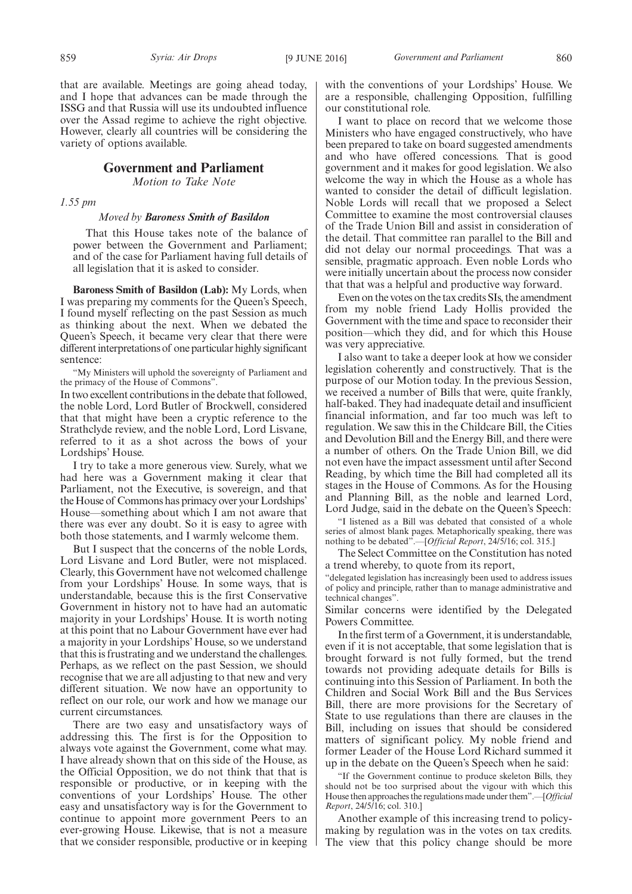that are available. Meetings are going ahead today, and I hope that advances can be made through the ISSG and that Russia will use its undoubted influence over the Assad regime to achieve the right objective. However, clearly all countries will be considering the variety of options available.

# **Government and Parliament**

*Motion to Take Note*

*1.55 pm*

# *Moved by Baroness Smith of Basildon*

That this House takes note of the balance of power between the Government and Parliament; and of the case for Parliament having full details of all legislation that it is asked to consider.

**Baroness Smith of Basildon (Lab):** My Lords, when I was preparing my comments for the Queen's Speech, I found myself reflecting on the past Session as much as thinking about the next. When we debated the Queen's Speech, it became very clear that there were different interpretations of one particular highly significant sentence:

"My Ministers will uphold the sovereignty of Parliament and the primacy of the House of Commons".

In two excellent contributions in the debate that followed, the noble Lord, Lord Butler of Brockwell, considered that that might have been a cryptic reference to the Strathclyde review, and the noble Lord, Lord Lisvane, referred to it as a shot across the bows of your Lordships' House.

I try to take a more generous view. Surely, what we had here was a Government making it clear that Parliament, not the Executive, is sovereign, and that the House of Commons has primacy over your Lordships' House—something about which I am not aware that there was ever any doubt. So it is easy to agree with both those statements, and I warmly welcome them.

But I suspect that the concerns of the noble Lords, Lord Lisvane and Lord Butler, were not misplaced. Clearly, this Government have not welcomed challenge from your Lordships' House. In some ways, that is understandable, because this is the first Conservative Government in history not to have had an automatic majority in your Lordships' House. It is worth noting at this point that no Labour Government have ever had a majority in your Lordships' House, so we understand that this is frustrating and we understand the challenges. Perhaps, as we reflect on the past Session, we should recognise that we are all adjusting to that new and very different situation. We now have an opportunity to reflect on our role, our work and how we manage our current circumstances.

There are two easy and unsatisfactory ways of addressing this. The first is for the Opposition to always vote against the Government, come what may. I have already shown that on this side of the House, as the Official Opposition, we do not think that that is responsible or productive, or in keeping with the conventions of your Lordships' House. The other easy and unsatisfactory way is for the Government to continue to appoint more government Peers to an ever-growing House. Likewise, that is not a measure that we consider responsible, productive or in keeping with the conventions of your Lordships' House. We are a responsible, challenging Opposition, fulfilling our constitutional role.

I want to place on record that we welcome those Ministers who have engaged constructively, who have been prepared to take on board suggested amendments and who have offered concessions. That is good government and it makes for good legislation. We also welcome the way in which the House as a whole has wanted to consider the detail of difficult legislation. Noble Lords will recall that we proposed a Select Committee to examine the most controversial clauses of the Trade Union Bill and assist in consideration of the detail. That committee ran parallel to the Bill and did not delay our normal proceedings. That was a sensible, pragmatic approach. Even noble Lords who were initially uncertain about the process now consider that that was a helpful and productive way forward.

Even on the votes on the tax credits SIs, the amendment from my noble friend Lady Hollis provided the Government with the time and space to reconsider their position—which they did, and for which this House was very appreciative.

I also want to take a deeper look at how we consider legislation coherently and constructively. That is the purpose of our Motion today. In the previous Session, we received a number of Bills that were, quite frankly, half-baked. They had inadequate detail and insufficient financial information, and far too much was left to regulation. We saw this in the Childcare Bill, the Cities and Devolution Bill and the Energy Bill, and there were a number of others. On the Trade Union Bill, we did not even have the impact assessment until after Second Reading, by which time the Bill had completed all its stages in the House of Commons. As for the Housing and Planning Bill, as the noble and learned Lord, Lord Judge, said in the debate on the Queen's Speech:

"I listened as a Bill was debated that consisted of a whole series of almost blank pages. Metaphorically speaking, there was nothing to be debated".—[*Official Report*, 24/5/16; col. 315.]

The Select Committee on the Constitution has noted a trend whereby, to quote from its report,

"delegated legislation has increasingly been used to address issues of policy and principle, rather than to manage administrative and technical changes".

Similar concerns were identified by the Delegated Powers Committee.

In the first term of a Government, it is understandable, even if it is not acceptable, that some legislation that is brought forward is not fully formed, but the trend towards not providing adequate details for Bills is continuing into this Session of Parliament. In both the Children and Social Work Bill and the Bus Services Bill, there are more provisions for the Secretary of State to use regulations than there are clauses in the Bill, including on issues that should be considered matters of significant policy. My noble friend and former Leader of the House Lord Richard summed it up in the debate on the Queen's Speech when he said:

"If the Government continue to produce skeleton Bills, they should not be too surprised about the vigour with which this House then approaches the regulations made under them".—[*Official Report*, 24/5/16; col. 310.]

Another example of this increasing trend to policymaking by regulation was in the votes on tax credits. The view that this policy change should be more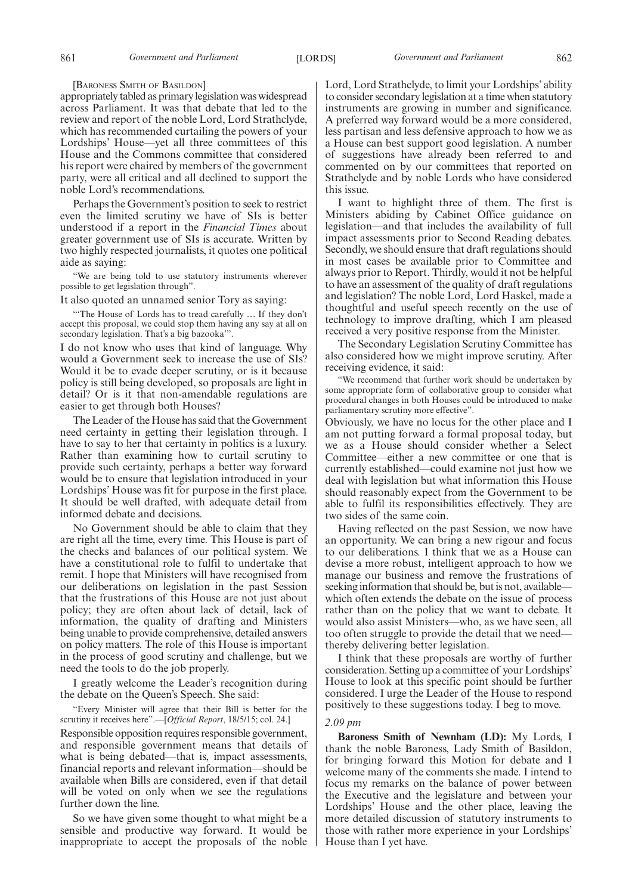[BARONESS SMITH OF BASILDON]

appropriately tabled as primary legislation was widespread across Parliament. It was that debate that led to the review and report of the noble Lord, Lord Strathclyde, which has recommended curtailing the powers of your Lordships' House—yet all three committees of this House and the Commons committee that considered his report were chaired by members of the government party, were all critical and all declined to support the noble Lord's recommendations.

Perhaps the Government's position to seek to restrict even the limited scrutiny we have of SIs is better understood if a report in the *Financial Times* about greater government use of SIs is accurate. Written by two highly respected journalists, it quotes one political aide as saying:

"We are being told to use statutory instruments wherever possible to get legislation through".

It also quoted an unnamed senior Tory as saying:

"'The House of Lords has to tread carefully … If they don't accept this proposal, we could stop them having any say at all on secondary legislation. That's a big bazooka'".

I do not know who uses that kind of language. Why would a Government seek to increase the use of SIs? Would it be to evade deeper scrutiny, or is it because policy is still being developed, so proposals are light in detail? Or is it that non-amendable regulations are easier to get through both Houses?

The Leader of the House has said that the Government need certainty in getting their legislation through. I have to say to her that certainty in politics is a luxury. Rather than examining how to curtail scrutiny to provide such certainty, perhaps a better way forward would be to ensure that legislation introduced in your Lordships' House was fit for purpose in the first place. It should be well drafted, with adequate detail from informed debate and decisions.

No Government should be able to claim that they are right all the time, every time. This House is part of the checks and balances of our political system. We have a constitutional role to fulfil to undertake that remit. I hope that Ministers will have recognised from our deliberations on legislation in the past Session that the frustrations of this House are not just about policy; they are often about lack of detail, lack of information, the quality of drafting and Ministers being unable to provide comprehensive, detailed answers on policy matters. The role of this House is important in the process of good scrutiny and challenge, but we need the tools to do the job properly.

I greatly welcome the Leader's recognition during the debate on the Queen's Speech. She said:

"Every Minister will agree that their Bill is better for the scrutiny it receives here".—[*Official Report*, 18/5/15; col. 24.]

Responsible opposition requires responsible government, and responsible government means that details of what is being debated—that is, impact assessments, financial reports and relevant information—should be available when Bills are considered, even if that detail will be voted on only when we see the regulations further down the line.

So we have given some thought to what might be a sensible and productive way forward. It would be inappropriate to accept the proposals of the noble Lord, Lord Strathclyde, to limit your Lordships' ability to consider secondary legislation at a time when statutory instruments are growing in number and significance. A preferred way forward would be a more considered, less partisan and less defensive approach to how we as a House can best support good legislation. A number of suggestions have already been referred to and commented on by our committees that reported on Strathclyde and by noble Lords who have considered this issue.

I want to highlight three of them. The first is Ministers abiding by Cabinet Office guidance on legislation—and that includes the availability of full impact assessments prior to Second Reading debates. Secondly, we should ensure that draft regulations should in most cases be available prior to Committee and always prior to Report. Thirdly, would it not be helpful to have an assessment of the quality of draft regulations and legislation? The noble Lord, Lord Haskel, made a thoughtful and useful speech recently on the use of technology to improve drafting, which I am pleased received a very positive response from the Minister.

The Secondary Legislation Scrutiny Committee has also considered how we might improve scrutiny. After receiving evidence, it said:

"We recommend that further work should be undertaken by some appropriate form of collaborative group to consider what procedural changes in both Houses could be introduced to make parliamentary scrutiny more effective".

Obviously, we have no locus for the other place and I am not putting forward a formal proposal today, but we as a House should consider whether a Select Committee—either a new committee or one that is currently established—could examine not just how we deal with legislation but what information this House should reasonably expect from the Government to be able to fulfil its responsibilities effectively. They are two sides of the same coin.

Having reflected on the past Session, we now have an opportunity. We can bring a new rigour and focus to our deliberations. I think that we as a House can devise a more robust, intelligent approach to how we manage our business and remove the frustrations of seeking information that should be, but is not, available which often extends the debate on the issue of process rather than on the policy that we want to debate. It would also assist Ministers—who, as we have seen, all too often struggle to provide the detail that we need thereby delivering better legislation.

I think that these proposals are worthy of further consideration. Setting up a committee of your Lordships' House to look at this specific point should be further considered. I urge the Leader of the House to respond positively to these suggestions today. I beg to move.

#### *2.09 pm*

**Baroness Smith of Newnham (LD):** My Lords, I thank the noble Baroness, Lady Smith of Basildon, for bringing forward this Motion for debate and I welcome many of the comments she made. I intend to focus my remarks on the balance of power between the Executive and the legislature and between your Lordships' House and the other place, leaving the more detailed discussion of statutory instruments to those with rather more experience in your Lordships' House than I yet have.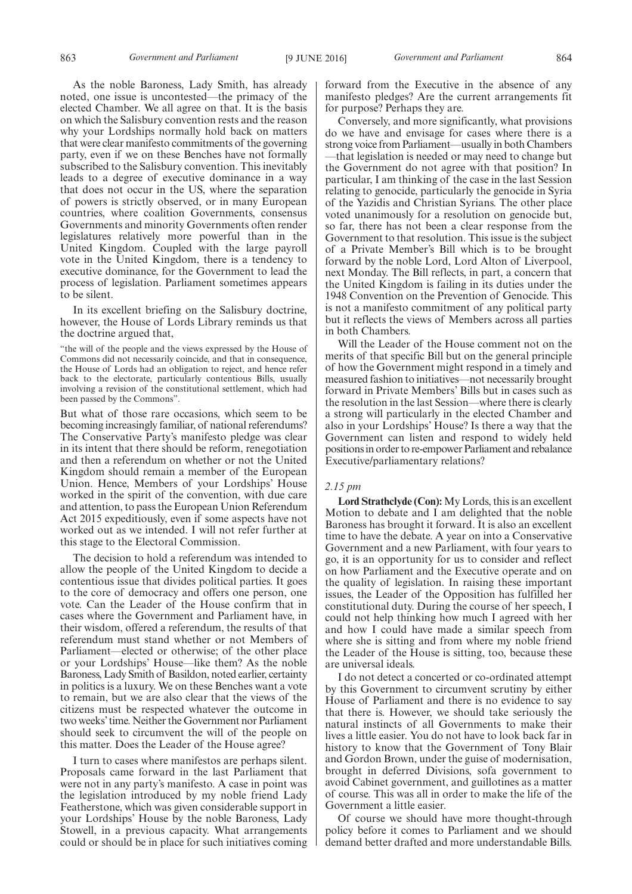As the noble Baroness, Lady Smith, has already noted, one issue is uncontested—the primacy of the elected Chamber. We all agree on that. It is the basis on which the Salisbury convention rests and the reason why your Lordships normally hold back on matters that were clear manifesto commitments of the governing party, even if we on these Benches have not formally subscribed to the Salisbury convention. This inevitably leads to a degree of executive dominance in a way that does not occur in the US, where the separation of powers is strictly observed, or in many European countries, where coalition Governments, consensus Governments and minority Governments often render legislatures relatively more powerful than in the United Kingdom. Coupled with the large payroll vote in the United Kingdom, there is a tendency to executive dominance, for the Government to lead the process of legislation. Parliament sometimes appears to be silent.

In its excellent briefing on the Salisbury doctrine, however, the House of Lords Library reminds us that the doctrine argued that,

"the will of the people and the views expressed by the House of Commons did not necessarily coincide, and that in consequence, the House of Lords had an obligation to reject, and hence refer back to the electorate, particularly contentious Bills, usually involving a revision of the constitutional settlement, which had been passed by the Commons".

But what of those rare occasions, which seem to be becoming increasingly familiar, of national referendums? The Conservative Party's manifesto pledge was clear in its intent that there should be reform, renegotiation and then a referendum on whether or not the United Kingdom should remain a member of the European Union. Hence, Members of your Lordships' House worked in the spirit of the convention, with due care and attention, to pass the European Union Referendum Act 2015 expeditiously, even if some aspects have not worked out as we intended. I will not refer further at this stage to the Electoral Commission.

The decision to hold a referendum was intended to allow the people of the United Kingdom to decide a contentious issue that divides political parties. It goes to the core of democracy and offers one person, one vote. Can the Leader of the House confirm that in cases where the Government and Parliament have, in their wisdom, offered a referendum, the results of that referendum must stand whether or not Members of Parliament—elected or otherwise; of the other place or your Lordships' House—like them? As the noble Baroness, Lady Smith of Basildon, noted earlier, certainty in politics is a luxury. We on these Benches want a vote to remain, but we are also clear that the views of the citizens must be respected whatever the outcome in two weeks'time. Neither the Government nor Parliament should seek to circumvent the will of the people on this matter. Does the Leader of the House agree?

I turn to cases where manifestos are perhaps silent. Proposals came forward in the last Parliament that were not in any party's manifesto. A case in point was the legislation introduced by my noble friend Lady Featherstone, which was given considerable support in your Lordships' House by the noble Baroness, Lady Stowell, in a previous capacity. What arrangements could or should be in place for such initiatives coming forward from the Executive in the absence of any manifesto pledges? Are the current arrangements fit for purpose? Perhaps they are.

Conversely, and more significantly, what provisions do we have and envisage for cases where there is a strong voice from Parliament—usually in both Chambers —that legislation is needed or may need to change but the Government do not agree with that position? In particular, I am thinking of the case in the last Session relating to genocide, particularly the genocide in Syria of the Yazidis and Christian Syrians. The other place voted unanimously for a resolution on genocide but, so far, there has not been a clear response from the Government to that resolution. This issue is the subject of a Private Member's Bill which is to be brought forward by the noble Lord, Lord Alton of Liverpool, next Monday. The Bill reflects, in part, a concern that the United Kingdom is failing in its duties under the 1948 Convention on the Prevention of Genocide. This is not a manifesto commitment of any political party but it reflects the views of Members across all parties in both Chambers.

Will the Leader of the House comment not on the merits of that specific Bill but on the general principle of how the Government might respond in a timely and measured fashion to initiatives—not necessarily brought forward in Private Members' Bills but in cases such as the resolution in the last Session—where there is clearly a strong will particularly in the elected Chamber and also in your Lordships' House? Is there a way that the Government can listen and respond to widely held positions in order to re-empower Parliament and rebalance Executive/parliamentary relations?

# *2.15 pm*

**Lord Strathclyde (Con):** My Lords, this is an excellent Motion to debate and I am delighted that the noble Baroness has brought it forward. It is also an excellent time to have the debate. A year on into a Conservative Government and a new Parliament, with four years to go, it is an opportunity for us to consider and reflect on how Parliament and the Executive operate and on the quality of legislation. In raising these important issues, the Leader of the Opposition has fulfilled her constitutional duty. During the course of her speech, I could not help thinking how much I agreed with her and how I could have made a similar speech from where she is sitting and from where my noble friend the Leader of the House is sitting, too, because these are universal ideals.

I do not detect a concerted or co-ordinated attempt by this Government to circumvent scrutiny by either House of Parliament and there is no evidence to say that there is. However, we should take seriously the natural instincts of all Governments to make their lives a little easier. You do not have to look back far in history to know that the Government of Tony Blair and Gordon Brown, under the guise of modernisation, brought in deferred Divisions, sofa government to avoid Cabinet government, and guillotines as a matter of course. This was all in order to make the life of the Government a little easier.

Of course we should have more thought-through policy before it comes to Parliament and we should demand better drafted and more understandable Bills.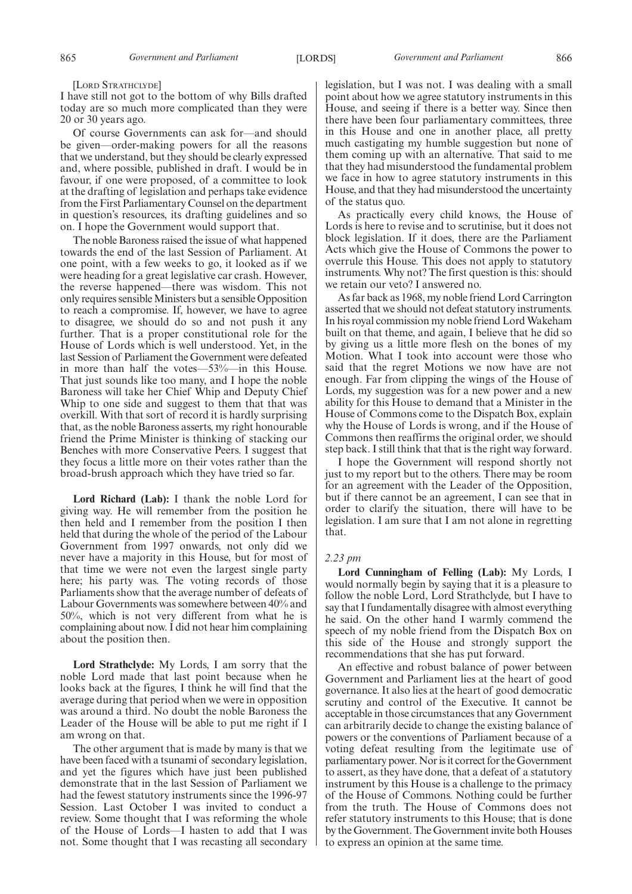#### [LORD STRATHCLYDE]

I have still not got to the bottom of why Bills drafted today are so much more complicated than they were 20 or 30 years ago.

Of course Governments can ask for—and should be given—order-making powers for all the reasons that we understand, but they should be clearly expressed and, where possible, published in draft. I would be in favour, if one were proposed, of a committee to look at the drafting of legislation and perhaps take evidence from the First Parliamentary Counsel on the department in question's resources, its drafting guidelines and so on. I hope the Government would support that.

The noble Baroness raised the issue of what happened towards the end of the last Session of Parliament. At one point, with a few weeks to go, it looked as if we were heading for a great legislative car crash. However, the reverse happened—there was wisdom. This not only requires sensible Ministers but a sensible Opposition to reach a compromise. If, however, we have to agree to disagree, we should do so and not push it any further. That is a proper constitutional role for the House of Lords which is well understood. Yet, in the last Session of Parliament the Government were defeated in more than half the votes—53%—in this House. That just sounds like too many, and I hope the noble Baroness will take her Chief Whip and Deputy Chief Whip to one side and suggest to them that that was overkill. With that sort of record it is hardly surprising that, as the noble Baroness asserts, my right honourable friend the Prime Minister is thinking of stacking our Benches with more Conservative Peers. I suggest that they focus a little more on their votes rather than the broad-brush approach which they have tried so far.

**Lord Richard (Lab):** I thank the noble Lord for giving way. He will remember from the position he then held and I remember from the position I then held that during the whole of the period of the Labour Government from 1997 onwards, not only did we never have a majority in this House, but for most of that time we were not even the largest single party here; his party was. The voting records of those Parliaments show that the average number of defeats of Labour Governments was somewhere between 40% and 50%, which is not very different from what he is complaining about now. I did not hear him complaining about the position then.

**Lord Strathclyde:** My Lords, I am sorry that the noble Lord made that last point because when he looks back at the figures, I think he will find that the average during that period when we were in opposition was around a third. No doubt the noble Baroness the Leader of the House will be able to put me right if I am wrong on that.

The other argument that is made by many is that we have been faced with a tsunami of secondary legislation, and yet the figures which have just been published demonstrate that in the last Session of Parliament we had the fewest statutory instruments since the 1996-97 Session. Last October I was invited to conduct a review. Some thought that I was reforming the whole of the House of Lords—I hasten to add that I was not. Some thought that I was recasting all secondary legislation, but I was not. I was dealing with a small point about how we agree statutory instruments in this House, and seeing if there is a better way. Since then there have been four parliamentary committees, three in this House and one in another place, all pretty much castigating my humble suggestion but none of them coming up with an alternative. That said to me that they had misunderstood the fundamental problem we face in how to agree statutory instruments in this House, and that they had misunderstood the uncertainty of the status quo.

As practically every child knows, the House of Lords is here to revise and to scrutinise, but it does not block legislation. If it does, there are the Parliament Acts which give the House of Commons the power to overrule this House. This does not apply to statutory instruments. Why not? The first question is this: should we retain our veto? I answered no.

As far back as 1968, my noble friend Lord Carrington asserted that we should not defeat statutory instruments. In his royal commission my noble friend Lord Wakeham built on that theme, and again, I believe that he did so by giving us a little more flesh on the bones of my Motion. What I took into account were those who said that the regret Motions we now have are not enough. Far from clipping the wings of the House of Lords, my suggestion was for a new power and a new ability for this House to demand that a Minister in the House of Commons come to the Dispatch Box, explain why the House of Lords is wrong, and if the House of Commons then reaffirms the original order, we should step back. I still think that that is the right way forward.

I hope the Government will respond shortly not just to my report but to the others. There may be room for an agreement with the Leader of the Opposition, but if there cannot be an agreement, I can see that in order to clarify the situation, there will have to be legislation. I am sure that I am not alone in regretting that.

# *2.23 pm*

**Lord Cunningham of Felling (Lab):** My Lords, I would normally begin by saying that it is a pleasure to follow the noble Lord, Lord Strathclyde, but I have to say that I fundamentally disagree with almost everything he said. On the other hand I warmly commend the speech of my noble friend from the Dispatch Box on this side of the House and strongly support the recommendations that she has put forward.

An effective and robust balance of power between Government and Parliament lies at the heart of good governance. It also lies at the heart of good democratic scrutiny and control of the Executive. It cannot be acceptable in those circumstances that any Government can arbitrarily decide to change the existing balance of powers or the conventions of Parliament because of a voting defeat resulting from the legitimate use of parliamentary power. Nor is it correct for the Government to assert, as they have done, that a defeat of a statutory instrument by this House is a challenge to the primacy of the House of Commons. Nothing could be further from the truth. The House of Commons does not refer statutory instruments to this House; that is done by the Government. The Government invite both Houses to express an opinion at the same time.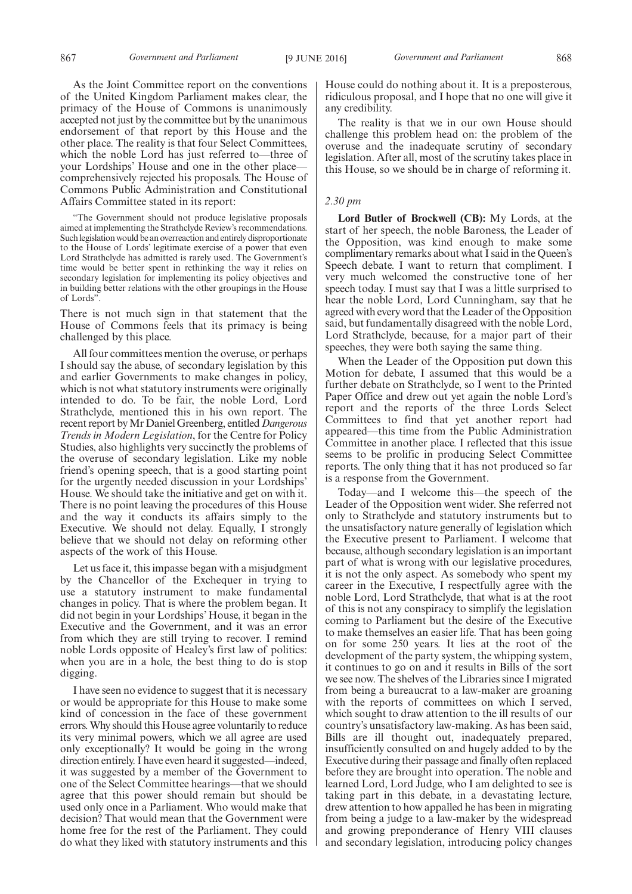As the Joint Committee report on the conventions of the United Kingdom Parliament makes clear, the primacy of the House of Commons is unanimously accepted not just by the committee but by the unanimous endorsement of that report by this House and the other place. The reality is that four Select Committees, which the noble Lord has just referred to—three of your Lordships' House and one in the other place comprehensively rejected his proposals. The House of Commons Public Administration and Constitutional Affairs Committee stated in its report:

"The Government should not produce legislative proposals aimed at implementing the Strathclyde Review's recommendations. Such legislation would be an overreaction and entirely disproportionate to the House of Lords' legitimate exercise of a power that even Lord Strathclyde has admitted is rarely used. The Government's time would be better spent in rethinking the way it relies on secondary legislation for implementing its policy objectives and in building better relations with the other groupings in the House of Lords".

There is not much sign in that statement that the House of Commons feels that its primacy is being challenged by this place.

All four committees mention the overuse, or perhaps I should say the abuse, of secondary legislation by this and earlier Governments to make changes in policy, which is not what statutory instruments were originally intended to do. To be fair, the noble Lord, Lord Strathclyde, mentioned this in his own report. The recent report by Mr Daniel Greenberg, entitled*Dangerous Trends in Modern Legislation*, for the Centre for Policy Studies, also highlights very succinctly the problems of the overuse of secondary legislation. Like my noble friend's opening speech, that is a good starting point for the urgently needed discussion in your Lordships' House. We should take the initiative and get on with it. There is no point leaving the procedures of this House and the way it conducts its affairs simply to the Executive. We should not delay. Equally, I strongly believe that we should not delay on reforming other aspects of the work of this House.

Let us face it, this impasse began with a misjudgment by the Chancellor of the Exchequer in trying to use a statutory instrument to make fundamental changes in policy. That is where the problem began. It did not begin in your Lordships' House, it began in the Executive and the Government, and it was an error from which they are still trying to recover. I remind noble Lords opposite of Healey's first law of politics: when you are in a hole, the best thing to do is stop digging.

I have seen no evidence to suggest that it is necessary or would be appropriate for this House to make some kind of concession in the face of these government errors. Why should this House agree voluntarily to reduce its very minimal powers, which we all agree are used only exceptionally? It would be going in the wrong direction entirely. I have even heard it suggested—indeed, it was suggested by a member of the Government to one of the Select Committee hearings—that we should agree that this power should remain but should be used only once in a Parliament. Who would make that decision? That would mean that the Government were home free for the rest of the Parliament. They could do what they liked with statutory instruments and this House could do nothing about it. It is a preposterous, ridiculous proposal, and I hope that no one will give it any credibility.

The reality is that we in our own House should challenge this problem head on: the problem of the overuse and the inadequate scrutiny of secondary legislation. After all, most of the scrutiny takes place in this House, so we should be in charge of reforming it.

# *2.30 pm*

**Lord Butler of Brockwell (CB):** My Lords, at the start of her speech, the noble Baroness, the Leader of the Opposition, was kind enough to make some complimentary remarks about what I said in the Queen's Speech debate. I want to return that compliment. I very much welcomed the constructive tone of her speech today. I must say that I was a little surprised to hear the noble Lord, Lord Cunningham, say that he agreed with every word that the Leader of the Opposition said, but fundamentally disagreed with the noble Lord, Lord Strathclyde, because, for a major part of their speeches, they were both saying the same thing.

When the Leader of the Opposition put down this Motion for debate, I assumed that this would be a further debate on Strathclyde, so I went to the Printed Paper Office and drew out yet again the noble Lord's report and the reports of the three Lords Select Committees to find that yet another report had appeared—this time from the Public Administration Committee in another place. I reflected that this issue seems to be prolific in producing Select Committee reports. The only thing that it has not produced so far is a response from the Government.

Today—and I welcome this—the speech of the Leader of the Opposition went wider. She referred not only to Strathclyde and statutory instruments but to the unsatisfactory nature generally of legislation which the Executive present to Parliament. I welcome that because, although secondary legislation is an important part of what is wrong with our legislative procedures, it is not the only aspect. As somebody who spent my career in the Executive, I respectfully agree with the noble Lord, Lord Strathclyde, that what is at the root of this is not any conspiracy to simplify the legislation coming to Parliament but the desire of the Executive to make themselves an easier life. That has been going on for some 250 years. It lies at the root of the development of the party system, the whipping system, it continues to go on and it results in Bills of the sort we see now. The shelves of the Libraries since I migrated from being a bureaucrat to a law-maker are groaning with the reports of committees on which I served, which sought to draw attention to the ill results of our country's unsatisfactory law-making. As has been said, Bills are ill thought out, inadequately prepared, insufficiently consulted on and hugely added to by the Executive during their passage and finally often replaced before they are brought into operation. The noble and learned Lord, Lord Judge, who I am delighted to see is taking part in this debate, in a devastating lecture, drew attention to how appalled he has been in migrating from being a judge to a law-maker by the widespread and growing preponderance of Henry VIII clauses and secondary legislation, introducing policy changes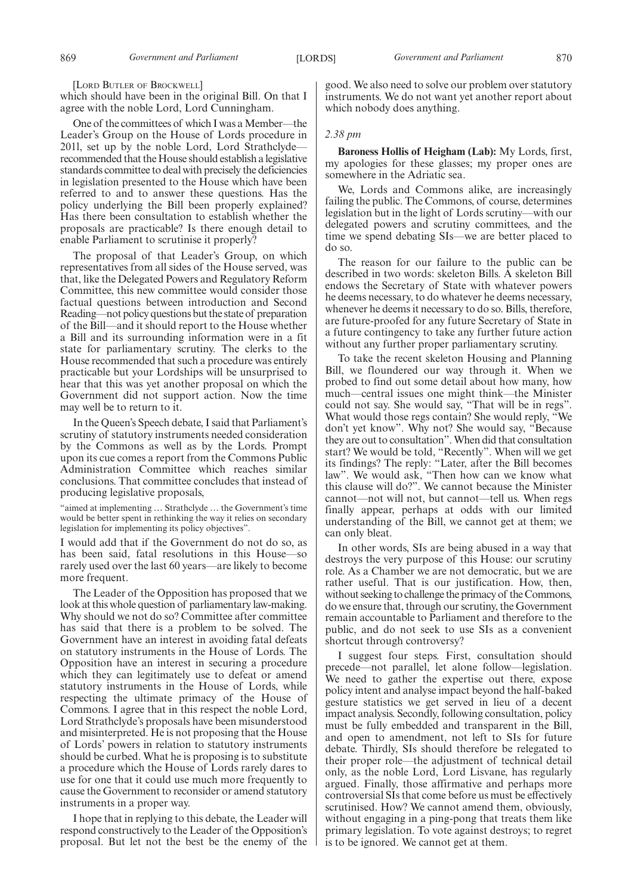[LORD BUTLER OF BROCKWELL]

which should have been in the original Bill. On that I agree with the noble Lord, Lord Cunningham.

One of the committees of which I was a Member—the Leader's Group on the House of Lords procedure in 201l, set up by the noble Lord, Lord Strathclyde recommended that the House should establish a legislative standards committee to deal with precisely the deficiencies in legislation presented to the House which have been referred to and to answer these questions. Has the policy underlying the Bill been properly explained? Has there been consultation to establish whether the proposals are practicable? Is there enough detail to enable Parliament to scrutinise it properly?

The proposal of that Leader's Group, on which representatives from all sides of the House served, was that, like the Delegated Powers and Regulatory Reform Committee, this new committee would consider those factual questions between introduction and Second Reading—not policy questions but the state of preparation of the Bill—and it should report to the House whether a Bill and its surrounding information were in a fit state for parliamentary scrutiny. The clerks to the House recommended that such a procedure was entirely practicable but your Lordships will be unsurprised to hear that this was yet another proposal on which the Government did not support action. Now the time may well be to return to it.

In the Queen's Speech debate, I said that Parliament's scrutiny of statutory instruments needed consideration by the Commons as well as by the Lords. Prompt upon its cue comes a report from the Commons Public Administration Committee which reaches similar conclusions. That committee concludes that instead of producing legislative proposals,

"aimed at implementing … Strathclyde … the Government's time would be better spent in rethinking the way it relies on secondary legislation for implementing its policy objectives".

I would add that if the Government do not do so, as has been said, fatal resolutions in this House—so rarely used over the last 60 years—are likely to become more frequent.

The Leader of the Opposition has proposed that we look at this whole question of parliamentary law-making. Why should we not do so? Committee after committee has said that there is a problem to be solved. The Government have an interest in avoiding fatal defeats on statutory instruments in the House of Lords. The Opposition have an interest in securing a procedure which they can legitimately use to defeat or amend statutory instruments in the House of Lords, while respecting the ultimate primacy of the House of Commons. I agree that in this respect the noble Lord, Lord Strathclyde's proposals have been misunderstood and misinterpreted. He is not proposing that the House of Lords' powers in relation to statutory instruments should be curbed. What he is proposing is to substitute a procedure which the House of Lords rarely dares to use for one that it could use much more frequently to cause the Government to reconsider or amend statutory instruments in a proper way.

I hope that in replying to this debate, the Leader will respond constructively to the Leader of the Opposition's proposal. But let not the best be the enemy of the good. We also need to solve our problem over statutory instruments. We do not want yet another report about which nobody does anything.

# *2.38 pm*

**Baroness Hollis of Heigham (Lab):** My Lords, first, my apologies for these glasses; my proper ones are somewhere in the Adriatic sea.

We, Lords and Commons alike, are increasingly failing the public. The Commons, of course, determines legislation but in the light of Lords scrutiny—with our delegated powers and scrutiny committees, and the time we spend debating SIs—we are better placed to do so.

The reason for our failure to the public can be described in two words: skeleton Bills. A skeleton Bill endows the Secretary of State with whatever powers he deems necessary, to do whatever he deems necessary, whenever he deems it necessary to do so. Bills, therefore, are future-proofed for any future Secretary of State in a future contingency to take any further future action without any further proper parliamentary scrutiny.

To take the recent skeleton Housing and Planning Bill, we floundered our way through it. When we probed to find out some detail about how many, how much—central issues one might think—the Minister could not say. She would say, "That will be in regs". What would those regs contain? She would reply, "We don't yet know". Why not? She would say, "Because they are out to consultation". When did that consultation start? We would be told, "Recently". When will we get its findings? The reply: "Later, after the Bill becomes law". We would ask, "Then how can we know what this clause will do?". We cannot because the Minister cannot—not will not, but cannot—tell us. When regs finally appear, perhaps at odds with our limited understanding of the Bill, we cannot get at them; we can only bleat.

In other words, SIs are being abused in a way that destroys the very purpose of this House: our scrutiny role. As a Chamber we are not democratic, but we are rather useful. That is our justification. How, then, without seeking to challenge the primacy of the Commons, do we ensure that, through our scrutiny, the Government remain accountable to Parliament and therefore to the public, and do not seek to use SIs as a convenient shortcut through controversy?

I suggest four steps. First, consultation should precede—not parallel, let alone follow—legislation. We need to gather the expertise out there, expose policy intent and analyse impact beyond the half-baked gesture statistics we get served in lieu of a decent impact analysis. Secondly, following consultation, policy must be fully embedded and transparent in the Bill, and open to amendment, not left to SIs for future debate. Thirdly, SIs should therefore be relegated to their proper role—the adjustment of technical detail only, as the noble Lord, Lord Lisvane, has regularly argued. Finally, those affirmative and perhaps more controversial SIs that come before us must be effectively scrutinised. How? We cannot amend them, obviously, without engaging in a ping-pong that treats them like primary legislation. To vote against destroys; to regret is to be ignored. We cannot get at them.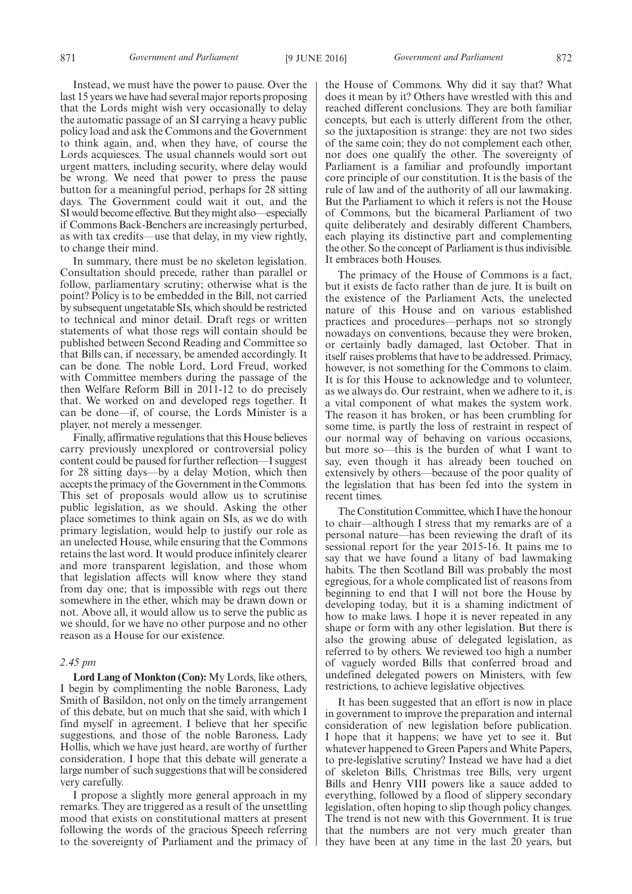Instead, we must have the power to pause. Over the last 15 years we have had several major reports proposing that the Lords might wish very occasionally to delay the automatic passage of an SI carrying a heavy public policy load and ask the Commons and the Government to think again, and, when they have, of course the Lords acquiesces. The usual channels would sort out urgent matters, including security, where delay would be wrong. We need that power to press the pause button for a meaningful period, perhaps for 28 sitting days. The Government could wait it out, and the SI would become effective. But they might also—especially if Commons Back-Benchers are increasingly perturbed, as with tax credits—use that delay, in my view rightly, to change their mind.

In summary, there must be no skeleton legislation. Consultation should precede, rather than parallel or follow, parliamentary scrutiny; otherwise what is the point? Policy is to be embedded in the Bill, not carried by subsequent ungetatable SIs, which should be restricted to technical and minor detail. Draft regs or written statements of what those regs will contain should be published between Second Reading and Committee so that Bills can, if necessary, be amended accordingly. It can be done. The noble Lord, Lord Freud, worked with Committee members during the passage of the then Welfare Reform Bill in 2011-12 to do precisely that. We worked on and developed regs together. It can be done—if, of course, the Lords Minister is a player, not merely a messenger.

Finally, affirmative regulations that this House believes carry previously unexplored or controversial policy content could be paused for further reflection—I suggest for 28 sitting days—by a delay Motion, which then accepts the primacy of the Government in the Commons. This set of proposals would allow us to scrutinise public legislation, as we should. Asking the other place sometimes to think again on SIs, as we do with primary legislation, would help to justify our role as an unelected House, while ensuring that the Commons retains the last word. It would produce infinitely clearer and more transparent legislation, and those whom that legislation affects will know where they stand from day one; that is impossible with regs out there somewhere in the ether, which may be drawn down or not. Above all, it would allow us to serve the public as we should, for we have no other purpose and no other reason as a House for our existence.

# *2.45 pm*

**Lord Lang of Monkton (Con):** My Lords, like others, I begin by complimenting the noble Baroness, Lady Smith of Basildon, not only on the timely arrangement of this debate, but on much that she said, with which I find myself in agreement. I believe that her specific suggestions, and those of the noble Baroness, Lady Hollis, which we have just heard, are worthy of further consideration. I hope that this debate will generate a large number of such suggestions that will be considered very carefully.

I propose a slightly more general approach in my remarks. They are triggered as a result of the unsettling mood that exists on constitutional matters at present following the words of the gracious Speech referring to the sovereignty of Parliament and the primacy of the House of Commons. Why did it say that? What does it mean by it? Others have wrestled with this and reached different conclusions. They are both familiar concepts, but each is utterly different from the other, so the juxtaposition is strange: they are not two sides of the same coin; they do not complement each other, nor does one qualify the other. The sovereignty of Parliament is a familiar and profoundly important core principle of our constitution. It is the basis of the rule of law and of the authority of all our lawmaking. But the Parliament to which it refers is not the House of Commons, but the bicameral Parliament of two quite deliberately and desirably different Chambers, each playing its distinctive part and complementing the other. So the concept of Parliament is thus indivisible. It embraces both Houses.

The primacy of the House of Commons is a fact, but it exists de facto rather than de jure. It is built on the existence of the Parliament Acts, the unelected nature of this House and on various established practices and procedures—perhaps not so strongly nowadays on conventions, because they were broken, or certainly badly damaged, last October. That in itself raises problems that have to be addressed. Primacy, however, is not something for the Commons to claim. It is for this House to acknowledge and to volunteer, as we always do. Our restraint, when we adhere to it, is a vital component of what makes the system work. The reason it has broken, or has been crumbling for some time, is partly the loss of restraint in respect of our normal way of behaving on various occasions, but more so—this is the burden of what I want to say, even though it has already been touched on extensively by others—because of the poor quality of the legislation that has been fed into the system in recent times.

The Constitution Committee, which I have the honour to chair—although I stress that my remarks are of a personal nature—has been reviewing the draft of its sessional report for the year 2015-16. It pains me to say that we have found a litany of bad lawmaking habits. The then Scotland Bill was probably the most egregious, for a whole complicated list of reasons from beginning to end that I will not bore the House by developing today, but it is a shaming indictment of how to make laws. I hope it is never repeated in any shape or form with any other legislation. But there is also the growing abuse of delegated legislation, as referred to by others. We reviewed too high a number of vaguely worded Bills that conferred broad and undefined delegated powers on Ministers, with few restrictions, to achieve legislative objectives.

It has been suggested that an effort is now in place in government to improve the preparation and internal consideration of new legislation before publication. I hope that it happens; we have yet to see it. But whatever happened to Green Papers and White Papers, to pre-legislative scrutiny? Instead we have had a diet of skeleton Bills, Christmas tree Bills, very urgent Bills and Henry VIII powers like a sauce added to everything, followed by a flood of slippery secondary legislation, often hoping to slip though policy changes. The trend is not new with this Government. It is true that the numbers are not very much greater than they have been at any time in the last 20 years, but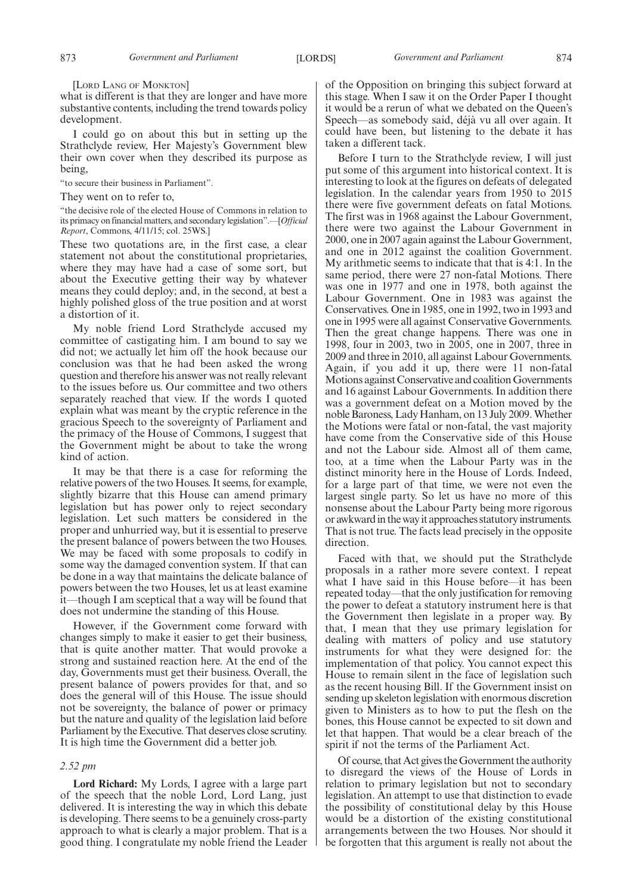[LORD LANG OF MONKTON]

what is different is that they are longer and have more substantive contents, including the trend towards policy development.

I could go on about this but in setting up the Strathclyde review, Her Majesty's Government blew their own cover when they described its purpose as being,

"to secure their business in Parliament".

They went on to refer to,

"the decisive role of the elected House of Commons in relation to its primacy on financial matters, and secondary legislation".—[*Official Report*, Commons, 4/11/15; col. 25WS.]

These two quotations are, in the first case, a clear statement not about the constitutional proprietaries, where they may have had a case of some sort, but about the Executive getting their way by whatever means they could deploy; and, in the second, at best a highly polished gloss of the true position and at worst a distortion of it.

My noble friend Lord Strathclyde accused my committee of castigating him. I am bound to say we did not; we actually let him off the hook because our conclusion was that he had been asked the wrong question and therefore his answer was not really relevant to the issues before us. Our committee and two others separately reached that view. If the words I quoted explain what was meant by the cryptic reference in the gracious Speech to the sovereignty of Parliament and the primacy of the House of Commons, I suggest that the Government might be about to take the wrong kind of action.

It may be that there is a case for reforming the relative powers of the two Houses. It seems, for example, slightly bizarre that this House can amend primary legislation but has power only to reject secondary legislation. Let such matters be considered in the proper and unhurried way, but it is essential to preserve the present balance of powers between the two Houses. We may be faced with some proposals to codify in some way the damaged convention system. If that can be done in a way that maintains the delicate balance of powers between the two Houses, let us at least examine it—though I am sceptical that a way will be found that does not undermine the standing of this House.

However, if the Government come forward with changes simply to make it easier to get their business, that is quite another matter. That would provoke a strong and sustained reaction here. At the end of the day, Governments must get their business. Overall, the present balance of powers provides for that, and so does the general will of this House. The issue should not be sovereignty, the balance of power or primacy but the nature and quality of the legislation laid before Parliament by the Executive. That deserves close scrutiny. It is high time the Government did a better job.

# *2.52 pm*

**Lord Richard:** My Lords, I agree with a large part of the speech that the noble Lord, Lord Lang, just delivered. It is interesting the way in which this debate is developing. There seems to be a genuinely cross-party approach to what is clearly a major problem. That is a good thing. I congratulate my noble friend the Leader of the Opposition on bringing this subject forward at this stage. When I saw it on the Order Paper I thought it would be a rerun of what we debated on the Queen's Speech—as somebody said, déjà vu all over again. It could have been, but listening to the debate it has taken a different tack.

Before I turn to the Strathclyde review, I will just put some of this argument into historical context. It is interesting to look at the figures on defeats of delegated legislation. In the calendar years from 1950 to 2015 there were five government defeats on fatal Motions. The first was in 1968 against the Labour Government, there were two against the Labour Government in 2000, one in 2007 again against the Labour Government, and one in 2012 against the coalition Government. My arithmetic seems to indicate that that is 4:1. In the same period, there were 27 non-fatal Motions. There was one in 1977 and one in 1978, both against the Labour Government. One in 1983 was against the Conservatives. One in 1985, one in 1992, two in 1993 and one in 1995 were all against Conservative Governments. Then the great change happens. There was one in 1998, four in 2003, two in 2005, one in 2007, three in 2009 and three in 2010, all against Labour Governments. Again, if you add it up, there were 11 non-fatal Motions against Conservative and coalition Governments and 16 against Labour Governments. In addition there was a government defeat on a Motion moved by the noble Baroness, Lady Hanham, on 13 July 2009. Whether the Motions were fatal or non-fatal, the vast majority have come from the Conservative side of this House and not the Labour side. Almost all of them came, too, at a time when the Labour Party was in the distinct minority here in the House of Lords. Indeed, for a large part of that time, we were not even the largest single party. So let us have no more of this nonsense about the Labour Party being more rigorous or awkward in the way it approaches statutory instruments. That is not true. The facts lead precisely in the opposite direction.

Faced with that, we should put the Strathclyde proposals in a rather more severe context. I repeat what I have said in this House before—it has been repeated today—that the only justification for removing the power to defeat a statutory instrument here is that the Government then legislate in a proper way. By that, I mean that they use primary legislation for dealing with matters of policy and use statutory instruments for what they were designed for: the implementation of that policy. You cannot expect this House to remain silent in the face of legislation such as the recent housing Bill. If the Government insist on sending up skeleton legislation with enormous discretion given to Ministers as to how to put the flesh on the bones, this House cannot be expected to sit down and let that happen. That would be a clear breach of the spirit if not the terms of the Parliament Act.

Of course, that Act gives the Government the authority to disregard the views of the House of Lords in relation to primary legislation but not to secondary legislation. An attempt to use that distinction to evade the possibility of constitutional delay by this House would be a distortion of the existing constitutional arrangements between the two Houses. Nor should it be forgotten that this argument is really not about the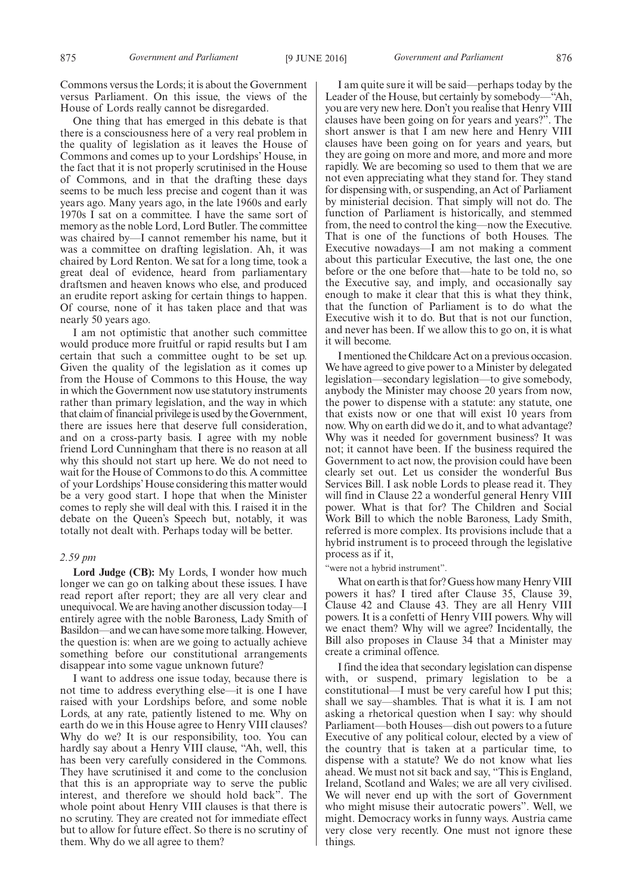Commons versus the Lords; it is about the Government versus Parliament. On this issue, the views of the House of Lords really cannot be disregarded.

One thing that has emerged in this debate is that there is a consciousness here of a very real problem in the quality of legislation as it leaves the House of Commons and comes up to your Lordships' House, in the fact that it is not properly scrutinised in the House of Commons, and in that the drafting these days seems to be much less precise and cogent than it was years ago. Many years ago, in the late 1960s and early 1970s I sat on a committee. I have the same sort of memory as the noble Lord, Lord Butler. The committee was chaired by—I cannot remember his name, but it was a committee on drafting legislation. Ah, it was chaired by Lord Renton. We sat for a long time, took a great deal of evidence, heard from parliamentary draftsmen and heaven knows who else, and produced an erudite report asking for certain things to happen. Of course, none of it has taken place and that was nearly 50 years ago.

I am not optimistic that another such committee would produce more fruitful or rapid results but I am certain that such a committee ought to be set up. Given the quality of the legislation as it comes up from the House of Commons to this House, the way in which the Government now use statutory instruments rather than primary legislation, and the way in which that claim of financial privilege is used by the Government, there are issues here that deserve full consideration, and on a cross-party basis. I agree with my noble friend Lord Cunningham that there is no reason at all why this should not start up here. We do not need to wait for the House of Commons to do this. A committee of your Lordships' House considering this matter would be a very good start. I hope that when the Minister comes to reply she will deal with this. I raised it in the debate on the Queen's Speech but, notably, it was totally not dealt with. Perhaps today will be better.

# *2.59 pm*

**Lord Judge (CB):** My Lords, I wonder how much longer we can go on talking about these issues. I have read report after report; they are all very clear and unequivocal. We are having another discussion today—I entirely agree with the noble Baroness, Lady Smith of Basildon—and we can have some more talking. However, the question is: when are we going to actually achieve something before our constitutional arrangements disappear into some vague unknown future?

I want to address one issue today, because there is not time to address everything else—it is one I have raised with your Lordships before, and some noble Lords, at any rate, patiently listened to me. Why on earth do we in this House agree to Henry VIII clauses? Why do we? It is our responsibility, too. You can hardly say about a Henry VIII clause, "Ah, well, this has been very carefully considered in the Commons. They have scrutinised it and come to the conclusion that this is an appropriate way to serve the public interest, and therefore we should hold back". The whole point about Henry VIII clauses is that there is no scrutiny. They are created not for immediate effect but to allow for future effect. So there is no scrutiny of them. Why do we all agree to them?

I am quite sure it will be said—perhaps today by the Leader of the House, but certainly by somebody—"Ah, you are very new here. Don't you realise that Henry VIII clauses have been going on for years and years?". The short answer is that I am new here and Henry VIII clauses have been going on for years and years, but they are going on more and more, and more and more rapidly. We are becoming so used to them that we are not even appreciating what they stand for. They stand for dispensing with, or suspending, an Act of Parliament by ministerial decision. That simply will not do. The function of Parliament is historically, and stemmed from, the need to control the king—now the Executive. That is one of the functions of both Houses. The Executive nowadays—I am not making a comment about this particular Executive, the last one, the one before or the one before that—hate to be told no, so the Executive say, and imply, and occasionally say enough to make it clear that this is what they think, that the function of Parliament is to do what the Executive wish it to do. But that is not our function, and never has been. If we allow this to go on, it is what it will become.

I mentioned the Childcare Act on a previous occasion. We have agreed to give power to a Minister by delegated legislation—secondary legislation—to give somebody, anybody the Minister may choose 20 years from now, the power to dispense with a statute: any statute, one that exists now or one that will exist 10 years from now. Why on earth did we do it, and to what advantage? Why was it needed for government business? It was not; it cannot have been. If the business required the Government to act now, the provision could have been clearly set out. Let us consider the wonderful Bus Services Bill. I ask noble Lords to please read it. They will find in Clause 22 a wonderful general Henry VIII power. What is that for? The Children and Social Work Bill to which the noble Baroness, Lady Smith, referred is more complex. Its provisions include that a hybrid instrument is to proceed through the legislative process as if it,

"were not a hybrid instrument".

What on earth is that for? Guess how many Henry VIII powers it has? I tired after Clause 35, Clause 39, Clause 42 and Clause 43. They are all Henry VIII powers. It is a confetti of Henry VIII powers. Why will we enact them? Why will we agree? Incidentally, the Bill also proposes in Clause 34 that a Minister may create a criminal offence.

I find the idea that secondary legislation can dispense with, or suspend, primary legislation to be a constitutional—I must be very careful how I put this; shall we say—shambles. That is what it is. I am not asking a rhetorical question when I say: why should Parliament—both Houses—dish out powers to a future Executive of any political colour, elected by a view of the country that is taken at a particular time, to dispense with a statute? We do not know what lies ahead. We must not sit back and say, "This is England, Ireland, Scotland and Wales; we are all very civilised. We will never end up with the sort of Government who might misuse their autocratic powers". Well, we might. Democracy works in funny ways. Austria came very close very recently. One must not ignore these things.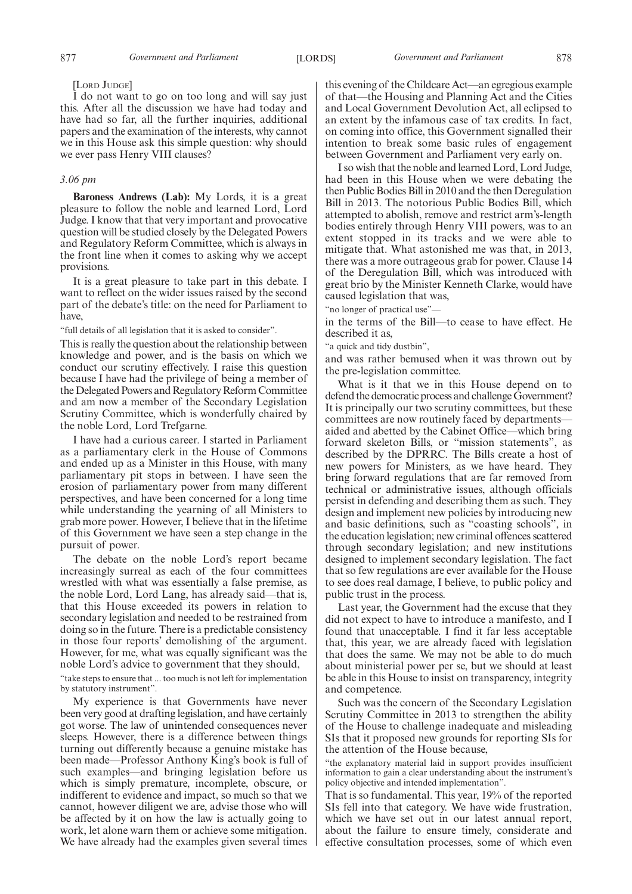I do not want to go on too long and will say just this. After all the discussion we have had today and have had so far, all the further inquiries, additional papers and the examination of the interests, why cannot we in this House ask this simple question: why should we ever pass Henry VIII clauses?

# *3.06 pm*

**Baroness Andrews (Lab):** My Lords, it is a great pleasure to follow the noble and learned Lord, Lord Judge. I know that that very important and provocative question will be studied closely by the Delegated Powers and Regulatory Reform Committee, which is always in the front line when it comes to asking why we accept provisions.

It is a great pleasure to take part in this debate. I want to reflect on the wider issues raised by the second part of the debate's title: on the need for Parliament to have,

"full details of all legislation that it is asked to consider".

This is really the question about the relationship between knowledge and power, and is the basis on which we conduct our scrutiny effectively. I raise this question because I have had the privilege of being a member of the Delegated Powers and Regulatory Reform Committee and am now a member of the Secondary Legislation Scrutiny Committee, which is wonderfully chaired by the noble Lord, Lord Trefgarne.

I have had a curious career. I started in Parliament as a parliamentary clerk in the House of Commons and ended up as a Minister in this House, with many parliamentary pit stops in between. I have seen the erosion of parliamentary power from many different perspectives, and have been concerned for a long time while understanding the yearning of all Ministers to grab more power. However, I believe that in the lifetime of this Government we have seen a step change in the pursuit of power.

The debate on the noble Lord's report became increasingly surreal as each of the four committees wrestled with what was essentially a false premise, as the noble Lord, Lord Lang, has already said—that is, that this House exceeded its powers in relation to secondary legislation and needed to be restrained from doing so in the future. There is a predictable consistency in those four reports' demolishing of the argument. However, for me, what was equally significant was the noble Lord's advice to government that they should,

"take steps to ensure that ... too much is not left for implementation by statutory instrument".

My experience is that Governments have never been very good at drafting legislation, and have certainly got worse. The law of unintended consequences never sleeps. However, there is a difference between things turning out differently because a genuine mistake has been made—Professor Anthony King's book is full of such examples—and bringing legislation before us which is simply premature, incomplete, obscure, or indifferent to evidence and impact, so much so that we cannot, however diligent we are, advise those who will be affected by it on how the law is actually going to work, let alone warn them or achieve some mitigation. We have already had the examples given several times

this evening of the Childcare Act—an egregious example of that—the Housing and Planning Act and the Cities and Local Government Devolution Act, all eclipsed to an extent by the infamous case of tax credits. In fact, on coming into office, this Government signalled their intention to break some basic rules of engagement between Government and Parliament very early on.

I so wish that the noble and learned Lord, Lord Judge, had been in this House when we were debating the then Public Bodies Bill in 2010 and the then Deregulation Bill in 2013. The notorious Public Bodies Bill, which attempted to abolish, remove and restrict arm's-length bodies entirely through Henry VIII powers, was to an extent stopped in its tracks and we were able to mitigate that. What astonished me was that, in 2013, there was a more outrageous grab for power. Clause 14 of the Deregulation Bill, which was introduced with great brio by the Minister Kenneth Clarke, would have caused legislation that was,

"no longer of practical use"—

in the terms of the Bill—to cease to have effect. He described it as,

"a quick and tidy dustbin",

and was rather bemused when it was thrown out by the pre-legislation committee.

What is it that we in this House depend on to defend the democratic process and challenge Government? It is principally our two scrutiny committees, but these committees are now routinely faced by departments aided and abetted by the Cabinet Office—which bring forward skeleton Bills, or "mission statements", as described by the DPRRC. The Bills create a host of new powers for Ministers, as we have heard. They bring forward regulations that are far removed from technical or administrative issues, although officials persist in defending and describing them as such. They design and implement new policies by introducing new and basic definitions, such as "coasting schools", in the education legislation; new criminal offences scattered through secondary legislation; and new institutions designed to implement secondary legislation. The fact that so few regulations are ever available for the House to see does real damage, I believe, to public policy and public trust in the process.

Last year, the Government had the excuse that they did not expect to have to introduce a manifesto, and I found that unacceptable. I find it far less acceptable that, this year, we are already faced with legislation that does the same. We may not be able to do much about ministerial power per se, but we should at least be able in this House to insist on transparency, integrity and competence.

Such was the concern of the Secondary Legislation Scrutiny Committee in 2013 to strengthen the ability of the House to challenge inadequate and misleading SIs that it proposed new grounds for reporting SIs for the attention of the House because,

"the explanatory material laid in support provides insufficient information to gain a clear understanding about the instrument's policy objective and intended implementation".

That is so fundamental. This year, 19% of the reported SIs fell into that category. We have wide frustration, which we have set out in our latest annual report, about the failure to ensure timely, considerate and effective consultation processes, some of which even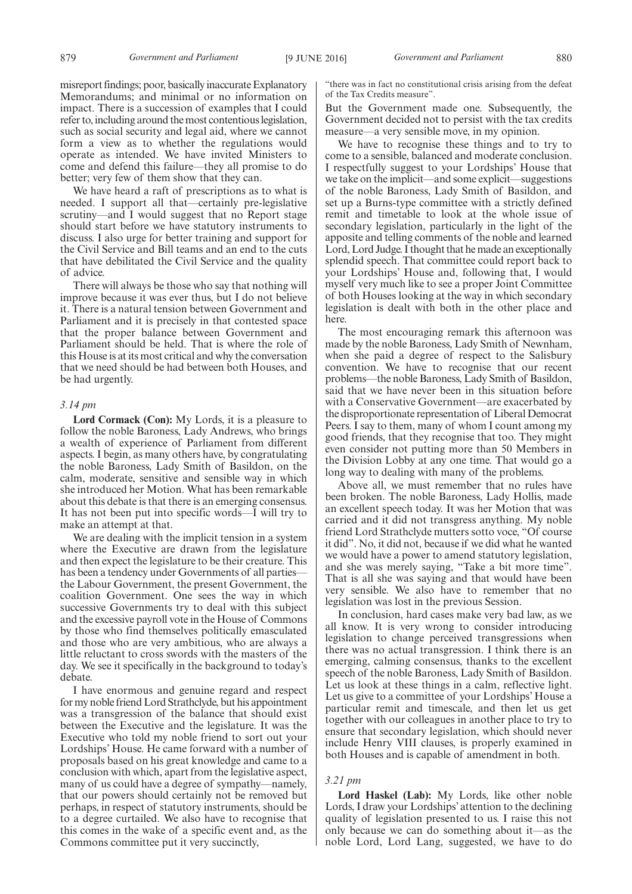misreport findings; poor, basically inaccurate Explanatory Memorandums; and minimal or no information on impact. There is a succession of examples that I could refer to, including around the most contentious legislation, such as social security and legal aid, where we cannot form a view as to whether the regulations would operate as intended. We have invited Ministers to come and defend this failure—they all promise to do better; very few of them show that they can.

We have heard a raft of prescriptions as to what is needed. I support all that—certainly pre-legislative scrutiny—and I would suggest that no Report stage should start before we have statutory instruments to discuss. I also urge for better training and support for the Civil Service and Bill teams and an end to the cuts that have debilitated the Civil Service and the quality of advice.

There will always be those who say that nothing will improve because it was ever thus, but I do not believe it. There is a natural tension between Government and Parliament and it is precisely in that contested space that the proper balance between Government and Parliament should be held. That is where the role of this House is at its most critical and why the conversation that we need should be had between both Houses, and be had urgently.

### *3.14 pm*

**Lord Cormack (Con):** My Lords, it is a pleasure to follow the noble Baroness, Lady Andrews, who brings a wealth of experience of Parliament from different aspects. I begin, as many others have, by congratulating the noble Baroness, Lady Smith of Basildon, on the calm, moderate, sensitive and sensible way in which she introduced her Motion. What has been remarkable about this debate is that there is an emerging consensus. It has not been put into specific words—I will try to make an attempt at that.

We are dealing with the implicit tension in a system where the Executive are drawn from the legislature and then expect the legislature to be their creature. This has been a tendency under Governments of all parties the Labour Government, the present Government, the coalition Government. One sees the way in which successive Governments try to deal with this subject and the excessive payroll vote in the House of Commons by those who find themselves politically emasculated and those who are very ambitious, who are always a little reluctant to cross swords with the masters of the day. We see it specifically in the background to today's debate.

I have enormous and genuine regard and respect for my noble friend Lord Strathclyde, but his appointment was a transgression of the balance that should exist between the Executive and the legislature. It was the Executive who told my noble friend to sort out your Lordships' House. He came forward with a number of proposals based on his great knowledge and came to a conclusion with which, apart from the legislative aspect, many of us could have a degree of sympathy—namely, that our powers should certainly not be removed but perhaps, in respect of statutory instruments, should be to a degree curtailed. We also have to recognise that this comes in the wake of a specific event and, as the Commons committee put it very succinctly,

"there was in fact no constitutional crisis arising from the defeat of the Tax Credits measure".

But the Government made one. Subsequently, the Government decided not to persist with the tax credits measure—a very sensible move, in my opinion.

We have to recognise these things and to try to come to a sensible, balanced and moderate conclusion. I respectfully suggest to your Lordships' House that we take on the implicit—and some explicit—suggestions of the noble Baroness, Lady Smith of Basildon, and set up a Burns-type committee with a strictly defined remit and timetable to look at the whole issue of secondary legislation, particularly in the light of the apposite and telling comments of the noble and learned Lord, Lord Judge. I thought that he made an exceptionally splendid speech. That committee could report back to your Lordships' House and, following that, I would myself very much like to see a proper Joint Committee of both Houses looking at the way in which secondary legislation is dealt with both in the other place and here.

The most encouraging remark this afternoon was made by the noble Baroness, Lady Smith of Newnham, when she paid a degree of respect to the Salisbury convention. We have to recognise that our recent problems—the noble Baroness, Lady Smith of Basildon, said that we have never been in this situation before with a Conservative Government—are exacerbated by the disproportionate representation of Liberal Democrat Peers. I say to them, many of whom I count among my good friends, that they recognise that too. They might even consider not putting more than 50 Members in the Division Lobby at any one time. That would go a long way to dealing with many of the problems.

Above all, we must remember that no rules have been broken. The noble Baroness, Lady Hollis, made an excellent speech today. It was her Motion that was carried and it did not transgress anything. My noble friend Lord Strathclyde mutters sotto voce, "Of course it did". No, it did not, because if we did what he wanted we would have a power to amend statutory legislation, and she was merely saying, "Take a bit more time". That is all she was saying and that would have been very sensible. We also have to remember that no legislation was lost in the previous Session.

In conclusion, hard cases make very bad law, as we all know. It is very wrong to consider introducing legislation to change perceived transgressions when there was no actual transgression. I think there is an emerging, calming consensus, thanks to the excellent speech of the noble Baroness, Lady Smith of Basildon. Let us look at these things in a calm, reflective light. Let us give to a committee of your Lordships' House a particular remit and timescale, and then let us get together with our colleagues in another place to try to ensure that secondary legislation, which should never include Henry VIII clauses, is properly examined in both Houses and is capable of amendment in both.

#### *3.21 pm*

Lord Haskel (Lab): My Lords, like other noble Lords, I draw your Lordships' attention to the declining quality of legislation presented to us. I raise this not only because we can do something about it—as the noble Lord, Lord Lang, suggested, we have to do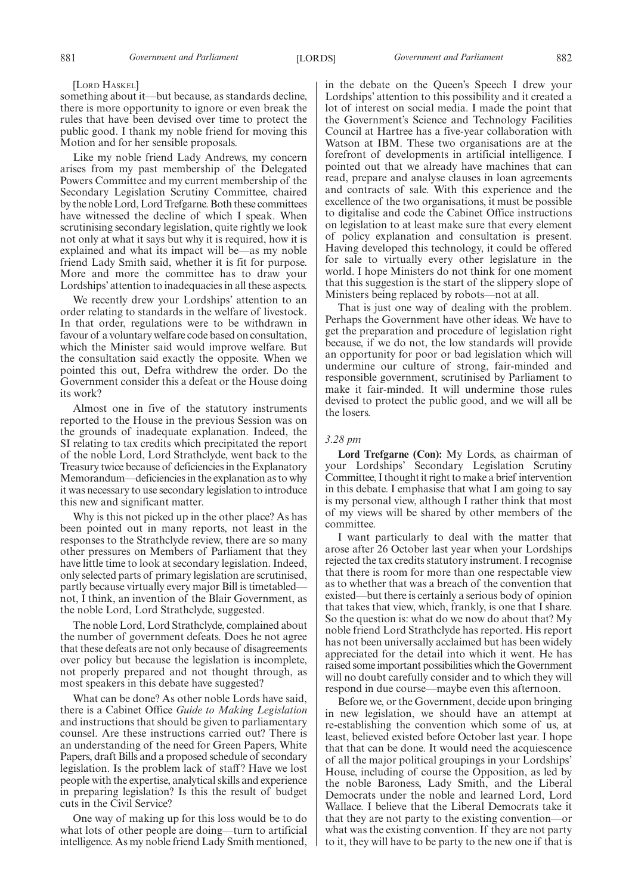### [LORD HASKEL]

something about it—but because, as standards decline, there is more opportunity to ignore or even break the rules that have been devised over time to protect the public good. I thank my noble friend for moving this Motion and for her sensible proposals.

Like my noble friend Lady Andrews, my concern arises from my past membership of the Delegated Powers Committee and my current membership of the Secondary Legislation Scrutiny Committee, chaired by the noble Lord, Lord Trefgarne. Both these committees have witnessed the decline of which I speak. When scrutinising secondary legislation, quite rightly we look not only at what it says but why it is required, how it is explained and what its impact will be—as my noble friend Lady Smith said, whether it is fit for purpose. More and more the committee has to draw your Lordships' attention to inadequacies in all these aspects.

We recently drew your Lordships' attention to an order relating to standards in the welfare of livestock. In that order, regulations were to be withdrawn in favour of a voluntary welfare code based on consultation, which the Minister said would improve welfare. But the consultation said exactly the opposite. When we pointed this out, Defra withdrew the order. Do the Government consider this a defeat or the House doing its work?

Almost one in five of the statutory instruments reported to the House in the previous Session was on the grounds of inadequate explanation. Indeed, the SI relating to tax credits which precipitated the report of the noble Lord, Lord Strathclyde, went back to the Treasury twice because of deficiencies in the Explanatory Memorandum—deficiencies in the explanation as to why it was necessary to use secondary legislation to introduce this new and significant matter.

Why is this not picked up in the other place? As has been pointed out in many reports, not least in the responses to the Strathclyde review, there are so many other pressures on Members of Parliament that they have little time to look at secondary legislation. Indeed, only selected parts of primary legislation are scrutinised, partly because virtually every major Bill is timetabled not, I think, an invention of the Blair Government, as the noble Lord, Lord Strathclyde, suggested.

The noble Lord, Lord Strathclyde, complained about the number of government defeats. Does he not agree that these defeats are not only because of disagreements over policy but because the legislation is incomplete, not properly prepared and not thought through, as most speakers in this debate have suggested?

What can be done? As other noble Lords have said, there is a Cabinet Office *Guide to Making Legislation* and instructions that should be given to parliamentary counsel. Are these instructions carried out? There is an understanding of the need for Green Papers, White Papers, draft Bills and a proposed schedule of secondary legislation. Is the problem lack of staff? Have we lost people with the expertise, analytical skills and experience in preparing legislation? Is this the result of budget cuts in the Civil Service?

One way of making up for this loss would be to do what lots of other people are doing—turn to artificial intelligence. As my noble friend Lady Smith mentioned, in the debate on the Queen's Speech I drew your Lordships' attention to this possibility and it created a lot of interest on social media. I made the point that the Government's Science and Technology Facilities Council at Hartree has a five-year collaboration with Watson at IBM. These two organisations are at the forefront of developments in artificial intelligence. I pointed out that we already have machines that can read, prepare and analyse clauses in loan agreements and contracts of sale. With this experience and the excellence of the two organisations, it must be possible to digitalise and code the Cabinet Office instructions on legislation to at least make sure that every element of policy explanation and consultation is present. Having developed this technology, it could be offered for sale to virtually every other legislature in the world. I hope Ministers do not think for one moment that this suggestion is the start of the slippery slope of Ministers being replaced by robots—not at all.

That is just one way of dealing with the problem. Perhaps the Government have other ideas. We have to get the preparation and procedure of legislation right because, if we do not, the low standards will provide an opportunity for poor or bad legislation which will undermine our culture of strong, fair-minded and responsible government, scrutinised by Parliament to make it fair-minded. It will undermine those rules devised to protect the public good, and we will all be the losers.

# *3.28 pm*

**Lord Trefgarne (Con):** My Lords, as chairman of your Lordships' Secondary Legislation Scrutiny Committee, I thought it right to make a brief intervention in this debate. I emphasise that what I am going to say is my personal view, although I rather think that most of my views will be shared by other members of the committee.

I want particularly to deal with the matter that arose after 26 October last year when your Lordships rejected the tax credits statutory instrument. I recognise that there is room for more than one respectable view as to whether that was a breach of the convention that existed—but there is certainly a serious body of opinion that takes that view, which, frankly, is one that I share. So the question is: what do we now do about that? My noble friend Lord Strathclyde has reported. His report has not been universally acclaimed but has been widely appreciated for the detail into which it went. He has raised some important possibilities which the Government will no doubt carefully consider and to which they will respond in due course—maybe even this afternoon.

Before we, or the Government, decide upon bringing in new legislation, we should have an attempt at re-establishing the convention which some of us, at least, believed existed before October last year. I hope that that can be done. It would need the acquiescence of all the major political groupings in your Lordships' House, including of course the Opposition, as led by the noble Baroness, Lady Smith, and the Liberal Democrats under the noble and learned Lord, Lord Wallace. I believe that the Liberal Democrats take it that they are not party to the existing convention—or what was the existing convention. If they are not party to it, they will have to be party to the new one if that is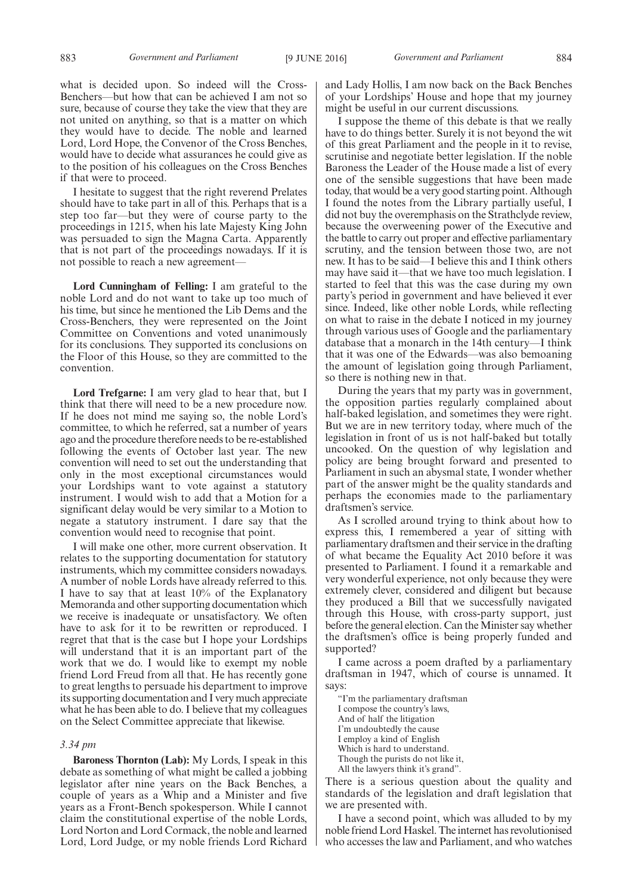what is decided upon. So indeed will the Cross-Benchers—but how that can be achieved I am not so sure, because of course they take the view that they are not united on anything, so that is a matter on which they would have to decide. The noble and learned Lord, Lord Hope, the Convenor of the Cross Benches, would have to decide what assurances he could give as to the position of his colleagues on the Cross Benches if that were to proceed.

I hesitate to suggest that the right reverend Prelates should have to take part in all of this. Perhaps that is a step too far—but they were of course party to the proceedings in 1215, when his late Majesty King John was persuaded to sign the Magna Carta. Apparently that is not part of the proceedings nowadays. If it is not possible to reach a new agreement—

**Lord Cunningham of Felling:** I am grateful to the noble Lord and do not want to take up too much of his time, but since he mentioned the Lib Dems and the Cross-Benchers, they were represented on the Joint Committee on Conventions and voted unanimously for its conclusions. They supported its conclusions on the Floor of this House, so they are committed to the convention.

**Lord Trefgarne:** I am very glad to hear that, but I think that there will need to be a new procedure now. If he does not mind me saying so, the noble Lord's committee, to which he referred, sat a number of years ago and the procedure therefore needs to be re-established following the events of October last year. The new convention will need to set out the understanding that only in the most exceptional circumstances would your Lordships want to vote against a statutory instrument. I would wish to add that a Motion for a significant delay would be very similar to a Motion to negate a statutory instrument. I dare say that the convention would need to recognise that point.

I will make one other, more current observation. It relates to the supporting documentation for statutory instruments, which my committee considers nowadays. A number of noble Lords have already referred to this. I have to say that at least 10% of the Explanatory Memoranda and other supporting documentation which we receive is inadequate or unsatisfactory. We often have to ask for it to be rewritten or reproduced. I regret that that is the case but I hope your Lordships will understand that it is an important part of the work that we do. I would like to exempt my noble friend Lord Freud from all that. He has recently gone to great lengths to persuade his department to improve its supporting documentation and I very much appreciate what he has been able to do. I believe that my colleagues on the Select Committee appreciate that likewise.

# *3.34 pm*

**Baroness Thornton (Lab):** My Lords, I speak in this debate as something of what might be called a jobbing legislator after nine years on the Back Benches, a couple of years as a Whip and a Minister and five years as a Front-Bench spokesperson. While I cannot claim the constitutional expertise of the noble Lords, Lord Norton and Lord Cormack, the noble and learned Lord, Lord Judge, or my noble friends Lord Richard and Lady Hollis, I am now back on the Back Benches of your Lordships' House and hope that my journey might be useful in our current discussions.

I suppose the theme of this debate is that we really have to do things better. Surely it is not beyond the wit of this great Parliament and the people in it to revise, scrutinise and negotiate better legislation. If the noble Baroness the Leader of the House made a list of every one of the sensible suggestions that have been made today, that would be a very good starting point. Although I found the notes from the Library partially useful, I did not buy the overemphasis on the Strathclyde review, because the overweening power of the Executive and the battle to carry out proper and effective parliamentary scrutiny, and the tension between those two, are not new. It has to be said—I believe this and I think others may have said it—that we have too much legislation. I started to feel that this was the case during my own party's period in government and have believed it ever since. Indeed, like other noble Lords, while reflecting on what to raise in the debate I noticed in my journey through various uses of Google and the parliamentary database that a monarch in the 14th century—I think that it was one of the Edwards—was also bemoaning the amount of legislation going through Parliament, so there is nothing new in that.

During the years that my party was in government, the opposition parties regularly complained about half-baked legislation, and sometimes they were right. But we are in new territory today, where much of the legislation in front of us is not half-baked but totally uncooked. On the question of why legislation and policy are being brought forward and presented to Parliament in such an abysmal state, I wonder whether part of the answer might be the quality standards and perhaps the economies made to the parliamentary draftsmen's service.

As I scrolled around trying to think about how to express this, I remembered a year of sitting with parliamentary draftsmen and their service in the drafting of what became the Equality Act 2010 before it was presented to Parliament. I found it a remarkable and very wonderful experience, not only because they were extremely clever, considered and diligent but because they produced a Bill that we successfully navigated through this House, with cross-party support, just before the general election. Can the Minister say whether the draftsmen's office is being properly funded and supported?

I came across a poem drafted by a parliamentary draftsman in 1947, which of course is unnamed. It says:

"I'm the parliamentary draftsman I compose the country's laws, And of half the litigation I'm undoubtedly the cause I employ a kind of English Which is hard to understand. Though the purists do not like it, All the lawyers think it's grand".

There is a serious question about the quality and standards of the legislation and draft legislation that we are presented with.

I have a second point, which was alluded to by my noble friend Lord Haskel. The internet has revolutionised who accesses the law and Parliament, and who watches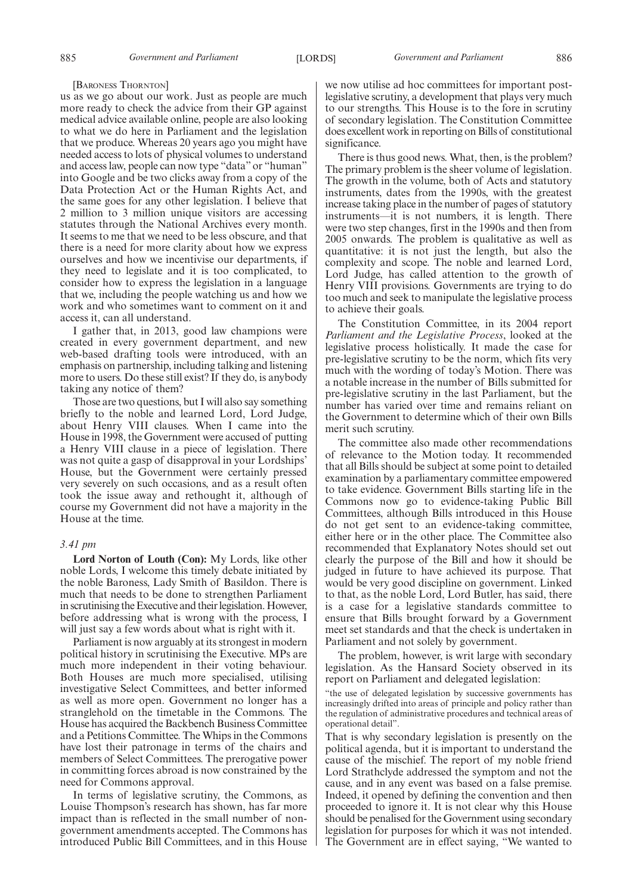#### [BARONESS THORNTON]

us as we go about our work. Just as people are much more ready to check the advice from their GP against medical advice available online, people are also looking to what we do here in Parliament and the legislation that we produce. Whereas 20 years ago you might have needed access to lots of physical volumes to understand and access law, people can now type "data"or "human" into Google and be two clicks away from a copy of the Data Protection Act or the Human Rights Act, and the same goes for any other legislation. I believe that 2 million to 3 million unique visitors are accessing statutes through the National Archives every month. It seems to me that we need to be less obscure, and that there is a need for more clarity about how we express ourselves and how we incentivise our departments, if they need to legislate and it is too complicated, to consider how to express the legislation in a language that we, including the people watching us and how we work and who sometimes want to comment on it and access it, can all understand.

I gather that, in 2013, good law champions were created in every government department, and new web-based drafting tools were introduced, with an emphasis on partnership, including talking and listening more to users. Do these still exist? If they do, is anybody taking any notice of them?

Those are two questions, but I will also say something briefly to the noble and learned Lord, Lord Judge, about Henry VIII clauses. When I came into the House in 1998, the Government were accused of putting a Henry VIII clause in a piece of legislation. There was not quite a gasp of disapproval in your Lordships' House, but the Government were certainly pressed very severely on such occasions, and as a result often took the issue away and rethought it, although of course my Government did not have a majority in the House at the time.

#### *3.41 pm*

**Lord Norton of Louth (Con):** My Lords, like other noble Lords, I welcome this timely debate initiated by the noble Baroness, Lady Smith of Basildon. There is much that needs to be done to strengthen Parliament in scrutinising the Executive and their legislation. However, before addressing what is wrong with the process, I will just say a few words about what is right with it.

Parliament is now arguably at its strongest in modern political history in scrutinising the Executive. MPs are much more independent in their voting behaviour. Both Houses are much more specialised, utilising investigative Select Committees, and better informed as well as more open. Government no longer has a stranglehold on the timetable in the Commons. The House has acquired the Backbench Business Committee and a Petitions Committee. The Whips in the Commons have lost their patronage in terms of the chairs and members of Select Committees. The prerogative power in committing forces abroad is now constrained by the need for Commons approval.

In terms of legislative scrutiny, the Commons, as Louise Thompson's research has shown, has far more impact than is reflected in the small number of nongovernment amendments accepted. The Commons has introduced Public Bill Committees, and in this House we now utilise ad hoc committees for important postlegislative scrutiny, a development that plays very much to our strengths. This House is to the fore in scrutiny of secondary legislation. The Constitution Committee does excellent work in reporting on Bills of constitutional significance.

There is thus good news. What, then, is the problem? The primary problem is the sheer volume of legislation. The growth in the volume, both of Acts and statutory instruments, dates from the 1990s, with the greatest increase taking place in the number of pages of statutory instruments—it is not numbers, it is length. There were two step changes, first in the 1990s and then from 2005 onwards. The problem is qualitative as well as quantitative: it is not just the length, but also the complexity and scope. The noble and learned Lord, Lord Judge, has called attention to the growth of Henry VIII provisions. Governments are trying to do too much and seek to manipulate the legislative process to achieve their goals.

The Constitution Committee, in its 2004 report *Parliament and the Legislative Process*, looked at the legislative process holistically. It made the case for pre-legislative scrutiny to be the norm, which fits very much with the wording of today's Motion. There was a notable increase in the number of Bills submitted for pre-legislative scrutiny in the last Parliament, but the number has varied over time and remains reliant on the Government to determine which of their own Bills merit such scrutiny.

The committee also made other recommendations of relevance to the Motion today. It recommended that all Bills should be subject at some point to detailed examination by a parliamentary committee empowered to take evidence. Government Bills starting life in the Commons now go to evidence-taking Public Bill Committees, although Bills introduced in this House do not get sent to an evidence-taking committee, either here or in the other place. The Committee also recommended that Explanatory Notes should set out clearly the purpose of the Bill and how it should be judged in future to have achieved its purpose. That would be very good discipline on government. Linked to that, as the noble Lord, Lord Butler, has said, there is a case for a legislative standards committee to ensure that Bills brought forward by a Government meet set standards and that the check is undertaken in Parliament and not solely by government.

The problem, however, is writ large with secondary legislation. As the Hansard Society observed in its report on Parliament and delegated legislation:

"the use of delegated legislation by successive governments has increasingly drifted into areas of principle and policy rather than the regulation of administrative procedures and technical areas of operational detail".

That is why secondary legislation is presently on the political agenda, but it is important to understand the cause of the mischief. The report of my noble friend Lord Strathclyde addressed the symptom and not the cause, and in any event was based on a false premise. Indeed, it opened by defining the convention and then proceeded to ignore it. It is not clear why this House should be penalised for the Government using secondary legislation for purposes for which it was not intended. The Government are in effect saying, "We wanted to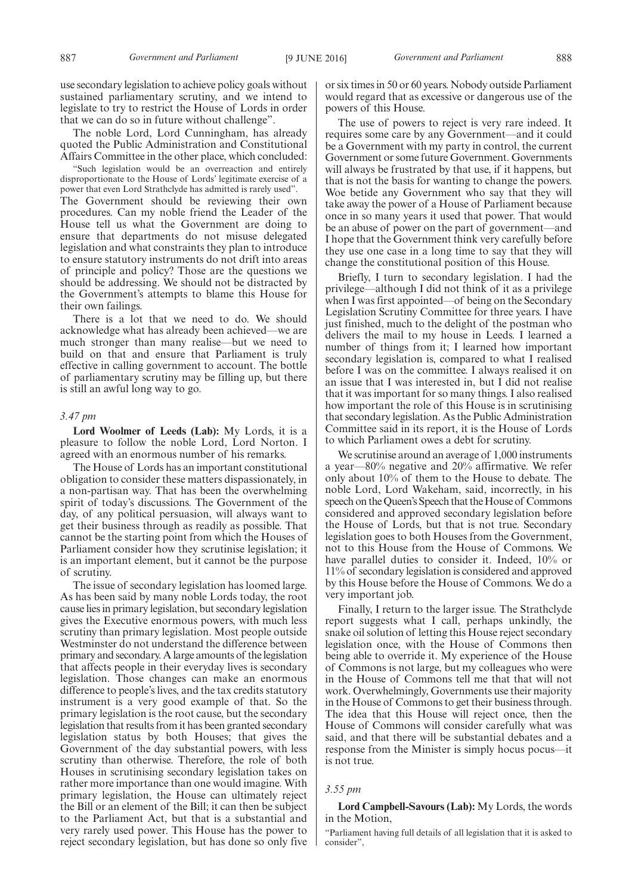The noble Lord, Lord Cunningham, has already quoted the Public Administration and Constitutional Affairs Committee in the other place, which concluded:

"Such legislation would be an overreaction and entirely disproportionate to the House of Lords' legitimate exercise of a power that even Lord Strathclyde has admitted is rarely used". The Government should be reviewing their own procedures. Can my noble friend the Leader of the House tell us what the Government are doing to ensure that departments do not misuse delegated legislation and what constraints they plan to introduce to ensure statutory instruments do not drift into areas of principle and policy? Those are the questions we should be addressing. We should not be distracted by the Government's attempts to blame this House for their own failings.

There is a lot that we need to do. We should acknowledge what has already been achieved—we are much stronger than many realise—but we need to build on that and ensure that Parliament is truly effective in calling government to account. The bottle of parliamentary scrutiny may be filling up, but there is still an awful long way to go.

#### *3.47 pm*

**Lord Woolmer of Leeds (Lab):** My Lords, it is a pleasure to follow the noble Lord, Lord Norton. I agreed with an enormous number of his remarks.

The House of Lords has an important constitutional obligation to consider these matters dispassionately, in a non-partisan way. That has been the overwhelming spirit of today's discussions. The Government of the day, of any political persuasion, will always want to get their business through as readily as possible. That cannot be the starting point from which the Houses of Parliament consider how they scrutinise legislation; it is an important element, but it cannot be the purpose of scrutiny.

The issue of secondary legislation has loomed large. As has been said by many noble Lords today, the root cause lies in primary legislation, but secondary legislation gives the Executive enormous powers, with much less scrutiny than primary legislation. Most people outside Westminster do not understand the difference between primary and secondary. A large amounts of the legislation that affects people in their everyday lives is secondary legislation. Those changes can make an enormous difference to people's lives, and the tax credits statutory instrument is a very good example of that. So the primary legislation is the root cause, but the secondary legislation that results from it has been granted secondary legislation status by both Houses; that gives the Government of the day substantial powers, with less scrutiny than otherwise. Therefore, the role of both Houses in scrutinising secondary legislation takes on rather more importance than one would imagine. With primary legislation, the House can ultimately reject the Bill or an element of the Bill; it can then be subject to the Parliament Act, but that is a substantial and very rarely used power. This House has the power to reject secondary legislation, but has done so only five or six times in 50 or 60 years. Nobody outside Parliament would regard that as excessive or dangerous use of the powers of this House.

The use of powers to reject is very rare indeed. It requires some care by any Government—and it could be a Government with my party in control, the current Government or some future Government. Governments will always be frustrated by that use, if it happens, but that is not the basis for wanting to change the powers. Woe betide any Government who say that they will take away the power of a House of Parliament because once in so many years it used that power. That would be an abuse of power on the part of government—and I hope that the Government think very carefully before they use one case in a long time to say that they will change the constitutional position of this House.

Briefly, I turn to secondary legislation. I had the privilege—although I did not think of it as a privilege when I was first appointed—of being on the Secondary Legislation Scrutiny Committee for three years. I have just finished, much to the delight of the postman who delivers the mail to my house in Leeds. I learned a number of things from it; I learned how important secondary legislation is, compared to what I realised before I was on the committee. I always realised it on an issue that I was interested in, but I did not realise that it was important for so many things. I also realised how important the role of this House is in scrutinising that secondary legislation. As the Public Administration Committee said in its report, it is the House of Lords to which Parliament owes a debt for scrutiny.

We scrutinise around an average of 1,000 instruments a year—80% negative and 20% affirmative. We refer only about 10% of them to the House to debate. The noble Lord, Lord Wakeham, said, incorrectly, in his speech on the Queen's Speech that the House of Commons considered and approved secondary legislation before the House of Lords, but that is not true. Secondary legislation goes to both Houses from the Government, not to this House from the House of Commons. We have parallel duties to consider it. Indeed,  $10\%$  or 11% of secondary legislation is considered and approved by this House before the House of Commons. We do a very important job.

Finally, I return to the larger issue. The Strathclyde report suggests what I call, perhaps unkindly, the snake oil solution of letting this House reject secondary legislation once, with the House of Commons then being able to override it. My experience of the House of Commons is not large, but my colleagues who were in the House of Commons tell me that that will not work. Overwhelmingly, Governments use their majority in the House of Commons to get their business through. The idea that this House will reject once, then the House of Commons will consider carefully what was said, and that there will be substantial debates and a response from the Minister is simply hocus pocus—it is not true.

# *3.55 pm*

**Lord Campbell-Savours (Lab):** My Lords, the words in the Motion,

"Parliament having full details of all legislation that it is asked to consider",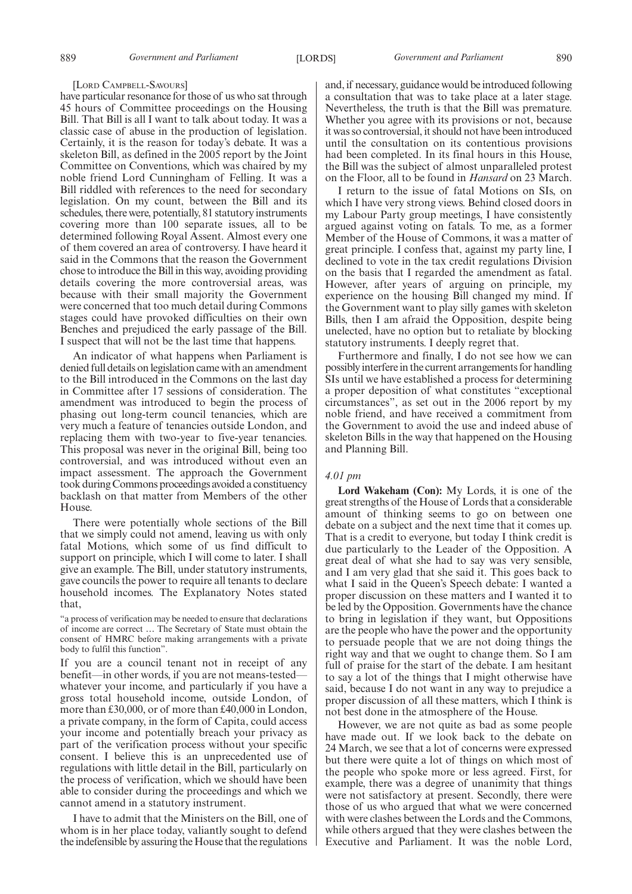#### [LORD CAMPBELL-SAVOURS]

have particular resonance for those of us who sat through 45 hours of Committee proceedings on the Housing Bill. That Bill is all I want to talk about today. It was a classic case of abuse in the production of legislation. Certainly, it is the reason for today's debate. It was a skeleton Bill, as defined in the 2005 report by the Joint Committee on Conventions, which was chaired by my noble friend Lord Cunningham of Felling. It was a Bill riddled with references to the need for secondary legislation. On my count, between the Bill and its schedules, there were, potentially, 81 statutory instruments covering more than 100 separate issues, all to be determined following Royal Assent. Almost every one of them covered an area of controversy. I have heard it said in the Commons that the reason the Government chose to introduce the Bill in this way, avoiding providing details covering the more controversial areas, was because with their small majority the Government were concerned that too much detail during Commons stages could have provoked difficulties on their own Benches and prejudiced the early passage of the Bill. I suspect that will not be the last time that happens.

An indicator of what happens when Parliament is denied full details on legislation came with an amendment to the Bill introduced in the Commons on the last day in Committee after 17 sessions of consideration. The amendment was introduced to begin the process of phasing out long-term council tenancies, which are very much a feature of tenancies outside London, and replacing them with two-year to five-year tenancies. This proposal was never in the original Bill, being too controversial, and was introduced without even an impact assessment. The approach the Government took during Commons proceedings avoided a constituency backlash on that matter from Members of the other House.

There were potentially whole sections of the Bill that we simply could not amend, leaving us with only fatal Motions, which some of us find difficult to support on principle, which I will come to later. I shall give an example. The Bill, under statutory instruments, gave councils the power to require all tenants to declare household incomes. The Explanatory Notes stated that,

"a process of verification may be needed to ensure that declarations of income are correct … The Secretary of State must obtain the consent of HMRC before making arrangements with a private body to fulfil this function".

If you are a council tenant not in receipt of any benefit—in other words, if you are not means-tested whatever your income, and particularly if you have a gross total household income, outside London, of more than £30,000, or of more than £40,000 in London, a private company, in the form of Capita, could access your income and potentially breach your privacy as part of the verification process without your specific consent. I believe this is an unprecedented use of regulations with little detail in the Bill, particularly on the process of verification, which we should have been able to consider during the proceedings and which we cannot amend in a statutory instrument.

I have to admit that the Ministers on the Bill, one of whom is in her place today, valiantly sought to defend the indefensible by assuring the House that the regulations and, if necessary, guidance would be introduced following a consultation that was to take place at a later stage. Nevertheless, the truth is that the Bill was premature. Whether you agree with its provisions or not, because it was so controversial, it should not have been introduced until the consultation on its contentious provisions had been completed. In its final hours in this House, the Bill was the subject of almost unparalleled protest on the Floor, all to be found in *Hansard* on 23 March.

I return to the issue of fatal Motions on SIs, on which I have very strong views. Behind closed doors in my Labour Party group meetings, I have consistently argued against voting on fatals. To me, as a former Member of the House of Commons, it was a matter of great principle. I confess that, against my party line, I declined to vote in the tax credit regulations Division on the basis that I regarded the amendment as fatal. However, after years of arguing on principle, my experience on the housing Bill changed my mind. If the Government want to play silly games with skeleton Bills, then I am afraid the Opposition, despite being unelected, have no option but to retaliate by blocking statutory instruments. I deeply regret that.

Furthermore and finally, I do not see how we can possibly interfere in the current arrangements for handling SIs until we have established a process for determining a proper deposition of what constitutes "exceptional circumstances", as set out in the 2006 report by my noble friend, and have received a commitment from the Government to avoid the use and indeed abuse of skeleton Bills in the way that happened on the Housing and Planning Bill.

# *4.01 pm*

**Lord Wakeham (Con):** My Lords, it is one of the great strengths of the House of Lords that a considerable amount of thinking seems to go on between one debate on a subject and the next time that it comes up. That is a credit to everyone, but today I think credit is due particularly to the Leader of the Opposition. A great deal of what she had to say was very sensible, and I am very glad that she said it. This goes back to what I said in the Queen's Speech debate: I wanted a proper discussion on these matters and I wanted it to be led by the Opposition. Governments have the chance to bring in legislation if they want, but Oppositions are the people who have the power and the opportunity to persuade people that we are not doing things the right way and that we ought to change them. So I am full of praise for the start of the debate. I am hesitant to say a lot of the things that I might otherwise have said, because I do not want in any way to prejudice a proper discussion of all these matters, which I think is not best done in the atmosphere of the House.

However, we are not quite as bad as some people have made out. If we look back to the debate on 24 March, we see that a lot of concerns were expressed but there were quite a lot of things on which most of the people who spoke more or less agreed. First, for example, there was a degree of unanimity that things were not satisfactory at present. Secondly, there were those of us who argued that what we were concerned with were clashes between the Lords and the Commons, while others argued that they were clashes between the Executive and Parliament. It was the noble Lord,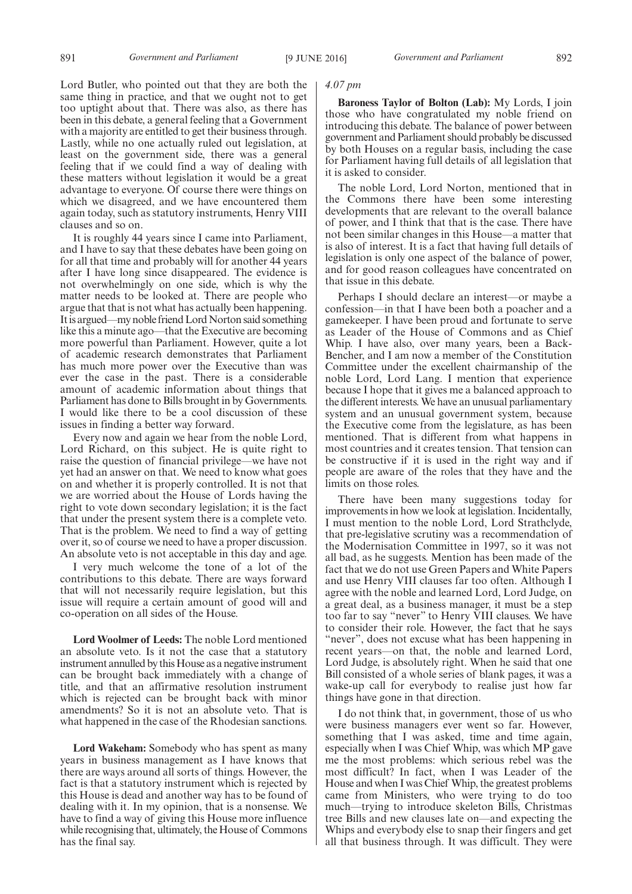Lord Butler, who pointed out that they are both the same thing in practice, and that we ought not to get too uptight about that. There was also, as there has been in this debate, a general feeling that a Government with a majority are entitled to get their business through. Lastly, while no one actually ruled out legislation, at least on the government side, there was a general feeling that if we could find a way of dealing with these matters without legislation it would be a great advantage to everyone. Of course there were things on which we disagreed, and we have encountered them again today, such as statutory instruments, Henry VIII clauses and so on.

It is roughly 44 years since I came into Parliament, and I have to say that these debates have been going on for all that time and probably will for another 44 years after I have long since disappeared. The evidence is not overwhelmingly on one side, which is why the matter needs to be looked at. There are people who argue that that is not what has actually been happening. It is argued—my noble friend Lord Norton said something like this a minute ago—that the Executive are becoming more powerful than Parliament. However, quite a lot of academic research demonstrates that Parliament has much more power over the Executive than was ever the case in the past. There is a considerable amount of academic information about things that Parliament has done to Bills brought in by Governments. I would like there to be a cool discussion of these issues in finding a better way forward.

Every now and again we hear from the noble Lord, Lord Richard, on this subject. He is quite right to raise the question of financial privilege—we have not yet had an answer on that. We need to know what goes on and whether it is properly controlled. It is not that we are worried about the House of Lords having the right to vote down secondary legislation; it is the fact that under the present system there is a complete veto. That is the problem. We need to find a way of getting over it, so of course we need to have a proper discussion. An absolute veto is not acceptable in this day and age.

I very much welcome the tone of a lot of the contributions to this debate. There are ways forward that will not necessarily require legislation, but this issue will require a certain amount of good will and co-operation on all sides of the House.

**Lord Woolmer of Leeds:** The noble Lord mentioned an absolute veto. Is it not the case that a statutory instrument annulled by this House as a negative instrument can be brought back immediately with a change of title, and that an affirmative resolution instrument which is rejected can be brought back with minor amendments? So it is not an absolute veto. That is what happened in the case of the Rhodesian sanctions.

**Lord Wakeham:** Somebody who has spent as many years in business management as I have knows that there are ways around all sorts of things. However, the fact is that a statutory instrument which is rejected by this House is dead and another way has to be found of dealing with it. In my opinion, that is a nonsense. We have to find a way of giving this House more influence while recognising that, ultimately, the House of Commons has the final say.

# *4.07 pm*

**Baroness Taylor of Bolton (Lab):** My Lords, I join those who have congratulated my noble friend on introducing this debate. The balance of power between government and Parliament should probably be discussed by both Houses on a regular basis, including the case for Parliament having full details of all legislation that it is asked to consider.

The noble Lord, Lord Norton, mentioned that in the Commons there have been some interesting developments that are relevant to the overall balance of power, and I think that that is the case. There have not been similar changes in this House—a matter that is also of interest. It is a fact that having full details of legislation is only one aspect of the balance of power, and for good reason colleagues have concentrated on that issue in this debate.

Perhaps I should declare an interest—or maybe a confession—in that I have been both a poacher and a gamekeeper. I have been proud and fortunate to serve as Leader of the House of Commons and as Chief Whip. I have also, over many years, been a Back-Bencher, and I am now a member of the Constitution Committee under the excellent chairmanship of the noble Lord, Lord Lang. I mention that experience because I hope that it gives me a balanced approach to the different interests. We have an unusual parliamentary system and an unusual government system, because the Executive come from the legislature, as has been mentioned. That is different from what happens in most countries and it creates tension. That tension can be constructive if it is used in the right way and if people are aware of the roles that they have and the limits on those roles.

There have been many suggestions today for improvements in how we look at legislation. Incidentally, I must mention to the noble Lord, Lord Strathclyde, that pre-legislative scrutiny was a recommendation of the Modernisation Committee in 1997, so it was not all bad, as he suggests. Mention has been made of the fact that we do not use Green Papers and White Papers and use Henry VIII clauses far too often. Although I agree with the noble and learned Lord, Lord Judge, on a great deal, as a business manager, it must be a step too far to say "never" to Henry VIII clauses. We have to consider their role. However, the fact that he says "never", does not excuse what has been happening in recent years—on that, the noble and learned Lord, Lord Judge, is absolutely right. When he said that one Bill consisted of a whole series of blank pages, it was a wake-up call for everybody to realise just how far things have gone in that direction.

I do not think that, in government, those of us who were business managers ever went so far. However, something that I was asked, time and time again, especially when I was Chief Whip, was which MP gave me the most problems: which serious rebel was the most difficult? In fact, when I was Leader of the House and when I was Chief Whip, the greatest problems came from Ministers, who were trying to do too much—trying to introduce skeleton Bills, Christmas tree Bills and new clauses late on—and expecting the Whips and everybody else to snap their fingers and get all that business through. It was difficult. They were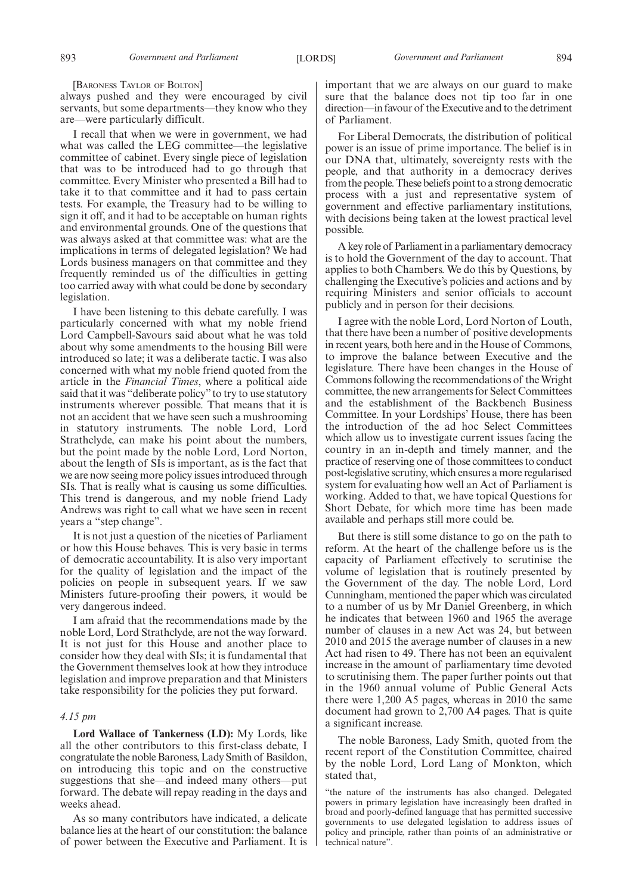[BARONESS TAYLOR OF BOLTON]

always pushed and they were encouraged by civil servants, but some departments—they know who they are—were particularly difficult.

I recall that when we were in government, we had what was called the LEG committee—the legislative committee of cabinet. Every single piece of legislation that was to be introduced had to go through that committee. Every Minister who presented a Bill had to take it to that committee and it had to pass certain tests. For example, the Treasury had to be willing to sign it off, and it had to be acceptable on human rights and environmental grounds. One of the questions that was always asked at that committee was: what are the implications in terms of delegated legislation? We had Lords business managers on that committee and they frequently reminded us of the difficulties in getting too carried away with what could be done by secondary legislation.

I have been listening to this debate carefully. I was particularly concerned with what my noble friend Lord Campbell-Savours said about what he was told about why some amendments to the housing Bill were introduced so late; it was a deliberate tactic. I was also concerned with what my noble friend quoted from the article in the *Financial Times*, where a political aide said that it was "deliberate policy"to try to use statutory instruments wherever possible. That means that it is not an accident that we have seen such a mushrooming in statutory instruments. The noble Lord, Lord Strathclyde, can make his point about the numbers, but the point made by the noble Lord, Lord Norton, about the length of SIs is important, as is the fact that we are now seeing more policy issues introduced through SIs. That is really what is causing us some difficulties. This trend is dangerous, and my noble friend Lady Andrews was right to call what we have seen in recent years a "step change".

It is not just a question of the niceties of Parliament or how this House behaves. This is very basic in terms of democratic accountability. It is also very important for the quality of legislation and the impact of the policies on people in subsequent years. If we saw Ministers future-proofing their powers, it would be very dangerous indeed.

I am afraid that the recommendations made by the noble Lord, Lord Strathclyde, are not the way forward. It is not just for this House and another place to consider how they deal with SIs; it is fundamental that the Government themselves look at how they introduce legislation and improve preparation and that Ministers take responsibility for the policies they put forward.

# *4.15 pm*

**Lord Wallace of Tankerness (LD):** My Lords, like all the other contributors to this first-class debate, I congratulate the noble Baroness, Lady Smith of Basildon, on introducing this topic and on the constructive suggestions that she—and indeed many others—put forward. The debate will repay reading in the days and weeks ahead.

As so many contributors have indicated, a delicate balance lies at the heart of our constitution: the balance of power between the Executive and Parliament. It is important that we are always on our guard to make sure that the balance does not tip too far in one direction—in favour of the Executive and to the detriment of Parliament.

For Liberal Democrats, the distribution of political power is an issue of prime importance. The belief is in our DNA that, ultimately, sovereignty rests with the people, and that authority in a democracy derives from the people. These beliefs point to a strong democratic process with a just and representative system of government and effective parliamentary institutions, with decisions being taken at the lowest practical level possible.

A key role of Parliament in a parliamentary democracy is to hold the Government of the day to account. That applies to both Chambers. We do this by Questions, by challenging the Executive's policies and actions and by requiring Ministers and senior officials to account publicly and in person for their decisions.

I agree with the noble Lord, Lord Norton of Louth, that there have been a number of positive developments in recent years, both here and in the House of Commons, to improve the balance between Executive and the legislature. There have been changes in the House of Commons following the recommendations of the Wright committee, the new arrangements for Select Committees and the establishment of the Backbench Business Committee. In your Lordships' House, there has been the introduction of the ad hoc Select Committees which allow us to investigate current issues facing the country in an in-depth and timely manner, and the practice of reserving one of those committees to conduct post-legislative scrutiny, which ensures a more regularised system for evaluating how well an Act of Parliament is working. Added to that, we have topical Questions for Short Debate, for which more time has been made available and perhaps still more could be.

But there is still some distance to go on the path to reform. At the heart of the challenge before us is the capacity of Parliament effectively to scrutinise the volume of legislation that is routinely presented by the Government of the day. The noble Lord, Lord Cunningham, mentioned the paper which was circulated to a number of us by Mr Daniel Greenberg, in which he indicates that between 1960 and 1965 the average number of clauses in a new Act was 24, but between 2010 and 2015 the average number of clauses in a new Act had risen to 49. There has not been an equivalent increase in the amount of parliamentary time devoted to scrutinising them. The paper further points out that in the 1960 annual volume of Public General Acts there were 1,200 A5 pages, whereas in 2010 the same document had grown to 2,700 A4 pages. That is quite a significant increase.

The noble Baroness, Lady Smith, quoted from the recent report of the Constitution Committee, chaired by the noble Lord, Lord Lang of Monkton, which stated that,

"the nature of the instruments has also changed. Delegated powers in primary legislation have increasingly been drafted in broad and poorly-defined language that has permitted successive governments to use delegated legislation to address issues of policy and principle, rather than points of an administrative or technical nature".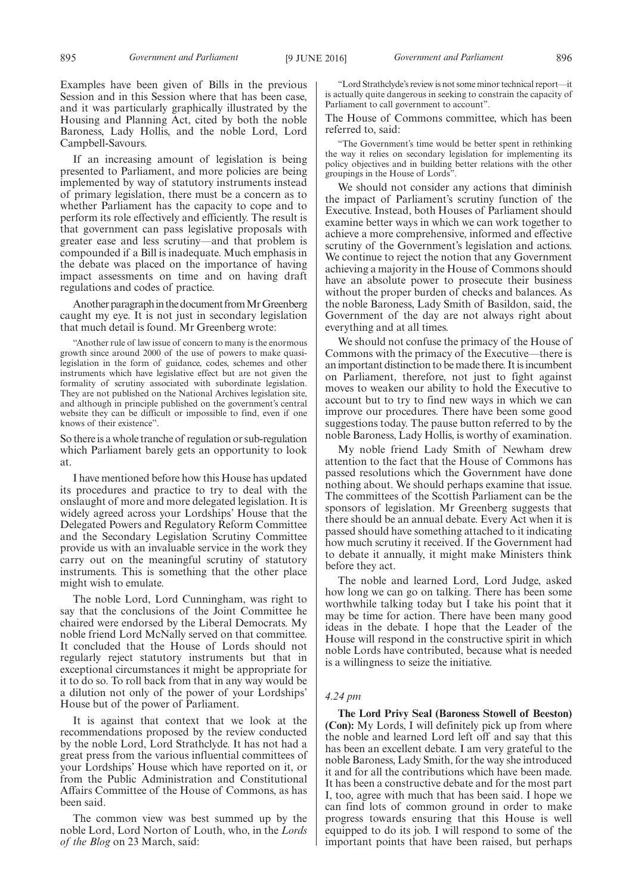If an increasing amount of legislation is being presented to Parliament, and more policies are being implemented by way of statutory instruments instead of primary legislation, there must be a concern as to whether Parliament has the capacity to cope and to perform its role effectively and efficiently. The result is that government can pass legislative proposals with greater ease and less scrutiny—and that problem is compounded if a Bill is inadequate. Much emphasis in the debate was placed on the importance of having impact assessments on time and on having draft regulations and codes of practice.

Another paragraph in the document from Mr Greenberg caught my eye. It is not just in secondary legislation that much detail is found. Mr Greenberg wrote:

"Another rule of law issue of concern to many is the enormous growth since around 2000 of the use of powers to make quasilegislation in the form of guidance, codes, schemes and other instruments which have legislative effect but are not given the formality of scrutiny associated with subordinate legislation. They are not published on the National Archives legislation site, and although in principle published on the government's central website they can be difficult or impossible to find, even if one knows of their existence".

So there is a whole tranche of regulation or sub-regulation which Parliament barely gets an opportunity to look at.

I have mentioned before how this House has updated its procedures and practice to try to deal with the onslaught of more and more delegated legislation. It is widely agreed across your Lordships' House that the Delegated Powers and Regulatory Reform Committee and the Secondary Legislation Scrutiny Committee provide us with an invaluable service in the work they carry out on the meaningful scrutiny of statutory instruments. This is something that the other place might wish to emulate.

The noble Lord, Lord Cunningham, was right to say that the conclusions of the Joint Committee he chaired were endorsed by the Liberal Democrats. My noble friend Lord McNally served on that committee. It concluded that the House of Lords should not regularly reject statutory instruments but that in exceptional circumstances it might be appropriate for it to do so. To roll back from that in any way would be a dilution not only of the power of your Lordships' House but of the power of Parliament.

It is against that context that we look at the recommendations proposed by the review conducted by the noble Lord, Lord Strathclyde. It has not had a great press from the various influential committees of your Lordships' House which have reported on it, or from the Public Administration and Constitutional Affairs Committee of the House of Commons, as has been said.

The common view was best summed up by the noble Lord, Lord Norton of Louth, who, in the *Lords of the Blog* on 23 March, said:

"Lord Strathclyde's review is not some minor technical report—it is actually quite dangerous in seeking to constrain the capacity of Parliament to call government to account".

The House of Commons committee, which has been referred to, said:

"The Government's time would be better spent in rethinking the way it relies on secondary legislation for implementing its policy objectives and in building better relations with the other groupings in the House of Lords".

We should not consider any actions that diminish the impact of Parliament's scrutiny function of the Executive. Instead, both Houses of Parliament should examine better ways in which we can work together to achieve a more comprehensive, informed and effective scrutiny of the Government's legislation and actions. We continue to reject the notion that any Government achieving a majority in the House of Commons should have an absolute power to prosecute their business without the proper burden of checks and balances. As the noble Baroness, Lady Smith of Basildon, said, the Government of the day are not always right about everything and at all times.

We should not confuse the primacy of the House of Commons with the primacy of the Executive—there is an important distinction to be made there. It is incumbent on Parliament, therefore, not just to fight against moves to weaken our ability to hold the Executive to account but to try to find new ways in which we can improve our procedures. There have been some good suggestions today. The pause button referred to by the noble Baroness, Lady Hollis, is worthy of examination.

My noble friend Lady Smith of Newham drew attention to the fact that the House of Commons has passed resolutions which the Government have done nothing about. We should perhaps examine that issue. The committees of the Scottish Parliament can be the sponsors of legislation. Mr Greenberg suggests that there should be an annual debate. Every Act when it is passed should have something attached to it indicating how much scrutiny it received. If the Government had to debate it annually, it might make Ministers think before they act.

The noble and learned Lord, Lord Judge, asked how long we can go on talking. There has been some worthwhile talking today but I take his point that it may be time for action. There have been many good ideas in the debate. I hope that the Leader of the House will respond in the constructive spirit in which noble Lords have contributed, because what is needed is a willingness to seize the initiative.

# *4.24 pm*

**The Lord Privy Seal (Baroness Stowell of Beeston) (Con):** My Lords, I will definitely pick up from where the noble and learned Lord left off and say that this has been an excellent debate. I am very grateful to the noble Baroness, Lady Smith, for the way she introduced it and for all the contributions which have been made. It has been a constructive debate and for the most part I, too, agree with much that has been said. I hope we can find lots of common ground in order to make progress towards ensuring that this House is well equipped to do its job. I will respond to some of the important points that have been raised, but perhaps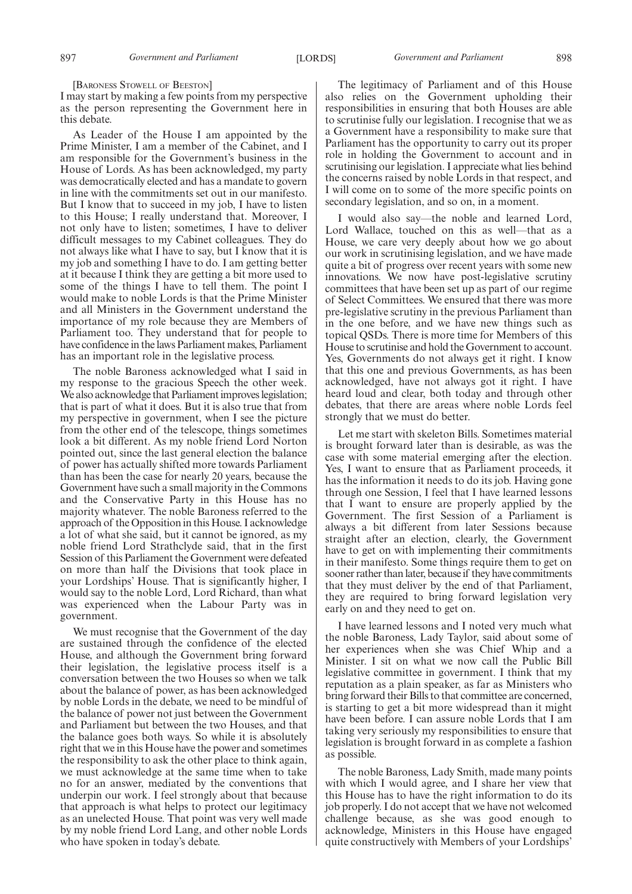[BARONESS STOWELL OF BEESTON]

I may start by making a few points from my perspective as the person representing the Government here in this debate.

As Leader of the House I am appointed by the Prime Minister, I am a member of the Cabinet, and I am responsible for the Government's business in the House of Lords. As has been acknowledged, my party was democratically elected and has a mandate to govern in line with the commitments set out in our manifesto. But I know that to succeed in my job, I have to listen to this House; I really understand that. Moreover, I not only have to listen; sometimes, I have to deliver difficult messages to my Cabinet colleagues. They do not always like what I have to say, but I know that it is my job and something I have to do. I am getting better at it because I think they are getting a bit more used to some of the things I have to tell them. The point I would make to noble Lords is that the Prime Minister and all Ministers in the Government understand the importance of my role because they are Members of Parliament too. They understand that for people to have confidence in the laws Parliament makes, Parliament has an important role in the legislative process.

The noble Baroness acknowledged what I said in my response to the gracious Speech the other week. We also acknowledge that Parliament improves legislation; that is part of what it does. But it is also true that from my perspective in government, when I see the picture from the other end of the telescope, things sometimes look a bit different. As my noble friend Lord Norton pointed out, since the last general election the balance of power has actually shifted more towards Parliament than has been the case for nearly 20 years, because the Government have such a small majority in the Commons and the Conservative Party in this House has no majority whatever. The noble Baroness referred to the approach of the Opposition in this House. I acknowledge a lot of what she said, but it cannot be ignored, as my noble friend Lord Strathclyde said, that in the first Session of this Parliament the Government were defeated on more than half the Divisions that took place in your Lordships' House. That is significantly higher, I would say to the noble Lord, Lord Richard, than what was experienced when the Labour Party was in government.

We must recognise that the Government of the day are sustained through the confidence of the elected House, and although the Government bring forward their legislation, the legislative process itself is a conversation between the two Houses so when we talk about the balance of power, as has been acknowledged by noble Lords in the debate, we need to be mindful of the balance of power not just between the Government and Parliament but between the two Houses, and that the balance goes both ways. So while it is absolutely right that we in this House have the power and sometimes the responsibility to ask the other place to think again, we must acknowledge at the same time when to take no for an answer, mediated by the conventions that underpin our work. I feel strongly about that because that approach is what helps to protect our legitimacy as an unelected House. That point was very well made by my noble friend Lord Lang, and other noble Lords who have spoken in today's debate.

The legitimacy of Parliament and of this House also relies on the Government upholding their responsibilities in ensuring that both Houses are able to scrutinise fully our legislation. I recognise that we as a Government have a responsibility to make sure that Parliament has the opportunity to carry out its proper role in holding the Government to account and in scrutinising our legislation. I appreciate what lies behind the concerns raised by noble Lords in that respect, and I will come on to some of the more specific points on secondary legislation, and so on, in a moment.

I would also say—the noble and learned Lord, Lord Wallace, touched on this as well—that as a House, we care very deeply about how we go about our work in scrutinising legislation, and we have made quite a bit of progress over recent years with some new innovations. We now have post-legislative scrutiny committees that have been set up as part of our regime of Select Committees. We ensured that there was more pre-legislative scrutiny in the previous Parliament than in the one before, and we have new things such as topical QSDs. There is more time for Members of this House to scrutinise and hold the Government to account. Yes, Governments do not always get it right. I know that this one and previous Governments, as has been acknowledged, have not always got it right. I have heard loud and clear, both today and through other debates, that there are areas where noble Lords feel strongly that we must do better.

Let me start with skeleton Bills. Sometimes material is brought forward later than is desirable, as was the case with some material emerging after the election. Yes, I want to ensure that as Parliament proceeds, it has the information it needs to do its job. Having gone through one Session, I feel that I have learned lessons that I want to ensure are properly applied by the Government. The first Session of a Parliament is always a bit different from later Sessions because straight after an election, clearly, the Government have to get on with implementing their commitments in their manifesto. Some things require them to get on sooner rather than later, because if they have commitments that they must deliver by the end of that Parliament, they are required to bring forward legislation very early on and they need to get on.

I have learned lessons and I noted very much what the noble Baroness, Lady Taylor, said about some of her experiences when she was Chief Whip and a Minister. I sit on what we now call the Public Bill legislative committee in government. I think that my reputation as a plain speaker, as far as Ministers who bring forward their Bills to that committee are concerned, is starting to get a bit more widespread than it might have been before. I can assure noble Lords that I am taking very seriously my responsibilities to ensure that legislation is brought forward in as complete a fashion as possible.

The noble Baroness, Lady Smith, made many points with which I would agree, and I share her view that this House has to have the right information to do its job properly. I do not accept that we have not welcomed challenge because, as she was good enough to acknowledge, Ministers in this House have engaged quite constructively with Members of your Lordships'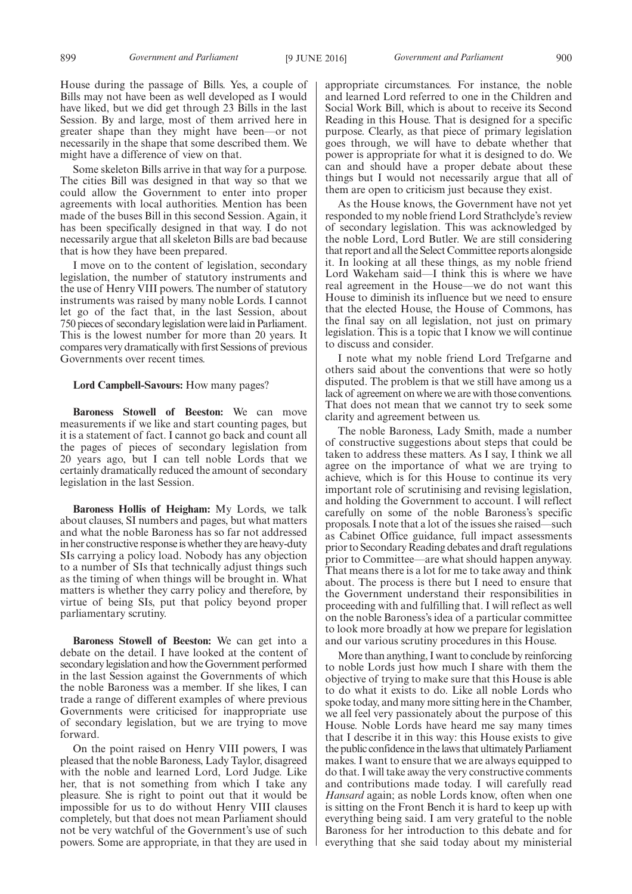House during the passage of Bills. Yes, a couple of Bills may not have been as well developed as I would have liked, but we did get through 23 Bills in the last Session. By and large, most of them arrived here in greater shape than they might have been—or not necessarily in the shape that some described them. We might have a difference of view on that.

Some skeleton Bills arrive in that way for a purpose. The cities Bill was designed in that way so that we could allow the Government to enter into proper agreements with local authorities. Mention has been made of the buses Bill in this second Session. Again, it has been specifically designed in that way. I do not necessarily argue that all skeleton Bills are bad because that is how they have been prepared.

I move on to the content of legislation, secondary legislation, the number of statutory instruments and the use of Henry VIII powers. The number of statutory instruments was raised by many noble Lords. I cannot let go of the fact that, in the last Session, about 750 pieces of secondary legislation were laid in Parliament. This is the lowest number for more than 20 years. It compares very dramatically with first Sessions of previous Governments over recent times.

#### **Lord Campbell-Savours:** How many pages?

**Baroness Stowell of Beeston:** We can move measurements if we like and start counting pages, but it is a statement of fact. I cannot go back and count all the pages of pieces of secondary legislation from 20 years ago, but I can tell noble Lords that we certainly dramatically reduced the amount of secondary legislation in the last Session.

**Baroness Hollis of Heigham:** My Lords, we talk about clauses, SI numbers and pages, but what matters and what the noble Baroness has so far not addressed in her constructive response is whether they are heavy-duty SIs carrying a policy load. Nobody has any objection to a number of SIs that technically adjust things such as the timing of when things will be brought in. What matters is whether they carry policy and therefore, by virtue of being SIs, put that policy beyond proper parliamentary scrutiny.

**Baroness Stowell of Beeston:** We can get into a debate on the detail. I have looked at the content of secondary legislation and how the Government performed in the last Session against the Governments of which the noble Baroness was a member. If she likes, I can trade a range of different examples of where previous Governments were criticised for inappropriate use of secondary legislation, but we are trying to move forward.

On the point raised on Henry VIII powers, I was pleased that the noble Baroness, Lady Taylor, disagreed with the noble and learned Lord, Lord Judge. Like her, that is not something from which I take any pleasure. She is right to point out that it would be impossible for us to do without Henry VIII clauses completely, but that does not mean Parliament should not be very watchful of the Government's use of such powers. Some are appropriate, in that they are used in appropriate circumstances. For instance, the noble and learned Lord referred to one in the Children and Social Work Bill, which is about to receive its Second Reading in this House. That is designed for a specific purpose. Clearly, as that piece of primary legislation goes through, we will have to debate whether that power is appropriate for what it is designed to do. We can and should have a proper debate about these things but I would not necessarily argue that all of them are open to criticism just because they exist.

As the House knows, the Government have not yet responded to my noble friend Lord Strathclyde's review of secondary legislation. This was acknowledged by the noble Lord, Lord Butler. We are still considering that report and all the Select Committee reports alongside it. In looking at all these things, as my noble friend Lord Wakeham said—I think this is where we have real agreement in the House—we do not want this House to diminish its influence but we need to ensure that the elected House, the House of Commons, has the final say on all legislation, not just on primary legislation. This is a topic that I know we will continue to discuss and consider.

I note what my noble friend Lord Trefgarne and others said about the conventions that were so hotly disputed. The problem is that we still have among us a lack of agreement on where we are with those conventions. That does not mean that we cannot try to seek some clarity and agreement between us.

The noble Baroness, Lady Smith, made a number of constructive suggestions about steps that could be taken to address these matters. As I say, I think we all agree on the importance of what we are trying to achieve, which is for this House to continue its very important role of scrutinising and revising legislation, and holding the Government to account. I will reflect carefully on some of the noble Baroness's specific proposals. I note that a lot of the issues she raised—such as Cabinet Office guidance, full impact assessments prior to Secondary Reading debates and draft regulations prior to Committee—are what should happen anyway. That means there is a lot for me to take away and think about. The process is there but I need to ensure that the Government understand their responsibilities in proceeding with and fulfilling that. I will reflect as well on the noble Baroness's idea of a particular committee to look more broadly at how we prepare for legislation and our various scrutiny procedures in this House.

More than anything, I want to conclude by reinforcing to noble Lords just how much I share with them the objective of trying to make sure that this House is able to do what it exists to do. Like all noble Lords who spoke today, and many more sitting here in the Chamber, we all feel very passionately about the purpose of this House. Noble Lords have heard me say many times that I describe it in this way: this House exists to give the public confidence in the laws that ultimately Parliament makes. I want to ensure that we are always equipped to do that. I will take away the very constructive comments and contributions made today. I will carefully read *Hansard* again; as noble Lords know, often when one is sitting on the Front Bench it is hard to keep up with everything being said. I am very grateful to the noble Baroness for her introduction to this debate and for everything that she said today about my ministerial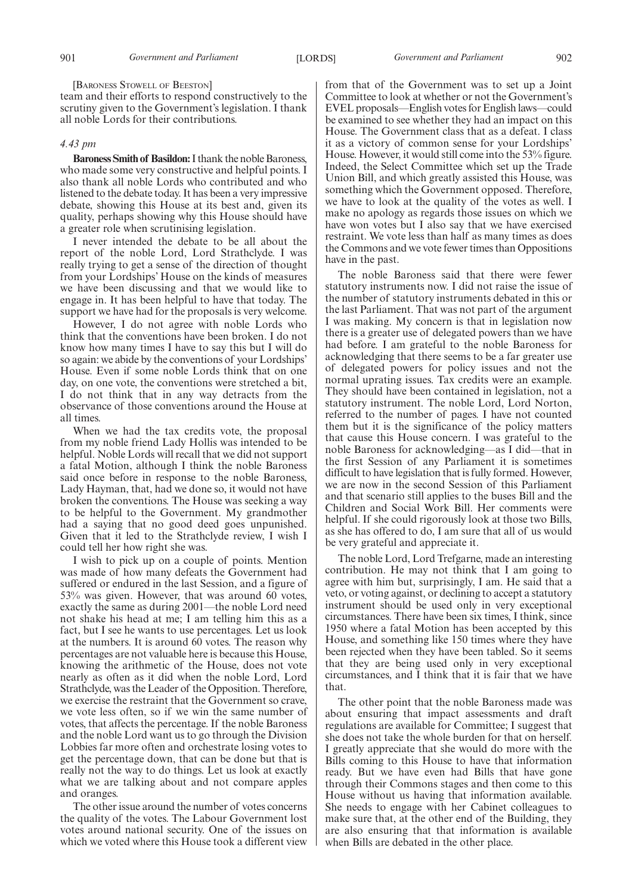[BARONESS STOWELL OF BEESTON]

team and their efforts to respond constructively to the scrutiny given to the Government's legislation. I thank all noble Lords for their contributions.

# *4.43 pm*

**Baroness Smith of Basildon:**I thank the noble Baroness, who made some very constructive and helpful points. I also thank all noble Lords who contributed and who listened to the debate today. It has been a very impressive debate, showing this House at its best and, given its quality, perhaps showing why this House should have a greater role when scrutinising legislation.

I never intended the debate to be all about the report of the noble Lord, Lord Strathclyde. I was really trying to get a sense of the direction of thought from your Lordships' House on the kinds of measures we have been discussing and that we would like to engage in. It has been helpful to have that today. The support we have had for the proposals is very welcome.

However, I do not agree with noble Lords who think that the conventions have been broken. I do not know how many times I have to say this but I will do so again: we abide by the conventions of your Lordships' House. Even if some noble Lords think that on one day, on one vote, the conventions were stretched a bit, I do not think that in any way detracts from the observance of those conventions around the House at all times.

When we had the tax credits vote, the proposal from my noble friend Lady Hollis was intended to be helpful. Noble Lords will recall that we did not support a fatal Motion, although I think the noble Baroness said once before in response to the noble Baroness, Lady Hayman, that, had we done so, it would not have broken the conventions. The House was seeking a way to be helpful to the Government. My grandmother had a saying that no good deed goes unpunished. Given that it led to the Strathclyde review, I wish I could tell her how right she was.

I wish to pick up on a couple of points. Mention was made of how many defeats the Government had suffered or endured in the last Session, and a figure of 53% was given. However, that was around 60 votes, exactly the same as during 2001—the noble Lord need not shake his head at me; I am telling him this as a fact, but I see he wants to use percentages. Let us look at the numbers. It is around 60 votes. The reason why percentages are not valuable here is because this House, knowing the arithmetic of the House, does not vote nearly as often as it did when the noble Lord, Lord Strathclyde, was the Leader of the Opposition. Therefore, we exercise the restraint that the Government so crave, we vote less often, so if we win the same number of votes, that affects the percentage. If the noble Baroness and the noble Lord want us to go through the Division Lobbies far more often and orchestrate losing votes to get the percentage down, that can be done but that is really not the way to do things. Let us look at exactly what we are talking about and not compare apples and oranges.

The other issue around the number of votes concerns the quality of the votes. The Labour Government lost votes around national security. One of the issues on which we voted where this House took a different view from that of the Government was to set up a Joint Committee to look at whether or not the Government's EVEL proposals—English votes for English laws—could be examined to see whether they had an impact on this House. The Government class that as a defeat. I class it as a victory of common sense for your Lordships' House. However, it would still come into the 53% figure. Indeed, the Select Committee which set up the Trade Union Bill, and which greatly assisted this House, was something which the Government opposed. Therefore, we have to look at the quality of the votes as well. I make no apology as regards those issues on which we have won votes but I also say that we have exercised restraint. We vote less than half as many times as does the Commons and we vote fewer times than Oppositions have in the past.

The noble Baroness said that there were fewer statutory instruments now. I did not raise the issue of the number of statutory instruments debated in this or the last Parliament. That was not part of the argument I was making. My concern is that in legislation now there is a greater use of delegated powers than we have had before. I am grateful to the noble Baroness for acknowledging that there seems to be a far greater use of delegated powers for policy issues and not the normal uprating issues. Tax credits were an example. They should have been contained in legislation, not a statutory instrument. The noble Lord, Lord Norton, referred to the number of pages. I have not counted them but it is the significance of the policy matters that cause this House concern. I was grateful to the noble Baroness for acknowledging—as I did—that in the first Session of any Parliament it is sometimes difficult to have legislation that is fully formed. However, we are now in the second Session of this Parliament and that scenario still applies to the buses Bill and the Children and Social Work Bill. Her comments were helpful. If she could rigorously look at those two Bills, as she has offered to do, I am sure that all of us would be very grateful and appreciate it.

The noble Lord, Lord Trefgarne, made an interesting contribution. He may not think that I am going to agree with him but, surprisingly, I am. He said that a veto, or voting against, or declining to accept a statutory instrument should be used only in very exceptional circumstances. There have been six times, I think, since 1950 where a fatal Motion has been accepted by this House, and something like 150 times where they have been rejected when they have been tabled. So it seems that they are being used only in very exceptional circumstances, and I think that it is fair that we have that.

The other point that the noble Baroness made was about ensuring that impact assessments and draft regulations are available for Committee; I suggest that she does not take the whole burden for that on herself. I greatly appreciate that she would do more with the Bills coming to this House to have that information ready. But we have even had Bills that have gone through their Commons stages and then come to this House without us having that information available. She needs to engage with her Cabinet colleagues to make sure that, at the other end of the Building, they are also ensuring that that information is available when Bills are debated in the other place.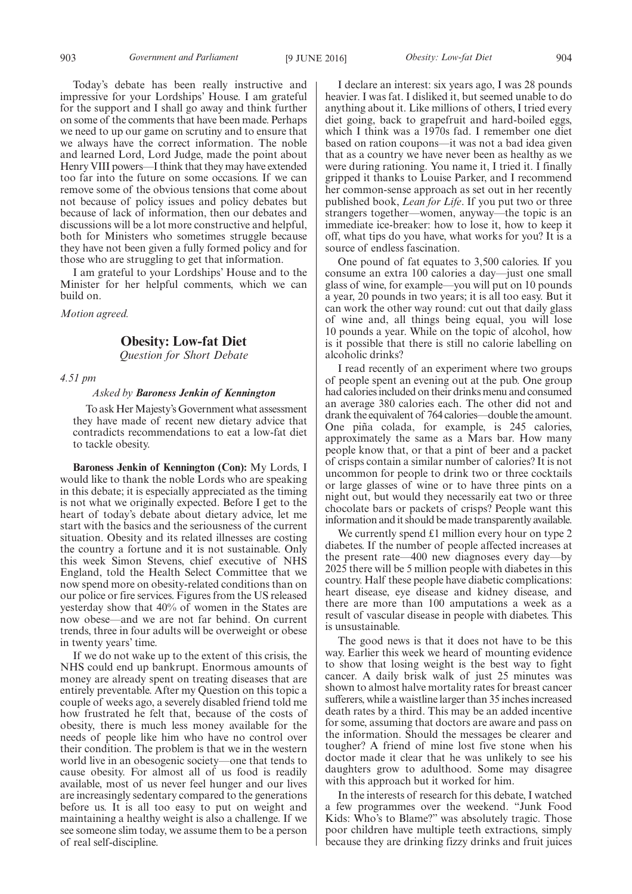Today's debate has been really instructive and impressive for your Lordships' House. I am grateful for the support and I shall go away and think further on some of the comments that have been made. Perhaps we need to up our game on scrutiny and to ensure that we always have the correct information. The noble and learned Lord, Lord Judge, made the point about Henry VIII powers—I think that they may have extended too far into the future on some occasions. If we can remove some of the obvious tensions that come about not because of policy issues and policy debates but because of lack of information, then our debates and discussions will be a lot more constructive and helpful, both for Ministers who sometimes struggle because they have not been given a fully formed policy and for those who are struggling to get that information.

I am grateful to your Lordships' House and to the Minister for her helpful comments, which we can build on.

*Motion agreed.*

# **Obesity: Low-fat Diet**

*Question for Short Debate*

# *4.51 pm*

# *Asked by Baroness Jenkin of Kennington*

To ask Her Majesty's Government what assessment they have made of recent new dietary advice that contradicts recommendations to eat a low-fat diet to tackle obesity.

**Baroness Jenkin of Kennington (Con):** My Lords, I would like to thank the noble Lords who are speaking in this debate; it is especially appreciated as the timing is not what we originally expected. Before I get to the heart of today's debate about dietary advice, let me start with the basics and the seriousness of the current situation. Obesity and its related illnesses are costing the country a fortune and it is not sustainable. Only this week Simon Stevens, chief executive of NHS England, told the Health Select Committee that we now spend more on obesity-related conditions than on our police or fire services. Figures from the US released yesterday show that 40% of women in the States are now obese—and we are not far behind. On current trends, three in four adults will be overweight or obese in twenty years' time.

If we do not wake up to the extent of this crisis, the NHS could end up bankrupt. Enormous amounts of money are already spent on treating diseases that are entirely preventable. After my Question on this topic a couple of weeks ago, a severely disabled friend told me how frustrated he felt that, because of the costs of obesity, there is much less money available for the needs of people like him who have no control over their condition. The problem is that we in the western world live in an obesogenic society—one that tends to cause obesity. For almost all of us food is readily available, most of us never feel hunger and our lives are increasingly sedentary compared to the generations before us. It is all too easy to put on weight and maintaining a healthy weight is also a challenge. If we see someone slim today, we assume them to be a person of real self-discipline.

I declare an interest: six years ago, I was 28 pounds heavier. I was fat. I disliked it, but seemed unable to do anything about it. Like millions of others, I tried every diet going, back to grapefruit and hard-boiled eggs, which I think was a 1970s fad. I remember one diet based on ration coupons—it was not a bad idea given that as a country we have never been as healthy as we were during rationing. You name it, I tried it. I finally gripped it thanks to Louise Parker, and I recommend her common-sense approach as set out in her recently published book, *Lean for Life*. If you put two or three strangers together—women, anyway—the topic is an immediate ice-breaker: how to lose it, how to keep it off, what tips do you have, what works for you? It is a source of endless fascination.

One pound of fat equates to 3,500 calories. If you consume an extra 100 calories a day—just one small glass of wine, for example—you will put on 10 pounds a year, 20 pounds in two years; it is all too easy. But it can work the other way round: cut out that daily glass of wine and, all things being equal, you will lose 10 pounds a year. While on the topic of alcohol, how is it possible that there is still no calorie labelling on alcoholic drinks?

I read recently of an experiment where two groups of people spent an evening out at the pub. One group had calories included on their drinks menu and consumed an average 380 calories each. The other did not and drank the equivalent of 764 calories—double the amount. One piña colada, for example, is 245 calories, approximately the same as a Mars bar. How many people know that, or that a pint of beer and a packet of crisps contain a similar number of calories? It is not uncommon for people to drink two or three cocktails or large glasses of wine or to have three pints on a night out, but would they necessarily eat two or three chocolate bars or packets of crisps? People want this information and it should be made transparently available.

We currently spend  $£1$  million every hour on type 2 diabetes. If the number of people affected increases at the present rate—400 new diagnoses every day—by 2025 there will be 5 million people with diabetes in this country. Half these people have diabetic complications: heart disease, eye disease and kidney disease, and there are more than 100 amputations a week as a result of vascular disease in people with diabetes. This is unsustainable.

The good news is that it does not have to be this way. Earlier this week we heard of mounting evidence to show that losing weight is the best way to fight cancer. A daily brisk walk of just 25 minutes was shown to almost halve mortality rates for breast cancer sufferers, while a waistline larger than 35 inches increased death rates by a third. This may be an added incentive for some, assuming that doctors are aware and pass on the information. Should the messages be clearer and tougher? A friend of mine lost five stone when his doctor made it clear that he was unlikely to see his daughters grow to adulthood. Some may disagree with this approach but it worked for him.

In the interests of research for this debate, I watched a few programmes over the weekend. "Junk Food Kids: Who's to Blame?" was absolutely tragic. Those poor children have multiple teeth extractions, simply because they are drinking fizzy drinks and fruit juices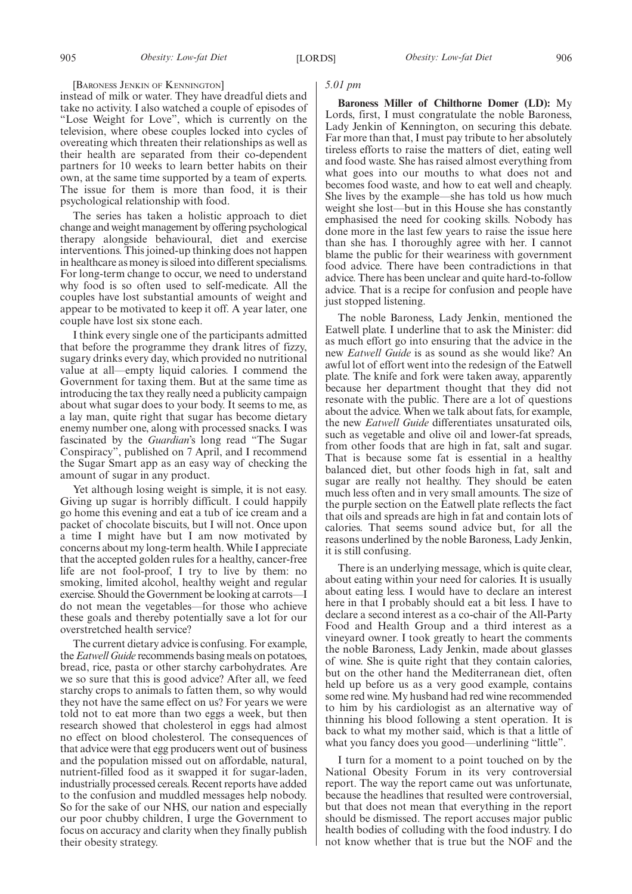[BARONESS JENKIN OF KENNINGTON]

instead of milk or water. They have dreadful diets and take no activity. I also watched a couple of episodes of "Lose Weight for Love", which is currently on the television, where obese couples locked into cycles of overeating which threaten their relationships as well as their health are separated from their co-dependent partners for 10 weeks to learn better habits on their own, at the same time supported by a team of experts. The issue for them is more than food, it is their psychological relationship with food.

The series has taken a holistic approach to diet change and weight management by offering psychological therapy alongside behavioural, diet and exercise interventions. This joined-up thinking does not happen in healthcare as money is siloed into different specialisms. For long-term change to occur, we need to understand why food is so often used to self-medicate. All the couples have lost substantial amounts of weight and appear to be motivated to keep it off. A year later, one couple have lost six stone each.

I think every single one of the participants admitted that before the programme they drank litres of fizzy, sugary drinks every day, which provided no nutritional value at all—empty liquid calories. I commend the Government for taxing them. But at the same time as introducing the tax they really need a publicity campaign about what sugar does to your body. It seems to me, as a lay man, quite right that sugar has become dietary enemy number one, along with processed snacks. I was fascinated by the *Guardian*'s long read "The Sugar Conspiracy", published on 7 April, and I recommend the Sugar Smart app as an easy way of checking the amount of sugar in any product.

Yet although losing weight is simple, it is not easy. Giving up sugar is horribly difficult. I could happily go home this evening and eat a tub of ice cream and a packet of chocolate biscuits, but I will not. Once upon a time I might have but I am now motivated by concerns about my long-term health. While I appreciate that the accepted golden rules for a healthy, cancer-free life are not fool-proof, I try to live by them: no smoking, limited alcohol, healthy weight and regular exercise. Should the Government be looking at carrots—I do not mean the vegetables—for those who achieve these goals and thereby potentially save a lot for our overstretched health service?

The current dietary advice is confusing. For example, the*Eatwell Guide* recommends basing meals on potatoes, bread, rice, pasta or other starchy carbohydrates. Are we so sure that this is good advice? After all, we feed starchy crops to animals to fatten them, so why would they not have the same effect on us? For years we were told not to eat more than two eggs a week, but then research showed that cholesterol in eggs had almost no effect on blood cholesterol. The consequences of that advice were that egg producers went out of business and the population missed out on affordable, natural, nutrient-filled food as it swapped it for sugar-laden, industrially processed cereals. Recent reports have added to the confusion and muddled messages help nobody. So for the sake of our NHS, our nation and especially our poor chubby children, I urge the Government to focus on accuracy and clarity when they finally publish their obesity strategy.

# *5.01 pm*

**Baroness Miller of Chilthorne Domer (LD):** My Lords, first, I must congratulate the noble Baroness, Lady Jenkin of Kennington, on securing this debate. Far more than that, I must pay tribute to her absolutely tireless efforts to raise the matters of diet, eating well and food waste. She has raised almost everything from what goes into our mouths to what does not and becomes food waste, and how to eat well and cheaply. She lives by the example—she has told us how much weight she lost—but in this House she has constantly emphasised the need for cooking skills. Nobody has done more in the last few years to raise the issue here than she has. I thoroughly agree with her. I cannot blame the public for their weariness with government food advice. There have been contradictions in that advice. There has been unclear and quite hard-to-follow advice. That is a recipe for confusion and people have just stopped listening.

The noble Baroness, Lady Jenkin, mentioned the Eatwell plate. I underline that to ask the Minister: did as much effort go into ensuring that the advice in the new *Eatwell Guide* is as sound as she would like? An awful lot of effort went into the redesign of the Eatwell plate. The knife and fork were taken away, apparently because her department thought that they did not resonate with the public. There are a lot of questions about the advice. When we talk about fats, for example, the new *Eatwell Guide* differentiates unsaturated oils, such as vegetable and olive oil and lower-fat spreads, from other foods that are high in fat, salt and sugar. That is because some fat is essential in a healthy balanced diet, but other foods high in fat, salt and sugar are really not healthy. They should be eaten much less often and in very small amounts. The size of the purple section on the Eatwell plate reflects the fact that oils and spreads are high in fat and contain lots of calories. That seems sound advice but, for all the reasons underlined by the noble Baroness, Lady Jenkin, it is still confusing.

There is an underlying message, which is quite clear, about eating within your need for calories. It is usually about eating less. I would have to declare an interest here in that I probably should eat a bit less. I have to declare a second interest as a co-chair of the All-Party Food and Health Group and a third interest as a vineyard owner. I took greatly to heart the comments the noble Baroness, Lady Jenkin, made about glasses of wine. She is quite right that they contain calories, but on the other hand the Mediterranean diet, often held up before us as a very good example, contains some red wine. My husband had red wine recommended to him by his cardiologist as an alternative way of thinning his blood following a stent operation. It is back to what my mother said, which is that a little of what you fancy does you good—underlining "little".

I turn for a moment to a point touched on by the National Obesity Forum in its very controversial report. The way the report came out was unfortunate, because the headlines that resulted were controversial, but that does not mean that everything in the report should be dismissed. The report accuses major public health bodies of colluding with the food industry. I do not know whether that is true but the NOF and the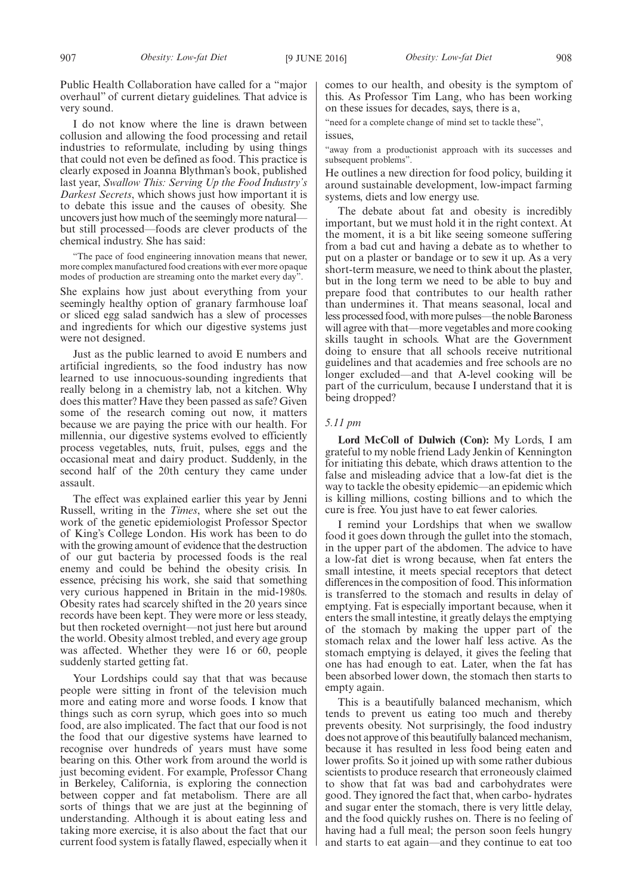I do not know where the line is drawn between collusion and allowing the food processing and retail industries to reformulate, including by using things that could not even be defined as food. This practice is clearly exposed in Joanna Blythman's book, published last year, *Swallow This: Serving Up the Food Industry's Darkest Secrets*, which shows just how important it is to debate this issue and the causes of obesity. She uncovers just how much of the seemingly more natural but still processed—foods are clever products of the chemical industry. She has said:

"The pace of food engineering innovation means that newer, more complex manufactured food creations with ever more opaque modes of production are streaming onto the market every day".

She explains how just about everything from your seemingly healthy option of granary farmhouse loaf or sliced egg salad sandwich has a slew of processes and ingredients for which our digestive systems just were not designed.

Just as the public learned to avoid E numbers and artificial ingredients, so the food industry has now learned to use innocuous-sounding ingredients that really belong in a chemistry lab, not a kitchen. Why does this matter? Have they been passed as safe? Given some of the research coming out now, it matters because we are paying the price with our health. For millennia, our digestive systems evolved to efficiently process vegetables, nuts, fruit, pulses, eggs and the occasional meat and dairy product. Suddenly, in the second half of the 20th century they came under assault.

The effect was explained earlier this year by Jenni Russell, writing in the *Times*, where she set out the work of the genetic epidemiologist Professor Spector of King's College London. His work has been to do with the growing amount of evidence that the destruction of our gut bacteria by processed foods is the real enemy and could be behind the obesity crisis. In essence, précising his work, she said that something very curious happened in Britain in the mid-1980s. Obesity rates had scarcely shifted in the 20 years since records have been kept. They were more or less steady, but then rocketed overnight—not just here but around the world. Obesity almost trebled, and every age group was affected. Whether they were 16 or 60, people suddenly started getting fat.

Your Lordships could say that that was because people were sitting in front of the television much more and eating more and worse foods. I know that things such as corn syrup, which goes into so much food, are also implicated. The fact that our food is not the food that our digestive systems have learned to recognise over hundreds of years must have some bearing on this. Other work from around the world is just becoming evident. For example, Professor Chang in Berkeley, California, is exploring the connection between copper and fat metabolism. There are all sorts of things that we are just at the beginning of understanding. Although it is about eating less and taking more exercise, it is also about the fact that our current food system is fatally flawed, especially when it comes to our health, and obesity is the symptom of this. As Professor Tim Lang, who has been working on these issues for decades, says, there is a,

"need for a complete change of mind set to tackle these", issues,

"away from a productionist approach with its successes and subsequent problems".

He outlines a new direction for food policy, building it around sustainable development, low-impact farming systems, diets and low energy use.

The debate about fat and obesity is incredibly important, but we must hold it in the right context. At the moment, it is a bit like seeing someone suffering from a bad cut and having a debate as to whether to put on a plaster or bandage or to sew it up. As a very short-term measure, we need to think about the plaster, but in the long term we need to be able to buy and prepare food that contributes to our health rather than undermines it. That means seasonal, local and less processed food, with more pulses—the noble Baroness will agree with that—more vegetables and more cooking skills taught in schools. What are the Government doing to ensure that all schools receive nutritional guidelines and that academies and free schools are no longer excluded—and that A-level cooking will be part of the curriculum, because I understand that it is being dropped?

# *5.11 pm*

**Lord McColl of Dulwich (Con):** My Lords, I am grateful to my noble friend Lady Jenkin of Kennington for initiating this debate, which draws attention to the false and misleading advice that a low-fat diet is the way to tackle the obesity epidemic—an epidemic which is killing millions, costing billions and to which the cure is free. You just have to eat fewer calories.

I remind your Lordships that when we swallow food it goes down through the gullet into the stomach, in the upper part of the abdomen. The advice to have a low-fat diet is wrong because, when fat enters the small intestine, it meets special receptors that detect differences in the composition of food. This information is transferred to the stomach and results in delay of emptying. Fat is especially important because, when it enters the small intestine, it greatly delays the emptying of the stomach by making the upper part of the stomach relax and the lower half less active. As the stomach emptying is delayed, it gives the feeling that one has had enough to eat. Later, when the fat has been absorbed lower down, the stomach then starts to empty again.

This is a beautifully balanced mechanism, which tends to prevent us eating too much and thereby prevents obesity. Not surprisingly, the food industry does not approve of this beautifully balanced mechanism, because it has resulted in less food being eaten and lower profits. So it joined up with some rather dubious scientists to produce research that erroneously claimed to show that fat was bad and carbohydrates were good. They ignored the fact that, when carbo- hydrates and sugar enter the stomach, there is very little delay, and the food quickly rushes on. There is no feeling of having had a full meal; the person soon feels hungry and starts to eat again—and they continue to eat too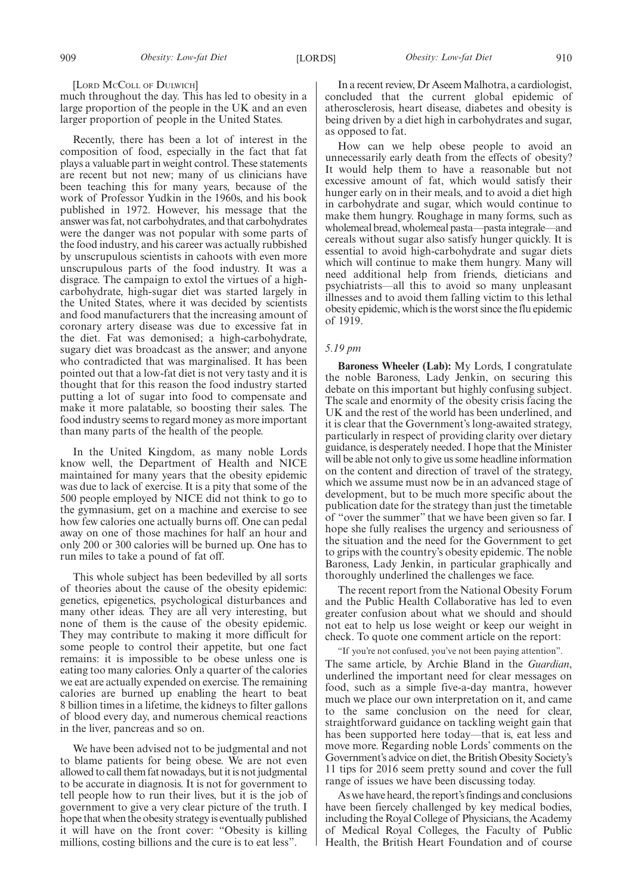# [LORD MCCOLL OF DULWICH]

much throughout the day. This has led to obesity in a large proportion of the people in the UK and an even larger proportion of people in the United States.

Recently, there has been a lot of interest in the composition of food, especially in the fact that fat plays a valuable part in weight control. These statements are recent but not new; many of us clinicians have been teaching this for many years, because of the work of Professor Yudkin in the 1960s, and his book published in 1972. However, his message that the answer was fat, not carbohydrates, and that carbohydrates were the danger was not popular with some parts of the food industry, and his career was actually rubbished by unscrupulous scientists in cahoots with even more unscrupulous parts of the food industry. It was a disgrace. The campaign to extol the virtues of a highcarbohydrate, high-sugar diet was started largely in the United States, where it was decided by scientists and food manufacturers that the increasing amount of coronary artery disease was due to excessive fat in the diet. Fat was demonised; a high-carbohydrate, sugary diet was broadcast as the answer; and anyone who contradicted that was marginalised. It has been pointed out that a low-fat diet is not very tasty and it is thought that for this reason the food industry started putting a lot of sugar into food to compensate and make it more palatable, so boosting their sales. The food industry seems to regard money as more important than many parts of the health of the people.

In the United Kingdom, as many noble Lords know well, the Department of Health and NICE maintained for many years that the obesity epidemic was due to lack of exercise. It is a pity that some of the 500 people employed by NICE did not think to go to the gymnasium, get on a machine and exercise to see how few calories one actually burns off. One can pedal away on one of those machines for half an hour and only 200 or 300 calories will be burned up. One has to run miles to take a pound of fat off.

This whole subject has been bedevilled by all sorts of theories about the cause of the obesity epidemic: genetics, epigenetics, psychological disturbances and many other ideas. They are all very interesting, but none of them is the cause of the obesity epidemic. They may contribute to making it more difficult for some people to control their appetite, but one fact remains: it is impossible to be obese unless one is eating too many calories. Only a quarter of the calories we eat are actually expended on exercise. The remaining calories are burned up enabling the heart to beat 8 billion times in a lifetime, the kidneys to filter gallons of blood every day, and numerous chemical reactions in the liver, pancreas and so on.

We have been advised not to be judgmental and not to blame patients for being obese. We are not even allowed to call them fat nowadays, but it is not judgmental to be accurate in diagnosis. It is not for government to tell people how to run their lives, but it is the job of government to give a very clear picture of the truth. I hope that when the obesity strategy is eventually published it will have on the front cover: "Obesity is killing millions, costing billions and the cure is to eat less".

In a recent review, Dr Aseem Malhotra, a cardiologist, concluded that the current global epidemic of atherosclerosis, heart disease, diabetes and obesity is being driven by a diet high in carbohydrates and sugar, as opposed to fat.

How can we help obese people to avoid an unnecessarily early death from the effects of obesity? It would help them to have a reasonable but not excessive amount of fat, which would satisfy their hunger early on in their meals, and to avoid a diet high in carbohydrate and sugar, which would continue to make them hungry. Roughage in many forms, such as wholemeal bread, wholemeal pasta—pasta integrale—and cereals without sugar also satisfy hunger quickly. It is essential to avoid high-carbohydrate and sugar diets which will continue to make them hungry. Many will need additional help from friends, dieticians and psychiatrists—all this to avoid so many unpleasant illnesses and to avoid them falling victim to this lethal obesity epidemic, which is the worst since the flu epidemic of 1919.

# *5.19 pm*

**Baroness Wheeler (Lab):** My Lords, I congratulate the noble Baroness, Lady Jenkin, on securing this debate on this important but highly confusing subject. The scale and enormity of the obesity crisis facing the UK and the rest of the world has been underlined, and it is clear that the Government's long-awaited strategy, particularly in respect of providing clarity over dietary guidance, is desperately needed. I hope that the Minister will be able not only to give us some headline information on the content and direction of travel of the strategy, which we assume must now be in an advanced stage of development, but to be much more specific about the publication date for the strategy than just the timetable of "over the summer" that we have been given so far. I hope she fully realises the urgency and seriousness of the situation and the need for the Government to get to grips with the country's obesity epidemic. The noble Baroness, Lady Jenkin, in particular graphically and thoroughly underlined the challenges we face.

The recent report from the National Obesity Forum and the Public Health Collaborative has led to even greater confusion about what we should and should not eat to help us lose weight or keep our weight in check. To quote one comment article on the report:

"If you're not confused, you've not been paying attention".

The same article, by Archie Bland in the *Guardian*, underlined the important need for clear messages on food, such as a simple five-a-day mantra, however much we place our own interpretation on it, and came to the same conclusion on the need for clear, straightforward guidance on tackling weight gain that has been supported here today—that is, eat less and move more. Regarding noble Lords' comments on the Government's advice on diet, the British Obesity Society's 11 tips for 2016 seem pretty sound and cover the full range of issues we have been discussing today.

As we have heard, the report's findings and conclusions have been fiercely challenged by key medical bodies, including the Royal College of Physicians, the Academy of Medical Royal Colleges, the Faculty of Public Health, the British Heart Foundation and of course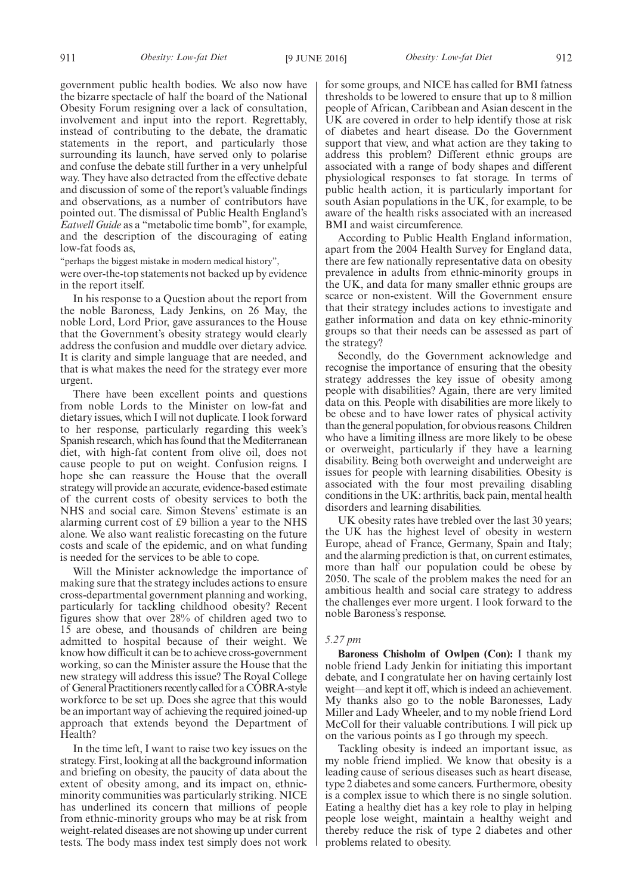government public health bodies. We also now have the bizarre spectacle of half the board of the National Obesity Forum resigning over a lack of consultation, involvement and input into the report. Regrettably, instead of contributing to the debate, the dramatic statements in the report, and particularly those surrounding its launch, have served only to polarise and confuse the debate still further in a very unhelpful way. They have also detracted from the effective debate and discussion of some of the report's valuable findings and observations, as a number of contributors have pointed out. The dismissal of Public Health England's *Eatwell Guide* as a "metabolic time bomb", for example, and the description of the discouraging of eating low-fat foods as,

"perhaps the biggest mistake in modern medical history", were over-the-top statements not backed up by evidence in the report itself.

In his response to a Question about the report from the noble Baroness, Lady Jenkins, on 26 May, the noble Lord, Lord Prior, gave assurances to the House that the Government's obesity strategy would clearly address the confusion and muddle over dietary advice. It is clarity and simple language that are needed, and that is what makes the need for the strategy ever more urgent.

There have been excellent points and questions from noble Lords to the Minister on low-fat and dietary issues, which I will not duplicate. I look forward to her response, particularly regarding this week's Spanish research, which has found that the Mediterranean diet, with high-fat content from olive oil, does not cause people to put on weight. Confusion reigns. I hope she can reassure the House that the overall strategy will provide an accurate, evidence-based estimate of the current costs of obesity services to both the NHS and social care. Simon Stevens' estimate is an alarming current cost of £9 billion a year to the NHS alone. We also want realistic forecasting on the future costs and scale of the epidemic, and on what funding is needed for the services to be able to cope.

Will the Minister acknowledge the importance of making sure that the strategy includes actions to ensure cross-departmental government planning and working, particularly for tackling childhood obesity? Recent figures show that over 28% of children aged two to 15 are obese, and thousands of children are being admitted to hospital because of their weight. We know how difficult it can be to achieve cross-government working, so can the Minister assure the House that the new strategy will address this issue? The Royal College of General Practitioners recently called for a COBRA-style workforce to be set up. Does she agree that this would be an important way of achieving the required joined-up approach that extends beyond the Department of Health?

In the time left, I want to raise two key issues on the strategy. First, looking at all the background information and briefing on obesity, the paucity of data about the extent of obesity among, and its impact on, ethnicminority communities was particularly striking. NICE has underlined its concern that millions of people from ethnic-minority groups who may be at risk from weight-related diseases are not showing up under current tests. The body mass index test simply does not work for some groups, and NICE has called for BMI fatness thresholds to be lowered to ensure that up to 8 million people of African, Caribbean and Asian descent in the UK are covered in order to help identify those at risk of diabetes and heart disease. Do the Government support that view, and what action are they taking to address this problem? Different ethnic groups are associated with a range of body shapes and different physiological responses to fat storage. In terms of public health action, it is particularly important for south Asian populations in the UK, for example, to be aware of the health risks associated with an increased BMI and waist circumference.

According to Public Health England information, apart from the 2004 Health Survey for England data, there are few nationally representative data on obesity prevalence in adults from ethnic-minority groups in the UK, and data for many smaller ethnic groups are scarce or non-existent. Will the Government ensure that their strategy includes actions to investigate and gather information and data on key ethnic-minority groups so that their needs can be assessed as part of the strategy?

Secondly, do the Government acknowledge and recognise the importance of ensuring that the obesity strategy addresses the key issue of obesity among people with disabilities? Again, there are very limited data on this. People with disabilities are more likely to be obese and to have lower rates of physical activity than the general population, for obvious reasons. Children who have a limiting illness are more likely to be obese or overweight, particularly if they have a learning disability. Being both overweight and underweight are issues for people with learning disabilities. Obesity is associated with the four most prevailing disabling conditions in the UK: arthritis, back pain, mental health disorders and learning disabilities.

UK obesity rates have trebled over the last 30 years; the UK has the highest level of obesity in western Europe, ahead of France, Germany, Spain and Italy; and the alarming prediction is that, on current estimates, more than half our population could be obese by 2050. The scale of the problem makes the need for an ambitious health and social care strategy to address the challenges ever more urgent. I look forward to the noble Baroness's response.

# *5.27 pm*

**Baroness Chisholm of Owlpen (Con):** I thank my noble friend Lady Jenkin for initiating this important debate, and I congratulate her on having certainly lost weight—and kept it off, which is indeed an achievement. My thanks also go to the noble Baronesses, Lady Miller and Lady Wheeler, and to my noble friend Lord McColl for their valuable contributions. I will pick up on the various points as I go through my speech.

Tackling obesity is indeed an important issue, as my noble friend implied. We know that obesity is a leading cause of serious diseases such as heart disease, type 2 diabetes and some cancers. Furthermore, obesity is a complex issue to which there is no single solution. Eating a healthy diet has a key role to play in helping people lose weight, maintain a healthy weight and thereby reduce the risk of type 2 diabetes and other problems related to obesity.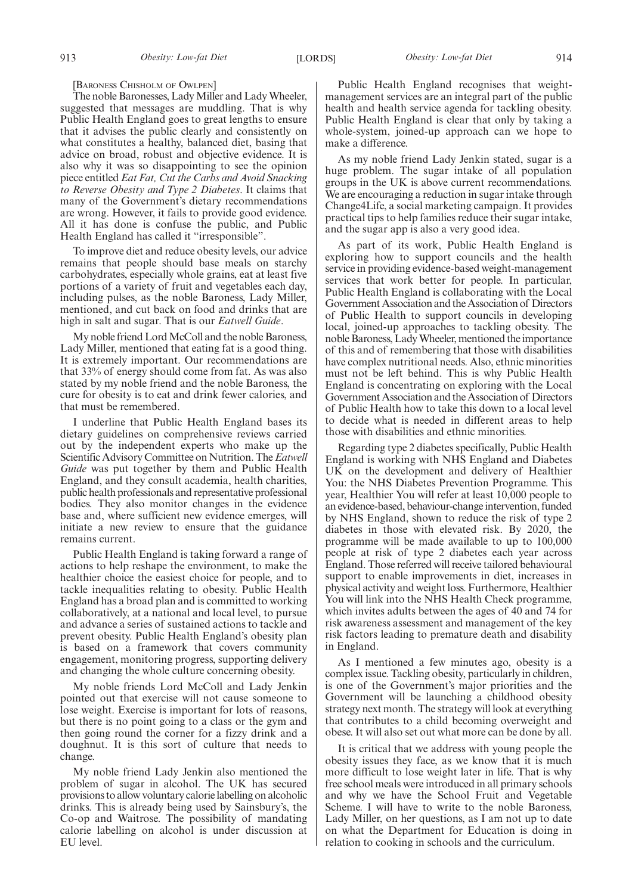# [BARONESS CHISHOLM OF OWLPEN]

The noble Baronesses, Lady Miller and Lady Wheeler, suggested that messages are muddling. That is why Public Health England goes to great lengths to ensure that it advises the public clearly and consistently on what constitutes a healthy, balanced diet, basing that advice on broad, robust and objective evidence. It is also why it was so disappointing to see the opinion piece entitled *Eat Fat, Cut the Carbs and Avoid Snacking to Reverse Obesity and Type 2 Diabetes*. It claims that many of the Government's dietary recommendations are wrong. However, it fails to provide good evidence. All it has done is confuse the public, and Public Health England has called it "irresponsible".

To improve diet and reduce obesity levels, our advice remains that people should base meals on starchy carbohydrates, especially whole grains, eat at least five portions of a variety of fruit and vegetables each day, including pulses, as the noble Baroness, Lady Miller, mentioned, and cut back on food and drinks that are high in salt and sugar. That is our *Eatwell Guide*.

My noble friend Lord McColl and the noble Baroness, Lady Miller, mentioned that eating fat is a good thing. It is extremely important. Our recommendations are that 33% of energy should come from fat. As was also stated by my noble friend and the noble Baroness, the cure for obesity is to eat and drink fewer calories, and that must be remembered.

I underline that Public Health England bases its dietary guidelines on comprehensive reviews carried out by the independent experts who make up the Scientific Advisory Committee on Nutrition. The *Eatwell Guide* was put together by them and Public Health England, and they consult academia, health charities, public health professionals and representative professional bodies. They also monitor changes in the evidence base and, where sufficient new evidence emerges, will initiate a new review to ensure that the guidance remains current.

Public Health England is taking forward a range of actions to help reshape the environment, to make the healthier choice the easiest choice for people, and to tackle inequalities relating to obesity. Public Health England has a broad plan and is committed to working collaboratively, at a national and local level, to pursue and advance a series of sustained actions to tackle and prevent obesity. Public Health England's obesity plan is based on a framework that covers community engagement, monitoring progress, supporting delivery and changing the whole culture concerning obesity.

My noble friends Lord McColl and Lady Jenkin pointed out that exercise will not cause someone to lose weight. Exercise is important for lots of reasons, but there is no point going to a class or the gym and then going round the corner for a fizzy drink and a doughnut. It is this sort of culture that needs to change.

My noble friend Lady Jenkin also mentioned the problem of sugar in alcohol. The UK has secured provisions to allow voluntary calorie labelling on alcoholic drinks. This is already being used by Sainsbury's, the Co-op and Waitrose. The possibility of mandating calorie labelling on alcohol is under discussion at EU level.

Public Health England recognises that weightmanagement services are an integral part of the public health and health service agenda for tackling obesity. Public Health England is clear that only by taking a whole-system, joined-up approach can we hope to make a difference.

As my noble friend Lady Jenkin stated, sugar is a huge problem. The sugar intake of all population groups in the UK is above current recommendations. We are encouraging a reduction in sugar intake through Change4Life, a social marketing campaign. It provides practical tips to help families reduce their sugar intake, and the sugar app is also a very good idea.

As part of its work, Public Health England is exploring how to support councils and the health service in providing evidence-based weight-management services that work better for people. In particular, Public Health England is collaborating with the Local Government Association and the Association of Directors of Public Health to support councils in developing local, joined-up approaches to tackling obesity. The noble Baroness, Lady Wheeler, mentioned the importance of this and of remembering that those with disabilities have complex nutritional needs. Also, ethnic minorities must not be left behind. This is why Public Health England is concentrating on exploring with the Local Government Association and the Association of Directors of Public Health how to take this down to a local level to decide what is needed in different areas to help those with disabilities and ethnic minorities.

Regarding type 2 diabetes specifically, Public Health England is working with NHS England and Diabetes UK on the development and delivery of Healthier You: the NHS Diabetes Prevention Programme. This year, Healthier You will refer at least 10,000 people to an evidence-based, behaviour-change intervention, funded by NHS England, shown to reduce the risk of type 2 diabetes in those with elevated risk. By 2020, the programme will be made available to up to 100,000 people at risk of type 2 diabetes each year across England. Those referred will receive tailored behavioural support to enable improvements in diet, increases in physical activity and weight loss. Furthermore, Healthier You will link into the NHS Health Check programme, which invites adults between the ages of 40 and 74 for risk awareness assessment and management of the key risk factors leading to premature death and disability in England.

As I mentioned a few minutes ago, obesity is a complex issue. Tackling obesity, particularly in children, is one of the Government's major priorities and the Government will be launching a childhood obesity strategy next month. The strategy will look at everything that contributes to a child becoming overweight and obese. It will also set out what more can be done by all.

It is critical that we address with young people the obesity issues they face, as we know that it is much more difficult to lose weight later in life. That is why free school meals were introduced in all primary schools and why we have the School Fruit and Vegetable Scheme. I will have to write to the noble Baroness, Lady Miller, on her questions, as I am not up to date on what the Department for Education is doing in relation to cooking in schools and the curriculum.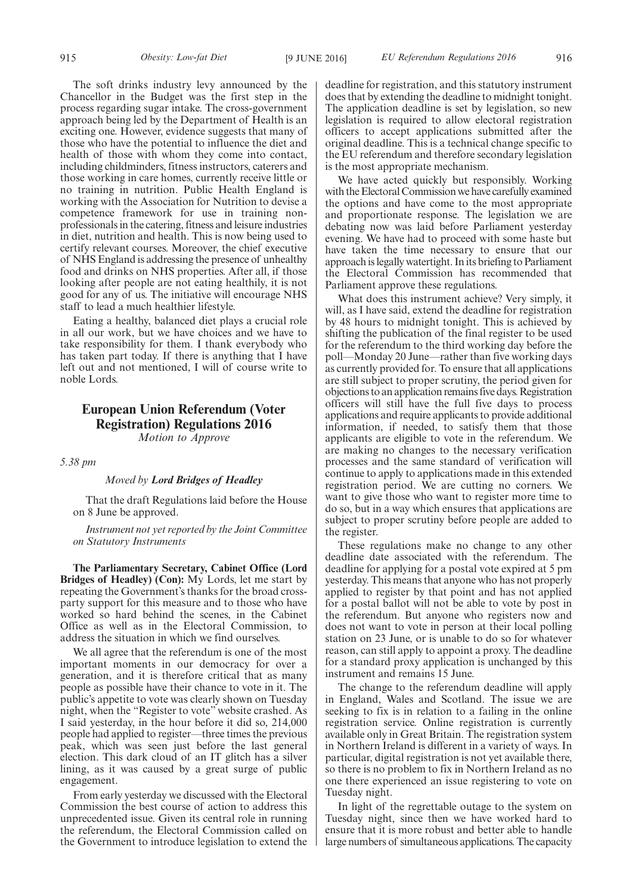The soft drinks industry levy announced by the Chancellor in the Budget was the first step in the process regarding sugar intake. The cross-government approach being led by the Department of Health is an exciting one. However, evidence suggests that many of those who have the potential to influence the diet and health of those with whom they come into contact, including childminders, fitness instructors, caterers and those working in care homes, currently receive little or no training in nutrition. Public Health England is working with the Association for Nutrition to devise a competence framework for use in training nonprofessionals in the catering, fitness and leisure industries in diet, nutrition and health. This is now being used to certify relevant courses. Moreover, the chief executive of NHS England is addressing the presence of unhealthy food and drinks on NHS properties. After all, if those looking after people are not eating healthily, it is not good for any of us. The initiative will encourage NHS staff to lead a much healthier lifestyle.

Eating a healthy, balanced diet plays a crucial role in all our work, but we have choices and we have to take responsibility for them. I thank everybody who has taken part today. If there is anything that I have left out and not mentioned, I will of course write to noble Lords.

# **European Union Referendum (Voter Registration) Regulations 2016**

*Motion to Approve*

*5.38 pm*

# *Moved by Lord Bridges of Headley*

That the draft Regulations laid before the House on 8 June be approved.

*Instrument not yet reported by the Joint Committee on Statutory Instruments*

**The Parliamentary Secretary, Cabinet Office (Lord Bridges of Headley) (Con):** My Lords, let me start by repeating the Government's thanks for the broad crossparty support for this measure and to those who have worked so hard behind the scenes, in the Cabinet Office as well as in the Electoral Commission, to address the situation in which we find ourselves.

We all agree that the referendum is one of the most important moments in our democracy for over a generation, and it is therefore critical that as many people as possible have their chance to vote in it. The public's appetite to vote was clearly shown on Tuesday night, when the "Register to vote" website crashed. As I said yesterday, in the hour before it did so, 214,000 people had applied to register—three times the previous peak, which was seen just before the last general election. This dark cloud of an IT glitch has a silver lining, as it was caused by a great surge of public engagement.

From early yesterday we discussed with the Electoral Commission the best course of action to address this unprecedented issue. Given its central role in running the referendum, the Electoral Commission called on the Government to introduce legislation to extend the deadline for registration, and this statutory instrument does that by extending the deadline to midnight tonight. The application deadline is set by legislation, so new legislation is required to allow electoral registration officers to accept applications submitted after the original deadline. This is a technical change specific to the EU referendum and therefore secondary legislation is the most appropriate mechanism.

We have acted quickly but responsibly. Working with the Electoral Commission we have carefully examined the options and have come to the most appropriate and proportionate response. The legislation we are debating now was laid before Parliament yesterday evening. We have had to proceed with some haste but have taken the time necessary to ensure that our approach is legally watertight. In its briefing to Parliament the Electoral Commission has recommended that Parliament approve these regulations.

What does this instrument achieve? Very simply, it will, as I have said, extend the deadline for registration by 48 hours to midnight tonight. This is achieved by shifting the publication of the final register to be used for the referendum to the third working day before the poll—Monday 20 June—rather than five working days as currently provided for. To ensure that all applications are still subject to proper scrutiny, the period given for objections to an application remains five days. Registration officers will still have the full five days to process applications and require applicants to provide additional information, if needed, to satisfy them that those applicants are eligible to vote in the referendum. We are making no changes to the necessary verification processes and the same standard of verification will continue to apply to applications made in this extended registration period. We are cutting no corners. We want to give those who want to register more time to do so, but in a way which ensures that applications are subject to proper scrutiny before people are added to the register.

These regulations make no change to any other deadline date associated with the referendum. The deadline for applying for a postal vote expired at 5 pm yesterday. This means that anyone who has not properly applied to register by that point and has not applied for a postal ballot will not be able to vote by post in the referendum. But anyone who registers now and does not want to vote in person at their local polling station on 23 June, or is unable to do so for whatever reason, can still apply to appoint a proxy. The deadline for a standard proxy application is unchanged by this instrument and remains 15 June.

The change to the referendum deadline will apply in England, Wales and Scotland. The issue we are seeking to fix is in relation to a failing in the online registration service. Online registration is currently available only in Great Britain. The registration system in Northern Ireland is different in a variety of ways. In particular, digital registration is not yet available there, so there is no problem to fix in Northern Ireland as no one there experienced an issue registering to vote on Tuesday night.

In light of the regrettable outage to the system on Tuesday night, since then we have worked hard to ensure that it is more robust and better able to handle large numbers of simultaneous applications. The capacity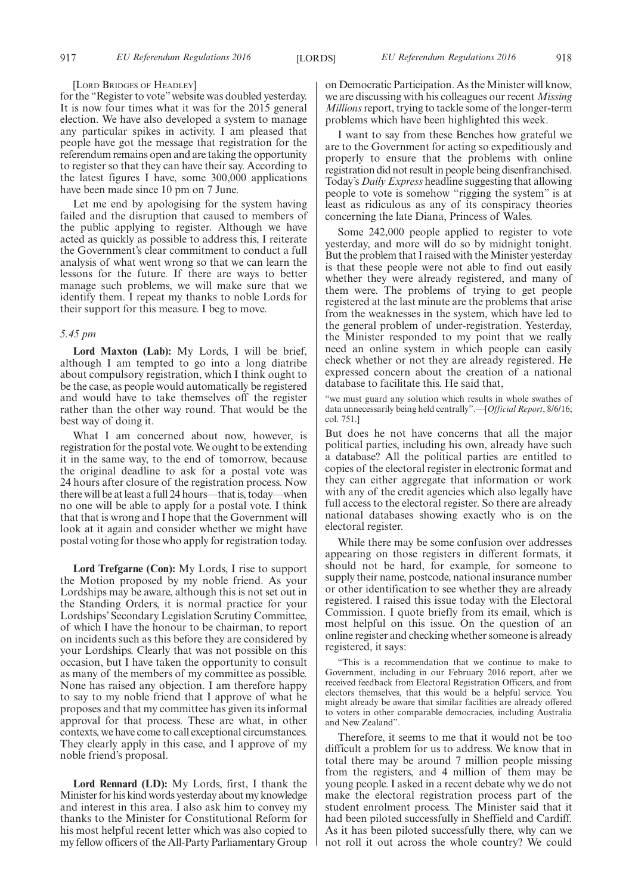### [LORD BRIDGES OF HEADLEY]

for the "Register to vote" website was doubled yesterday. It is now four times what it was for the 2015 general election. We have also developed a system to manage any particular spikes in activity. I am pleased that people have got the message that registration for the referendum remains open and are taking the opportunity to register so that they can have their say. According to the latest figures I have, some 300,000 applications have been made since 10 pm on 7 June.

Let me end by apologising for the system having failed and the disruption that caused to members of the public applying to register. Although we have acted as quickly as possible to address this, I reiterate the Government's clear commitment to conduct a full analysis of what went wrong so that we can learn the lessons for the future. If there are ways to better manage such problems, we will make sure that we identify them. I repeat my thanks to noble Lords for their support for this measure. I beg to move.

# *5.45 pm*

**Lord Maxton (Lab):** My Lords, I will be brief, although I am tempted to go into a long diatribe about compulsory registration, which I think ought to be the case, as people would automatically be registered and would have to take themselves off the register rather than the other way round. That would be the best way of doing it.

What I am concerned about now, however, is registration for the postal vote. We ought to be extending it in the same way, to the end of tomorrow, because the original deadline to ask for a postal vote was 24 hours after closure of the registration process. Now there will be at least a full 24 hours—that is, today—when no one will be able to apply for a postal vote. I think that that is wrong and I hope that the Government will look at it again and consider whether we might have postal voting for those who apply for registration today.

**Lord Trefgarne (Con):** My Lords, I rise to support the Motion proposed by my noble friend. As your Lordships may be aware, although this is not set out in the Standing Orders, it is normal practice for your Lordships' Secondary Legislation Scrutiny Committee, of which I have the honour to be chairman, to report on incidents such as this before they are considered by your Lordships. Clearly that was not possible on this occasion, but I have taken the opportunity to consult as many of the members of my committee as possible. None has raised any objection. I am therefore happy to say to my noble friend that I approve of what he proposes and that my committee has given its informal approval for that process. These are what, in other contexts, we have come to call exceptional circumstances. They clearly apply in this case, and I approve of my noble friend's proposal.

**Lord Rennard (LD):** My Lords, first, I thank the Minister for his kind words yesterday about my knowledge and interest in this area. I also ask him to convey my thanks to the Minister for Constitutional Reform for his most helpful recent letter which was also copied to my fellow officers of the All-Party Parliamentary Group on Democratic Participation. As the Minister will know, we are discussing with his colleagues our recent *Missing Millions*report, trying to tackle some of the longer-term problems which have been highlighted this week.

I want to say from these Benches how grateful we are to the Government for acting so expeditiously and properly to ensure that the problems with online registration did not result in people being disenfranchised. Today's *Daily Express* headline suggesting that allowing people to vote is somehow "rigging the system" is at least as ridiculous as any of its conspiracy theories concerning the late Diana, Princess of Wales.

Some 242,000 people applied to register to vote yesterday, and more will do so by midnight tonight. But the problem that I raised with the Minister yesterday is that these people were not able to find out easily whether they were already registered, and many of them were. The problems of trying to get people registered at the last minute are the problems that arise from the weaknesses in the system, which have led to the general problem of under-registration. Yesterday, the Minister responded to my point that we really need an online system in which people can easily check whether or not they are already registered. He expressed concern about the creation of a national database to facilitate this. He said that,

we must guard any solution which results in whole swathes of data unnecessarily being held centrally".—[*Official Report*, 8/6/16; col. 751.]

But does he not have concerns that all the major political parties, including his own, already have such a database? All the political parties are entitled to copies of the electoral register in electronic format and they can either aggregate that information or work with any of the credit agencies which also legally have full access to the electoral register. So there are already national databases showing exactly who is on the electoral register.

While there may be some confusion over addresses appearing on those registers in different formats, it should not be hard, for example, for someone to supply their name, postcode, national insurance number or other identification to see whether they are already registered. I raised this issue today with the Electoral Commission. I quote briefly from its email, which is most helpful on this issue. On the question of an online register and checking whether someone is already registered, it says:

This is a recommendation that we continue to make to Government, including in our February 2016 report, after we received feedback from Electoral Registration Officers, and from electors themselves, that this would be a helpful service. You might already be aware that similar facilities are already offered to voters in other comparable democracies, including Australia and New Zealand".

Therefore, it seems to me that it would not be too difficult a problem for us to address. We know that in total there may be around 7 million people missing from the registers, and 4 million of them may be young people. I asked in a recent debate why we do not make the electoral registration process part of the student enrolment process. The Minister said that it had been piloted successfully in Sheffield and Cardiff. As it has been piloted successfully there, why can we not roll it out across the whole country? We could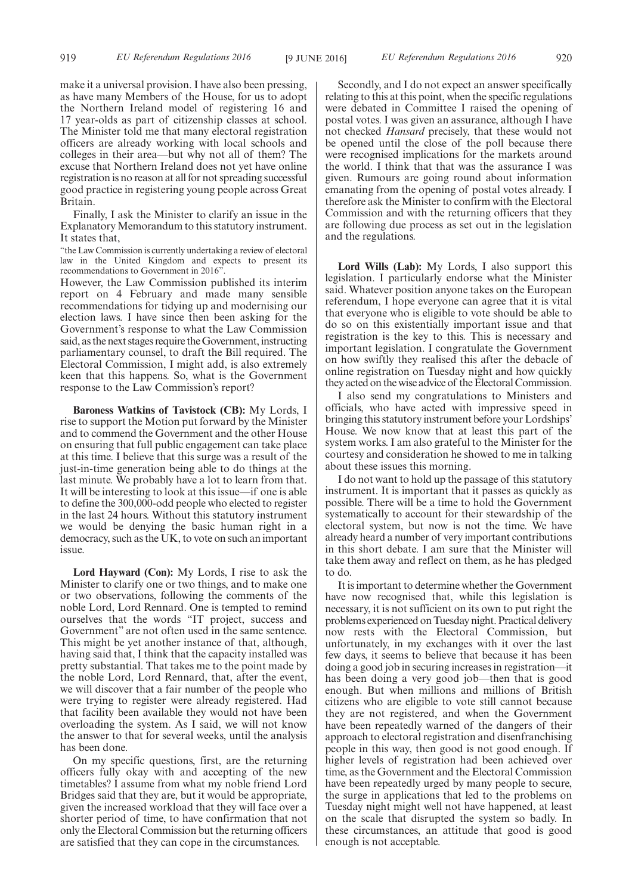make it a universal provision. I have also been pressing, as have many Members of the House, for us to adopt the Northern Ireland model of registering 16 and 17 year-olds as part of citizenship classes at school. The Minister told me that many electoral registration officers are already working with local schools and colleges in their area—but why not all of them? The excuse that Northern Ireland does not yet have online registration is no reason at all for not spreading successful good practice in registering young people across Great Britain.

Finally, I ask the Minister to clarify an issue in the Explanatory Memorandum to this statutory instrument. It states that,

"the Law Commission is currently undertaking a review of electoral law in the United Kingdom and expects to present its recommendations to Government in 2016".

However, the Law Commission published its interim report on 4 February and made many sensible recommendations for tidying up and modernising our election laws. I have since then been asking for the Government's response to what the Law Commission said, as the next stages require the Government, instructing parliamentary counsel, to draft the Bill required. The Electoral Commission, I might add, is also extremely keen that this happens. So, what is the Government response to the Law Commission's report?

**Baroness Watkins of Tavistock (CB):** My Lords, I rise to support the Motion put forward by the Minister and to commend the Government and the other House on ensuring that full public engagement can take place at this time. I believe that this surge was a result of the just-in-time generation being able to do things at the last minute. We probably have a lot to learn from that. It will be interesting to look at this issue—if one is able to define the 300,000-odd people who elected to register in the last 24 hours. Without this statutory instrument we would be denying the basic human right in a democracy, such as the UK, to vote on such an important issue.

**Lord Hayward (Con):** My Lords, I rise to ask the Minister to clarify one or two things, and to make one or two observations, following the comments of the noble Lord, Lord Rennard. One is tempted to remind ourselves that the words "IT project, success and Government" are not often used in the same sentence. This might be yet another instance of that, although, having said that, I think that the capacity installed was pretty substantial. That takes me to the point made by the noble Lord, Lord Rennard, that, after the event, we will discover that a fair number of the people who were trying to register were already registered. Had that facility been available they would not have been overloading the system. As I said, we will not know the answer to that for several weeks, until the analysis has been done.

On my specific questions, first, are the returning officers fully okay with and accepting of the new timetables? I assume from what my noble friend Lord Bridges said that they are, but it would be appropriate, given the increased workload that they will face over a shorter period of time, to have confirmation that not only the Electoral Commission but the returning officers are satisfied that they can cope in the circumstances.

Secondly, and I do not expect an answer specifically relating to this at this point, when the specific regulations were debated in Committee I raised the opening of postal votes. I was given an assurance, although I have not checked *Hansard* precisely, that these would not be opened until the close of the poll because there were recognised implications for the markets around the world. I think that that was the assurance I was given. Rumours are going round about information emanating from the opening of postal votes already. I therefore ask the Minister to confirm with the Electoral Commission and with the returning officers that they are following due process as set out in the legislation and the regulations.

**Lord Wills (Lab):** My Lords, I also support this legislation. I particularly endorse what the Minister said. Whatever position anyone takes on the European referendum, I hope everyone can agree that it is vital that everyone who is eligible to vote should be able to do so on this existentially important issue and that registration is the key to this. This is necessary and important legislation. I congratulate the Government on how swiftly they realised this after the debacle of online registration on Tuesday night and how quickly they acted on the wise advice of the Electoral Commission.

I also send my congratulations to Ministers and officials, who have acted with impressive speed in bringing this statutory instrument before your Lordships' House. We now know that at least this part of the system works. I am also grateful to the Minister for the courtesy and consideration he showed to me in talking about these issues this morning.

I do not want to hold up the passage of this statutory instrument. It is important that it passes as quickly as possible. There will be a time to hold the Government systematically to account for their stewardship of the electoral system, but now is not the time. We have already heard a number of very important contributions in this short debate. I am sure that the Minister will take them away and reflect on them, as he has pledged to do.

It is important to determine whether the Government have now recognised that, while this legislation is necessary, it is not sufficient on its own to put right the problems experienced on Tuesday night. Practical delivery now rests with the Electoral Commission, but unfortunately, in my exchanges with it over the last few days, it seems to believe that because it has been doing a good job in securing increases in registration—it has been doing a very good job—then that is good enough. But when millions and millions of British citizens who are eligible to vote still cannot because they are not registered, and when the Government have been repeatedly warned of the dangers of their approach to electoral registration and disenfranchising people in this way, then good is not good enough. If higher levels of registration had been achieved over time, as the Government and the Electoral Commission have been repeatedly urged by many people to secure, the surge in applications that led to the problems on Tuesday night might well not have happened, at least on the scale that disrupted the system so badly. In these circumstances, an attitude that good is good enough is not acceptable.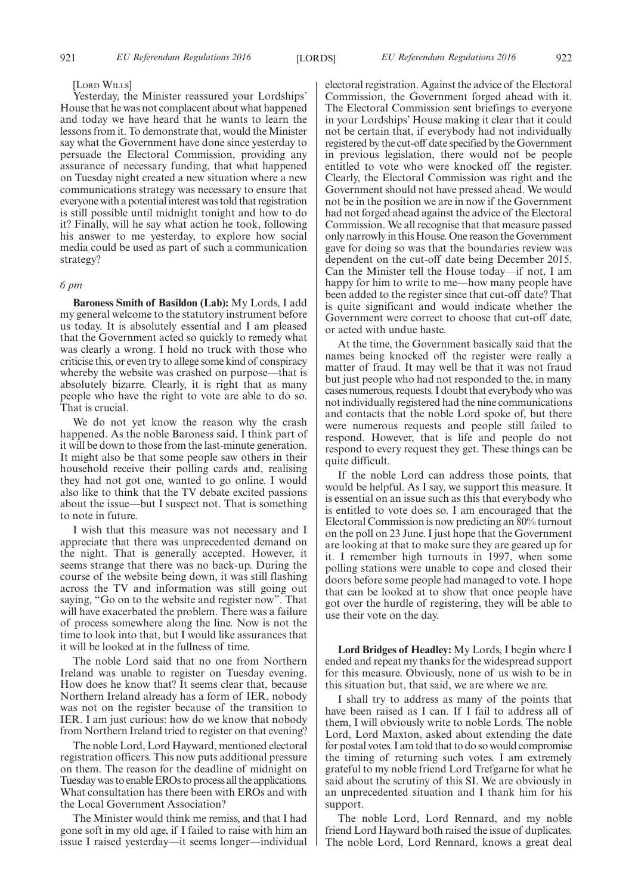### [LORD WILLS]

Yesterday, the Minister reassured your Lordships' House that he was not complacent about what happened and today we have heard that he wants to learn the lessons from it. To demonstrate that, would the Minister say what the Government have done since yesterday to persuade the Electoral Commission, providing any assurance of necessary funding, that what happened on Tuesday night created a new situation where a new communications strategy was necessary to ensure that everyone with a potential interest was told that registration is still possible until midnight tonight and how to do it? Finally, will he say what action he took, following his answer to me yesterday, to explore how social media could be used as part of such a communication strategy?

#### *6 pm*

**Baroness Smith of Basildon (Lab):** My Lords, I add my general welcome to the statutory instrument before us today. It is absolutely essential and I am pleased that the Government acted so quickly to remedy what was clearly a wrong. I hold no truck with those who criticise this, or even try to allege some kind of conspiracy whereby the website was crashed on purpose—that is absolutely bizarre. Clearly, it is right that as many people who have the right to vote are able to do so. That is crucial.

We do not yet know the reason why the crash happened. As the noble Baroness said, I think part of it will be down to those from the last-minute generation. It might also be that some people saw others in their household receive their polling cards and, realising they had not got one, wanted to go online. I would also like to think that the TV debate excited passions about the issue—but I suspect not. That is something to note in future.

I wish that this measure was not necessary and I appreciate that there was unprecedented demand on the night. That is generally accepted. However, it seems strange that there was no back-up. During the course of the website being down, it was still flashing across the TV and information was still going out saying, "Go on to the website and register now". That will have exacerbated the problem. There was a failure of process somewhere along the line. Now is not the time to look into that, but I would like assurances that it will be looked at in the fullness of time.

The noble Lord said that no one from Northern Ireland was unable to register on Tuesday evening. How does he know that? It seems clear that, because Northern Ireland already has a form of IER, nobody was not on the register because of the transition to IER. I am just curious: how do we know that nobody from Northern Ireland tried to register on that evening?

The noble Lord, Lord Hayward, mentioned electoral registration officers. This now puts additional pressure on them. The reason for the deadline of midnight on Tuesday was to enable EROs to process all the applications. What consultation has there been with EROs and with the Local Government Association?

The Minister would think me remiss, and that I had gone soft in my old age, if I failed to raise with him an issue I raised yesterday—it seems longer—individual electoral registration. Against the advice of the Electoral Commission, the Government forged ahead with it. The Electoral Commission sent briefings to everyone in your Lordships' House making it clear that it could not be certain that, if everybody had not individually registered by the cut-off date specified by the Government in previous legislation, there would not be people entitled to vote who were knocked off the register. Clearly, the Electoral Commission was right and the Government should not have pressed ahead. We would not be in the position we are in now if the Government had not forged ahead against the advice of the Electoral Commission. We all recognise that that measure passed only narrowly in this House. One reason the Government gave for doing so was that the boundaries review was dependent on the cut-off date being December 2015. Can the Minister tell the House today—if not, I am happy for him to write to me—how many people have been added to the register since that cut-off date? That is quite significant and would indicate whether the Government were correct to choose that cut-off date, or acted with undue haste.

At the time, the Government basically said that the names being knocked off the register were really a matter of fraud. It may well be that it was not fraud but just people who had not responded to the, in many cases numerous, requests. I doubt that everybody who was not individually registered had the nine communications and contacts that the noble Lord spoke of, but there were numerous requests and people still failed to respond. However, that is life and people do not respond to every request they get. These things can be quite difficult.

If the noble Lord can address those points, that would be helpful. As I say, we support this measure. It is essential on an issue such as this that everybody who is entitled to vote does so. I am encouraged that the Electoral Commission is now predicting an 80% turnout on the poll on 23 June. I just hope that the Government are looking at that to make sure they are geared up for it. I remember high turnouts in 1997, when some polling stations were unable to cope and closed their doors before some people had managed to vote. I hope that can be looked at to show that once people have got over the hurdle of registering, they will be able to use their vote on the day.

**Lord Bridges of Headley:** My Lords, I begin where I ended and repeat my thanks for the widespread support for this measure. Obviously, none of us wish to be in this situation but, that said, we are where we are.

I shall try to address as many of the points that have been raised as I can. If I fail to address all of them, I will obviously write to noble Lords. The noble Lord, Lord Maxton, asked about extending the date for postal votes. I am told that to do so would compromise the timing of returning such votes. I am extremely grateful to my noble friend Lord Trefgarne for what he said about the scrutiny of this SI. We are obviously in an unprecedented situation and I thank him for his support.

The noble Lord, Lord Rennard, and my noble friend Lord Hayward both raised the issue of duplicates. The noble Lord, Lord Rennard, knows a great deal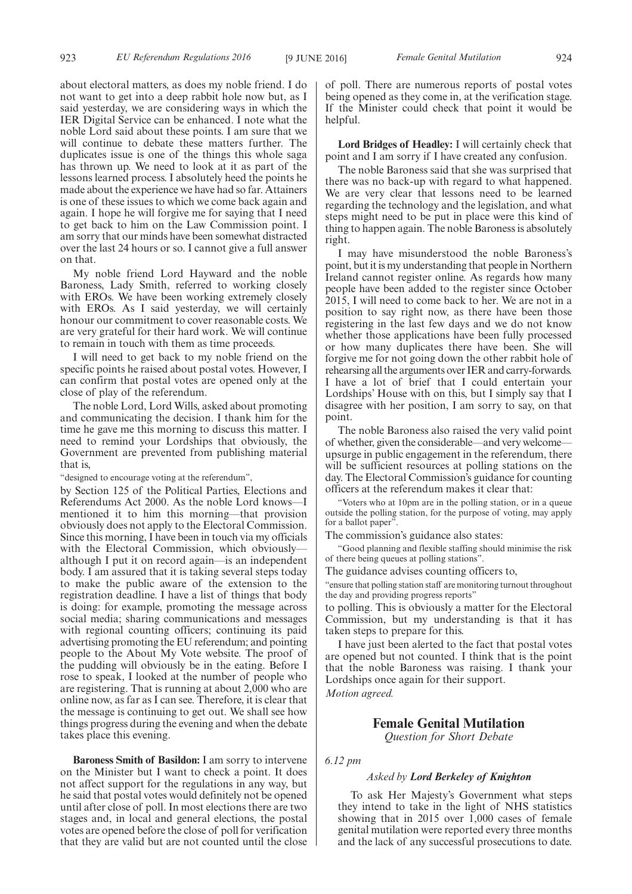about electoral matters, as does my noble friend. I do not want to get into a deep rabbit hole now but, as I said yesterday, we are considering ways in which the IER Digital Service can be enhanced. I note what the noble Lord said about these points. I am sure that we will continue to debate these matters further. The duplicates issue is one of the things this whole saga has thrown up. We need to look at it as part of the lessons learned process. I absolutely heed the points he made about the experience we have had so far. Attainers is one of these issues to which we come back again and again. I hope he will forgive me for saying that I need to get back to him on the Law Commission point. I am sorry that our minds have been somewhat distracted over the last 24 hours or so. I cannot give a full answer on that.

My noble friend Lord Hayward and the noble Baroness, Lady Smith, referred to working closely with EROs. We have been working extremely closely with EROs. As I said yesterday, we will certainly honour our commitment to cover reasonable costs. We are very grateful for their hard work. We will continue to remain in touch with them as time proceeds.

I will need to get back to my noble friend on the specific points he raised about postal votes. However, I can confirm that postal votes are opened only at the close of play of the referendum.

The noble Lord, Lord Wills, asked about promoting and communicating the decision. I thank him for the time he gave me this morning to discuss this matter. I need to remind your Lordships that obviously, the Government are prevented from publishing material that is,

"designed to encourage voting at the referendum",

by Section 125 of the Political Parties, Elections and Referendums Act 2000. As the noble Lord knows—I mentioned it to him this morning—that provision obviously does not apply to the Electoral Commission. Since this morning, I have been in touch via my officials with the Electoral Commission, which obviously although I put it on record again—is an independent body. I am assured that it is taking several steps today to make the public aware of the extension to the registration deadline. I have a list of things that body is doing: for example, promoting the message across social media; sharing communications and messages with regional counting officers; continuing its paid advertising promoting the EU referendum; and pointing people to the About My Vote website. The proof of the pudding will obviously be in the eating. Before I rose to speak, I looked at the number of people who are registering. That is running at about  $2,000$  who are online now, as far as I can see. Therefore, it is clear that the message is continuing to get out. We shall see how things progress during the evening and when the debate takes place this evening.

**Baroness Smith of Basildon:** I am sorry to intervene on the Minister but I want to check a point. It does not affect support for the regulations in any way, but he said that postal votes would definitely not be opened until after close of poll. In most elections there are two stages and, in local and general elections, the postal votes are opened before the close of poll for verification that they are valid but are not counted until the close of poll. There are numerous reports of postal votes being opened as they come in, at the verification stage. If the Minister could check that point it would be helpful.

**Lord Bridges of Headley:** I will certainly check that point and I am sorry if I have created any confusion.

The noble Baroness said that she was surprised that there was no back-up with regard to what happened. We are very clear that lessons need to be learned regarding the technology and the legislation, and what steps might need to be put in place were this kind of thing to happen again. The noble Baroness is absolutely right.

I may have misunderstood the noble Baroness's point, but it is my understanding that people in Northern Ireland cannot register online. As regards how many people have been added to the register since October 2015, I will need to come back to her. We are not in a position to say right now, as there have been those registering in the last few days and we do not know whether those applications have been fully processed or how many duplicates there have been. She will forgive me for not going down the other rabbit hole of rehearsing all the arguments over IER and carry-forwards. I have a lot of brief that I could entertain your Lordships' House with on this, but I simply say that I disagree with her position, I am sorry to say, on that point.

The noble Baroness also raised the very valid point of whether, given the considerable—and very welcome upsurge in public engagement in the referendum, there will be sufficient resources at polling stations on the day. The Electoral Commission's guidance for counting officers at the referendum makes it clear that:

"Voters who at 10pm are in the polling station, or in a queue outside the polling station, for the purpose of voting, may apply for a ballot paper'

The commission's guidance also states:

"Good planning and flexible staffing should minimise the risk of there being queues at polling stations".

The guidance advises counting officers to,

"ensure that polling station staff are monitoring turnout throughout the day and providing progress reports"

to polling. This is obviously a matter for the Electoral Commission, but my understanding is that it has taken steps to prepare for this.

I have just been alerted to the fact that postal votes are opened but not counted. I think that is the point that the noble Baroness was raising. I thank your Lordships once again for their support.

*Motion agreed.*

# **Female Genital Mutilation**

*Question for Short Debate*

*6.12 pm*

#### *Asked by Lord Berkeley of Knighton*

To ask Her Majesty's Government what steps they intend to take in the light of NHS statistics showing that in 2015 over 1,000 cases of female genital mutilation were reported every three months and the lack of any successful prosecutions to date.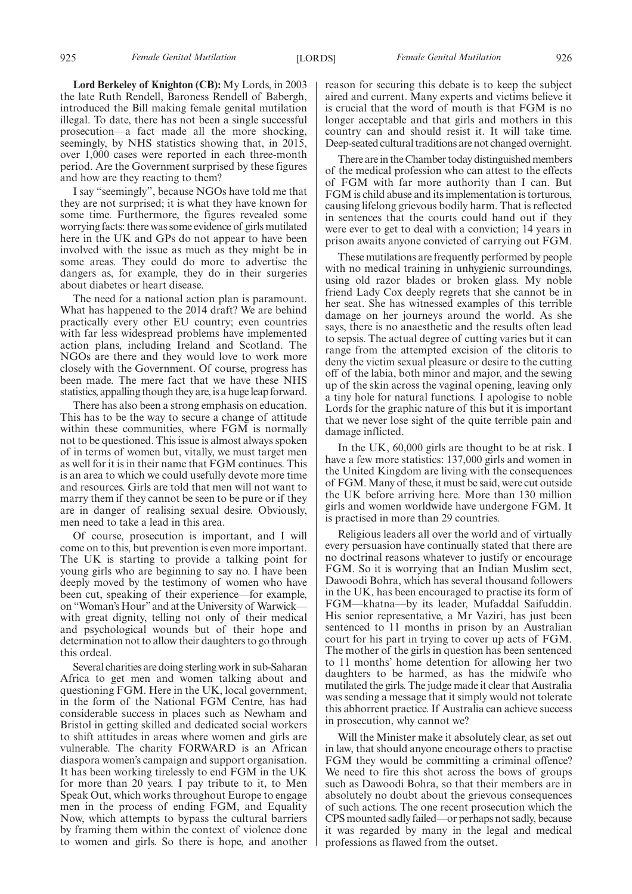**Lord Berkeley of Knighton (CB):** My Lords, in 2003 the late Ruth Rendell, Baroness Rendell of Babergh, introduced the Bill making female genital mutilation illegal. To date, there has not been a single successful prosecution—a fact made all the more shocking, seemingly, by NHS statistics showing that, in 2015, over 1,000 cases were reported in each three-month period. Are the Government surprised by these figures and how are they reacting to them?

I say "seemingly", because NGOs have told me that they are not surprised; it is what they have known for some time. Furthermore, the figures revealed some worrying facts: there was some evidence of girls mutilated here in the UK and GPs do not appear to have been involved with the issue as much as they might be in some areas. They could do more to advertise the dangers as, for example, they do in their surgeries about diabetes or heart disease.

The need for a national action plan is paramount. What has happened to the 2014 draft? We are behind practically every other EU country; even countries with far less widespread problems have implemented action plans, including Ireland and Scotland. The NGOs are there and they would love to work more closely with the Government. Of course, progress has been made. The mere fact that we have these NHS statistics, appalling though they are, is a huge leap forward.

There has also been a strong emphasis on education. This has to be the way to secure a change of attitude within these communities, where FGM is normally not to be questioned. This issue is almost always spoken of in terms of women but, vitally, we must target men as well for it is in their name that FGM continues. This is an area to which we could usefully devote more time and resources. Girls are told that men will not want to marry them if they cannot be seen to be pure or if they are in danger of realising sexual desire. Obviously, men need to take a lead in this area.

Of course, prosecution is important, and I will come on to this, but prevention is even more important. The UK is starting to provide a talking point for young girls who are beginning to say no. I have been deeply moved by the testimony of women who have been cut, speaking of their experience—for example, on "Woman's Hour"and at the University of Warwick with great dignity, telling not only of their medical and psychological wounds but of their hope and determination not to allow their daughters to go through this ordeal.

Several charities are doing sterling work in sub-Saharan Africa to get men and women talking about and questioning FGM. Here in the UK, local government, in the form of the National FGM Centre, has had considerable success in places such as Newham and Bristol in getting skilled and dedicated social workers to shift attitudes in areas where women and girls are vulnerable. The charity FORWARD is an African diaspora women's campaign and support organisation. It has been working tirelessly to end FGM in the UK for more than 20 years. I pay tribute to it, to Men Speak Out, which works throughout Europe to engage men in the process of ending FGM, and Equality Now, which attempts to bypass the cultural barriers by framing them within the context of violence done to women and girls. So there is hope, and another reason for securing this debate is to keep the subject aired and current. Many experts and victims believe it is crucial that the word of mouth is that FGM is no longer acceptable and that girls and mothers in this country can and should resist it. It will take time. Deep-seated cultural traditions are not changed overnight.

There are in the Chamber today distinguished members of the medical profession who can attest to the effects of FGM with far more authority than I can. But FGM is child abuse and its implementation is torturous, causing lifelong grievous bodily harm. That is reflected in sentences that the courts could hand out if they were ever to get to deal with a conviction; 14 years in prison awaits anyone convicted of carrying out FGM.

These mutilations are frequently performed by people with no medical training in unhygienic surroundings, using old razor blades or broken glass. My noble friend Lady Cox deeply regrets that she cannot be in her seat. She has witnessed examples of this terrible damage on her journeys around the world. As she says, there is no anaesthetic and the results often lead to sepsis. The actual degree of cutting varies but it can range from the attempted excision of the clitoris to deny the victim sexual pleasure or desire to the cutting off of the labia, both minor and major, and the sewing up of the skin across the vaginal opening, leaving only a tiny hole for natural functions. I apologise to noble Lords for the graphic nature of this but it is important that we never lose sight of the quite terrible pain and damage inflicted.

In the UK, 60,000 girls are thought to be at risk. I have a few more statistics: 137,000 girls and women in the United Kingdom are living with the consequences of FGM. Many of these, it must be said, were cut outside the UK before arriving here. More than 130 million girls and women worldwide have undergone FGM. It is practised in more than 29 countries.

Religious leaders all over the world and of virtually every persuasion have continually stated that there are no doctrinal reasons whatever to justify or encourage FGM. So it is worrying that an Indian Muslim sect, Dawoodi Bohra, which has several thousand followers in the UK, has been encouraged to practise its form of FGM—khatna—by its leader, Mufaddal Saifuddin. His senior representative, a Mr Vaziri, has just been sentenced to 11 months in prison by an Australian court for his part in trying to cover up acts of FGM. The mother of the girls in question has been sentenced to 11 months' home detention for allowing her two daughters to be harmed, as has the midwife who mutilated the girls. The judge made it clear that Australia was sending a message that it simply would not tolerate this abhorrent practice. If Australia can achieve success in prosecution, why cannot we?

Will the Minister make it absolutely clear, as set out in law, that should anyone encourage others to practise FGM they would be committing a criminal offence? We need to fire this shot across the bows of groups such as Dawoodi Bohra, so that their members are in absolutely no doubt about the grievous consequences of such actions. The one recent prosecution which the CPS mounted sadly failed—or perhaps not sadly, because it was regarded by many in the legal and medical professions as flawed from the outset.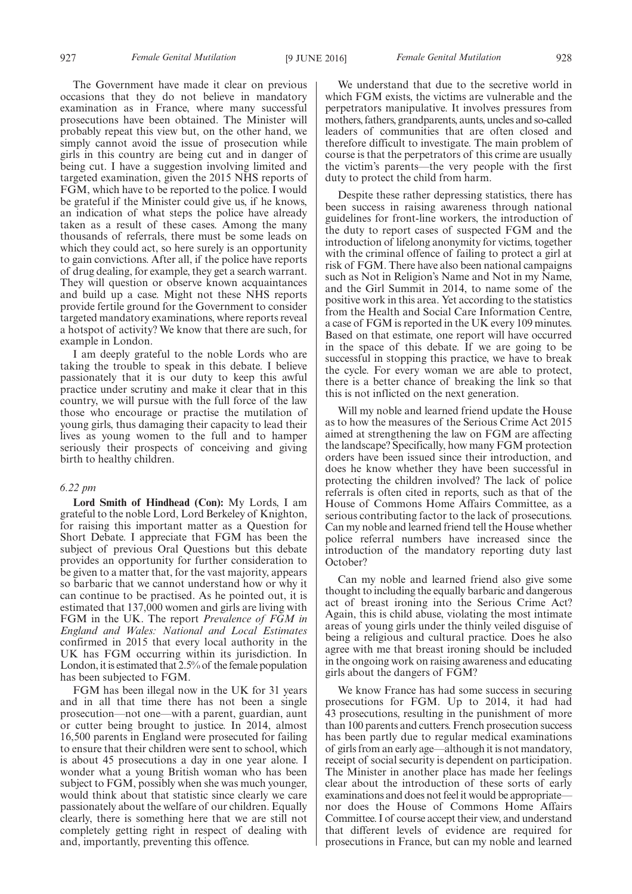The Government have made it clear on previous occasions that they do not believe in mandatory examination as in France, where many successful prosecutions have been obtained. The Minister will probably repeat this view but, on the other hand, we simply cannot avoid the issue of prosecution while girls in this country are being cut and in danger of being cut. I have a suggestion involving limited and targeted examination, given the 2015 NHS reports of FGM, which have to be reported to the police. I would be grateful if the Minister could give us, if he knows, an indication of what steps the police have already taken as a result of these cases. Among the many thousands of referrals, there must be some leads on which they could act, so here surely is an opportunity to gain convictions. After all, if the police have reports of drug dealing, for example, they get a search warrant. They will question or observe known acquaintances and build up a case. Might not these NHS reports provide fertile ground for the Government to consider targeted mandatory examinations, where reports reveal a hotspot of activity? We know that there are such, for example in London.

I am deeply grateful to the noble Lords who are taking the trouble to speak in this debate. I believe passionately that it is our duty to keep this awful practice under scrutiny and make it clear that in this country, we will pursue with the full force of the law those who encourage or practise the mutilation of young girls, thus damaging their capacity to lead their lives as young women to the full and to hamper seriously their prospects of conceiving and giving birth to healthy children.

# *6.22 pm*

**Lord Smith of Hindhead (Con):** My Lords, I am grateful to the noble Lord, Lord Berkeley of Knighton, for raising this important matter as a Question for Short Debate. I appreciate that FGM has been the subject of previous Oral Questions but this debate provides an opportunity for further consideration to be given to a matter that, for the vast majority, appears so barbaric that we cannot understand how or why it can continue to be practised. As he pointed out, it is estimated that 137,000 women and girls are living with FGM in the UK. The report *Prevalence of FGM in England and Wales: National and Local Estimates* confirmed in 2015 that every local authority in the UK has FGM occurring within its jurisdiction. In London, it is estimated that 2.5% of the female population has been subjected to FGM.

FGM has been illegal now in the UK for 31 years and in all that time there has not been a single prosecution—not one—with a parent, guardian, aunt or cutter being brought to justice. In 2014, almost 16,500 parents in England were prosecuted for failing to ensure that their children were sent to school, which is about 45 prosecutions a day in one year alone. I wonder what a young British woman who has been subject to FGM, possibly when she was much younger, would think about that statistic since clearly we care passionately about the welfare of our children. Equally clearly, there is something here that we are still not completely getting right in respect of dealing with and, importantly, preventing this offence.

We understand that due to the secretive world in which FGM exists, the victims are vulnerable and the perpetrators manipulative. It involves pressures from mothers, fathers, grandparents, aunts, uncles and so-called leaders of communities that are often closed and therefore difficult to investigate. The main problem of course is that the perpetrators of this crime are usually the victim's parents—the very people with the first duty to protect the child from harm.

Despite these rather depressing statistics, there has been success in raising awareness through national guidelines for front-line workers, the introduction of the duty to report cases of suspected FGM and the introduction of lifelong anonymity for victims, together with the criminal offence of failing to protect a girl at risk of FGM. There have also been national campaigns such as Not in Religion's Name and Not in my Name, and the Girl Summit in 2014, to name some of the positive work in this area. Yet according to the statistics from the Health and Social Care Information Centre, a case of FGM is reported in the UK every 109 minutes. Based on that estimate, one report will have occurred in the space of this debate. If we are going to be successful in stopping this practice, we have to break the cycle. For every woman we are able to protect, there is a better chance of breaking the link so that this is not inflicted on the next generation.

Will my noble and learned friend update the House as to how the measures of the Serious Crime Act 2015 aimed at strengthening the law on FGM are affecting the landscape? Specifically, how many FGM protection orders have been issued since their introduction, and does he know whether they have been successful in protecting the children involved? The lack of police referrals is often cited in reports, such as that of the House of Commons Home Affairs Committee, as a serious contributing factor to the lack of prosecutions. Can my noble and learned friend tell the House whether police referral numbers have increased since the introduction of the mandatory reporting duty last October?

Can my noble and learned friend also give some thought to including the equally barbaric and dangerous act of breast ironing into the Serious Crime Act? Again, this is child abuse, violating the most intimate areas of young girls under the thinly veiled disguise of being a religious and cultural practice. Does he also agree with me that breast ironing should be included in the ongoing work on raising awareness and educating girls about the dangers of FGM?

We know France has had some success in securing prosecutions for FGM. Up to 2014, it had had 43 prosecutions, resulting in the punishment of more than 100 parents and cutters. French prosecution success has been partly due to regular medical examinations of girls from an early age—although it is not mandatory, receipt of social security is dependent on participation. The Minister in another place has made her feelings clear about the introduction of these sorts of early examinations and does not feel it would be appropriate nor does the House of Commons Home Affairs Committee. I of course accept their view, and understand that different levels of evidence are required for prosecutions in France, but can my noble and learned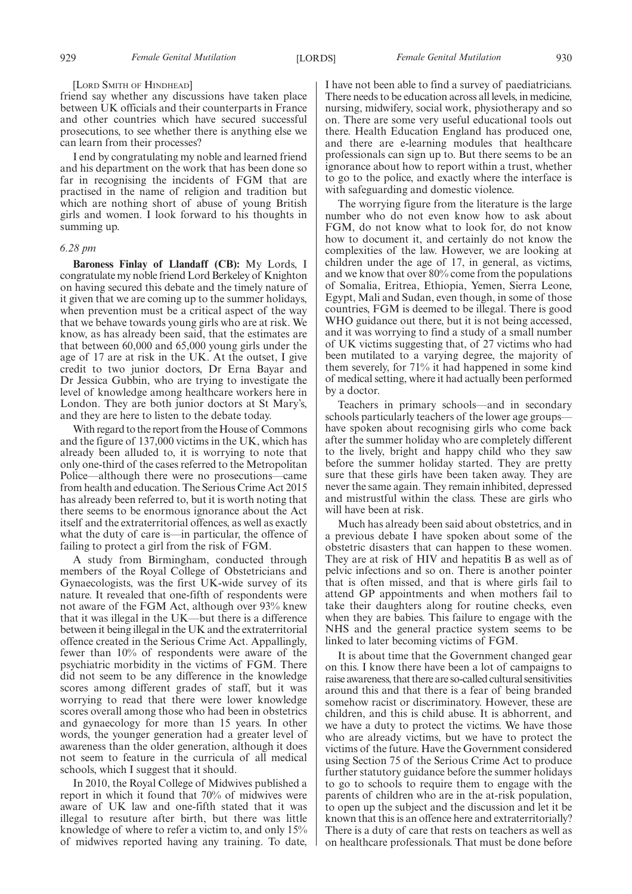#### [LORD SMITH OF HINDHEAD]

friend say whether any discussions have taken place between UK officials and their counterparts in France and other countries which have secured successful prosecutions, to see whether there is anything else we can learn from their processes?

I end by congratulating my noble and learned friend and his department on the work that has been done so far in recognising the incidents of FGM that are practised in the name of religion and tradition but which are nothing short of abuse of young British girls and women. I look forward to his thoughts in summing up.

# *6.28 pm*

**Baroness Finlay of Llandaff (CB):** My Lords, I congratulate my noble friend Lord Berkeley of Knighton on having secured this debate and the timely nature of it given that we are coming up to the summer holidays, when prevention must be a critical aspect of the way that we behave towards young girls who are at risk. We know, as has already been said, that the estimates are that between 60,000 and 65,000 young girls under the age of 17 are at risk in the UK. At the outset, I give credit to two junior doctors, Dr Erna Bayar and Dr Jessica Gubbin, who are trying to investigate the level of knowledge among healthcare workers here in London. They are both junior doctors at St Mary's, and they are here to listen to the debate today.

With regard to the report from the House of Commons and the figure of 137,000 victims in the UK, which has already been alluded to, it is worrying to note that only one-third of the cases referred to the Metropolitan Police—although there were no prosecutions—came from health and education. The Serious Crime Act 2015 has already been referred to, but it is worth noting that there seems to be enormous ignorance about the Act itself and the extraterritorial offences, as well as exactly what the duty of care is—in particular, the offence of failing to protect a girl from the risk of FGM.

A study from Birmingham, conducted through members of the Royal College of Obstetricians and Gynaecologists, was the first UK-wide survey of its nature. It revealed that one-fifth of respondents were not aware of the FGM Act, although over 93% knew that it was illegal in the UK—but there is a difference between it being illegal in the UK and the extraterritorial offence created in the Serious Crime Act. Appallingly, fewer than 10% of respondents were aware of the psychiatric morbidity in the victims of FGM. There did not seem to be any difference in the knowledge scores among different grades of staff, but it was worrying to read that there were lower knowledge scores overall among those who had been in obstetrics and gynaecology for more than 15 years. In other words, the younger generation had a greater level of awareness than the older generation, although it does not seem to feature in the curricula of all medical schools, which I suggest that it should.

In 2010, the Royal College of Midwives published a report in which it found that 70% of midwives were aware of UK law and one-fifth stated that it was illegal to resuture after birth, but there was little knowledge of where to refer a victim to, and only 15% of midwives reported having any training. To date, I have not been able to find a survey of paediatricians. There needs to be education across all levels, in medicine, nursing, midwifery, social work, physiotherapy and so on. There are some very useful educational tools out there. Health Education England has produced one, and there are e-learning modules that healthcare professionals can sign up to. But there seems to be an ignorance about how to report within a trust, whether to go to the police, and exactly where the interface is with safeguarding and domestic violence.

The worrying figure from the literature is the large number who do not even know how to ask about FGM, do not know what to look for, do not know how to document it, and certainly do not know the complexities of the law. However, we are looking at children under the age of 17, in general, as victims, and we know that over 80% come from the populations of Somalia, Eritrea, Ethiopia, Yemen, Sierra Leone, Egypt, Mali and Sudan, even though, in some of those countries, FGM is deemed to be illegal. There is good WHO guidance out there, but it is not being accessed, and it was worrying to find a study of a small number of UK victims suggesting that, of 27 victims who had been mutilated to a varying degree, the majority of them severely, for 71% it had happened in some kind of medical setting, where it had actually been performed by a doctor.

Teachers in primary schools—and in secondary schools particularly teachers of the lower age groups have spoken about recognising girls who come back after the summer holiday who are completely different to the lively, bright and happy child who they saw before the summer holiday started. They are pretty sure that these girls have been taken away. They are never the same again. They remain inhibited, depressed and mistrustful within the class. These are girls who will have been at risk.

Much has already been said about obstetrics, and in a previous debate I have spoken about some of the obstetric disasters that can happen to these women. They are at risk of HIV and hepatitis B as well as of pelvic infections and so on. There is another pointer that is often missed, and that is where girls fail to attend GP appointments and when mothers fail to take their daughters along for routine checks, even when they are babies. This failure to engage with the NHS and the general practice system seems to be linked to later becoming victims of FGM.

It is about time that the Government changed gear on this. I know there have been a lot of campaigns to raise awareness, that there are so-called cultural sensitivities around this and that there is a fear of being branded somehow racist or discriminatory. However, these are children, and this is child abuse. It is abhorrent, and we have a duty to protect the victims. We have those who are already victims, but we have to protect the victims of the future. Have the Government considered using Section 75 of the Serious Crime Act to produce further statutory guidance before the summer holidays to go to schools to require them to engage with the parents of children who are in the at-risk population, to open up the subject and the discussion and let it be known that this is an offence here and extraterritorially? There is a duty of care that rests on teachers as well as on healthcare professionals. That must be done before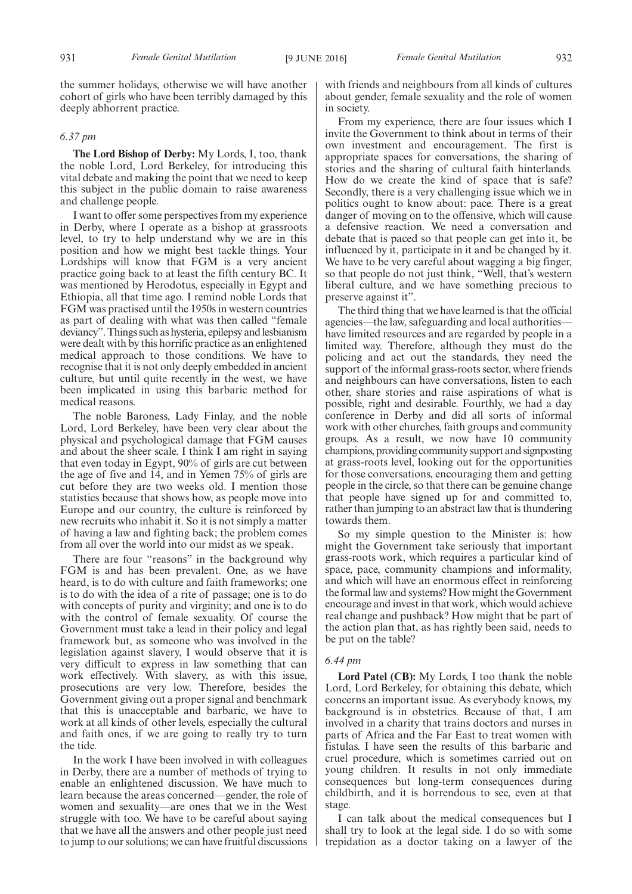the summer holidays, otherwise we will have another cohort of girls who have been terribly damaged by this deeply abhorrent practice.

# *6.37 pm*

**The Lord Bishop of Derby:** My Lords, I, too, thank the noble Lord, Lord Berkeley, for introducing this vital debate and making the point that we need to keep this subject in the public domain to raise awareness and challenge people.

I want to offer some perspectives from my experience in Derby, where I operate as a bishop at grassroots level, to try to help understand why we are in this position and how we might best tackle things. Your Lordships will know that FGM is a very ancient practice going back to at least the fifth century BC. It was mentioned by Herodotus, especially in Egypt and Ethiopia, all that time ago. I remind noble Lords that FGM was practised until the 1950s in western countries as part of dealing with what was then called "female deviancy". Things such as hysteria, epilepsy and lesbianism were dealt with by this horrific practice as an enlightened medical approach to those conditions. We have to recognise that it is not only deeply embedded in ancient culture, but until quite recently in the west, we have been implicated in using this barbaric method for medical reasons.

The noble Baroness, Lady Finlay, and the noble Lord, Lord Berkeley, have been very clear about the physical and psychological damage that FGM causes and about the sheer scale. I think I am right in saying that even today in Egypt, 90% of girls are cut between the age of five and 14, and in Yemen 75% of girls are cut before they are two weeks old. I mention those statistics because that shows how, as people move into Europe and our country, the culture is reinforced by new recruits who inhabit it. So it is not simply a matter of having a law and fighting back; the problem comes from all over the world into our midst as we speak.

There are four "reasons" in the background why FGM is and has been prevalent. One, as we have heard, is to do with culture and faith frameworks; one is to do with the idea of a rite of passage; one is to do with concepts of purity and virginity; and one is to do with the control of female sexuality. Of course the Government must take a lead in their policy and legal framework but, as someone who was involved in the legislation against slavery, I would observe that it is very difficult to express in law something that can work effectively. With slavery, as with this issue, prosecutions are very low. Therefore, besides the Government giving out a proper signal and benchmark that this is unacceptable and barbaric, we have to work at all kinds of other levels, especially the cultural and faith ones, if we are going to really try to turn the tide.

In the work I have been involved in with colleagues in Derby, there are a number of methods of trying to enable an enlightened discussion. We have much to learn because the areas concerned—gender, the role of women and sexuality—are ones that we in the West struggle with too. We have to be careful about saying that we have all the answers and other people just need to jump to our solutions; we can have fruitful discussions with friends and neighbours from all kinds of cultures about gender, female sexuality and the role of women in society.

From my experience, there are four issues which I invite the Government to think about in terms of their own investment and encouragement. The first is appropriate spaces for conversations, the sharing of stories and the sharing of cultural faith hinterlands. How do we create the kind of space that is safe? Secondly, there is a very challenging issue which we in politics ought to know about: pace. There is a great danger of moving on to the offensive, which will cause a defensive reaction. We need a conversation and debate that is paced so that people can get into it, be influenced by it, participate in it and be changed by it. We have to be very careful about wagging a big finger, so that people do not just think, "Well, that's western liberal culture, and we have something precious to preserve against it".

The third thing that we have learned is that the official agencies—the law, safeguarding and local authorities have limited resources and are regarded by people in a limited way. Therefore, although they must do the policing and act out the standards, they need the support of the informal grass-roots sector, where friends and neighbours can have conversations, listen to each other, share stories and raise aspirations of what is possible, right and desirable. Fourthly, we had a day conference in Derby and did all sorts of informal work with other churches, faith groups and community groups. As a result, we now have 10 community champions, providing community support and signposting at grass-roots level, looking out for the opportunities for those conversations, encouraging them and getting people in the circle, so that there can be genuine change that people have signed up for and committed to, rather than jumping to an abstract law that is thundering towards them.

So my simple question to the Minister is: how might the Government take seriously that important grass-roots work, which requires a particular kind of space, pace, community champions and informality, and which will have an enormous effect in reinforcing the formal law and systems? How might the Government encourage and invest in that work, which would achieve real change and pushback? How might that be part of the action plan that, as has rightly been said, needs to be put on the table?

# *6.44 pm*

**Lord Patel (CB):** My Lords, I too thank the noble Lord, Lord Berkeley, for obtaining this debate, which concerns an important issue. As everybody knows, my background is in obstetrics. Because of that, I am involved in a charity that trains doctors and nurses in parts of Africa and the Far East to treat women with fistulas. I have seen the results of this barbaric and cruel procedure, which is sometimes carried out on young children. It results in not only immediate consequences but long-term consequences during childbirth, and it is horrendous to see, even at that stage.

I can talk about the medical consequences but I shall try to look at the legal side. I do so with some trepidation as a doctor taking on a lawyer of the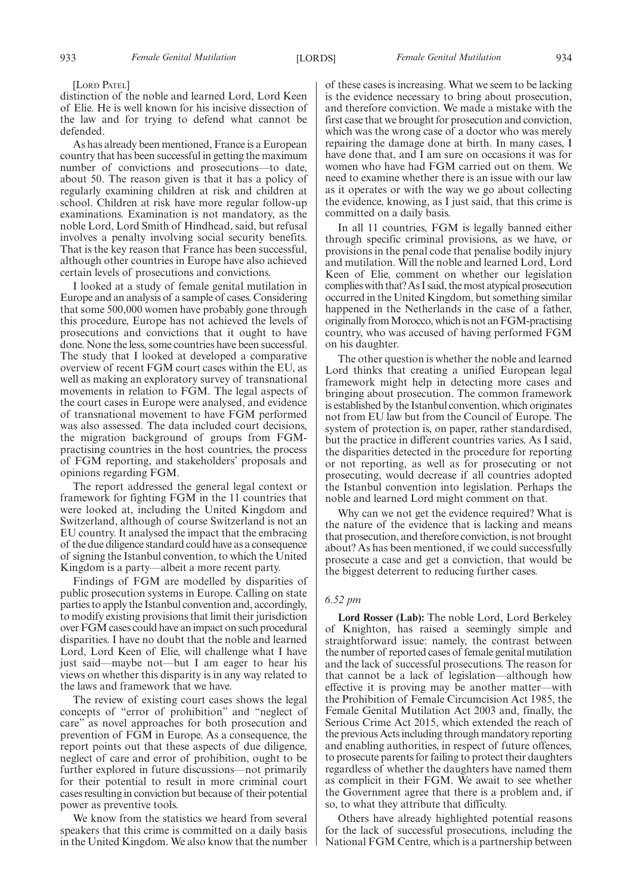[LORD PATEL]

distinction of the noble and learned Lord, Lord Keen of Elie. He is well known for his incisive dissection of the law and for trying to defend what cannot be defended.

As has already been mentioned, France is a European country that has been successful in getting the maximum number of convictions and prosecutions—to date, about 50. The reason given is that it has a policy of regularly examining children at risk and children at school. Children at risk have more regular follow-up examinations. Examination is not mandatory, as the noble Lord, Lord Smith of Hindhead, said, but refusal involves a penalty involving social security benefits. That is the key reason that France has been successful, although other countries in Europe have also achieved certain levels of prosecutions and convictions.

I looked at a study of female genital mutilation in Europe and an analysis of a sample of cases. Considering that some 500,000 women have probably gone through this procedure, Europe has not achieved the levels of prosecutions and convictions that it ought to have done. None the less, some countries have been successful. The study that I looked at developed a comparative overview of recent FGM court cases within the EU, as well as making an exploratory survey of transnational movements in relation to FGM. The legal aspects of the court cases in Europe were analysed, and evidence of transnational movement to have FGM performed was also assessed. The data included court decisions, the migration background of groups from FGMpractising countries in the host countries, the process of FGM reporting, and stakeholders' proposals and opinions regarding FGM.

The report addressed the general legal context or framework for fighting FGM in the 11 countries that were looked at, including the United Kingdom and Switzerland, although of course Switzerland is not an EU country. It analysed the impact that the embracing of the due diligence standard could have as a consequence of signing the Istanbul convention, to which the United Kingdom is a party—albeit a more recent party.

Findings of FGM are modelled by disparities of public prosecution systems in Europe. Calling on state parties to apply the Istanbul convention and, accordingly, to modify existing provisions that limit their jurisdiction over FGM cases could have an impact on such procedural disparities. I have no doubt that the noble and learned Lord, Lord Keen of Elie, will challenge what I have just said—maybe not—but I am eager to hear his views on whether this disparity is in any way related to the laws and framework that we have.

The review of existing court cases shows the legal concepts of "error of prohibition" and "neglect of care" as novel approaches for both prosecution and prevention of FGM in Europe. As a consequence, the report points out that these aspects of due diligence, neglect of care and error of prohibition, ought to be further explored in future discussions—not primarily for their potential to result in more criminal court cases resulting in conviction but because of their potential power as preventive tools.

We know from the statistics we heard from several speakers that this crime is committed on a daily basis in the United Kingdom. We also know that the number of these cases is increasing. What we seem to be lacking is the evidence necessary to bring about prosecution, and therefore conviction. We made a mistake with the first case that we brought for prosecution and conviction, which was the wrong case of a doctor who was merely repairing the damage done at birth. In many cases, I have done that, and I am sure on occasions it was for women who have had FGM carried out on them. We need to examine whether there is an issue with our law as it operates or with the way we go about collecting the evidence, knowing, as I just said, that this crime is committed on a daily basis.

In all 11 countries, FGM is legally banned either through specific criminal provisions, as we have, or provisions in the penal code that penalise bodily injury and mutilation. Will the noble and learned Lord, Lord Keen of Elie, comment on whether our legislation complies with that? As I said, the most atypical prosecution occurred in the United Kingdom, but something similar happened in the Netherlands in the case of a father, originally from Morocco, which is not an FGM-practising country, who was accused of having performed FGM on his daughter.

The other question is whether the noble and learned Lord thinks that creating a unified European legal framework might help in detecting more cases and bringing about prosecution. The common framework is established by the Istanbul convention, which originates not from EU law but from the Council of Europe. The system of protection is, on paper, rather standardised, but the practice in different countries varies. As I said, the disparities detected in the procedure for reporting or not reporting, as well as for prosecuting or not prosecuting, would decrease if all countries adopted the Istanbul convention into legislation. Perhaps the noble and learned Lord might comment on that.

Why can we not get the evidence required? What is the nature of the evidence that is lacking and means that prosecution, and therefore conviction, is not brought about? As has been mentioned, if we could successfully prosecute a case and get a conviction, that would be the biggest deterrent to reducing further cases.

# *6.52 pm*

**Lord Rosser (Lab):** The noble Lord, Lord Berkeley of Knighton, has raised a seemingly simple and straightforward issue: namely, the contrast between the number of reported cases of female genital mutilation and the lack of successful prosecutions. The reason for that cannot be a lack of legislation—although how effective it is proving may be another matter—with the Prohibition of Female Circumcision Act 1985, the Female Genital Mutilation Act 2003 and, finally, the Serious Crime Act 2015, which extended the reach of the previous Acts including through mandatory reporting and enabling authorities, in respect of future offences, to prosecute parents for failing to protect their daughters regardless of whether the daughters have named them as complicit in their FGM. We await to see whether the Government agree that there is a problem and, if so, to what they attribute that difficulty.

Others have already highlighted potential reasons for the lack of successful prosecutions, including the National FGM Centre, which is a partnership between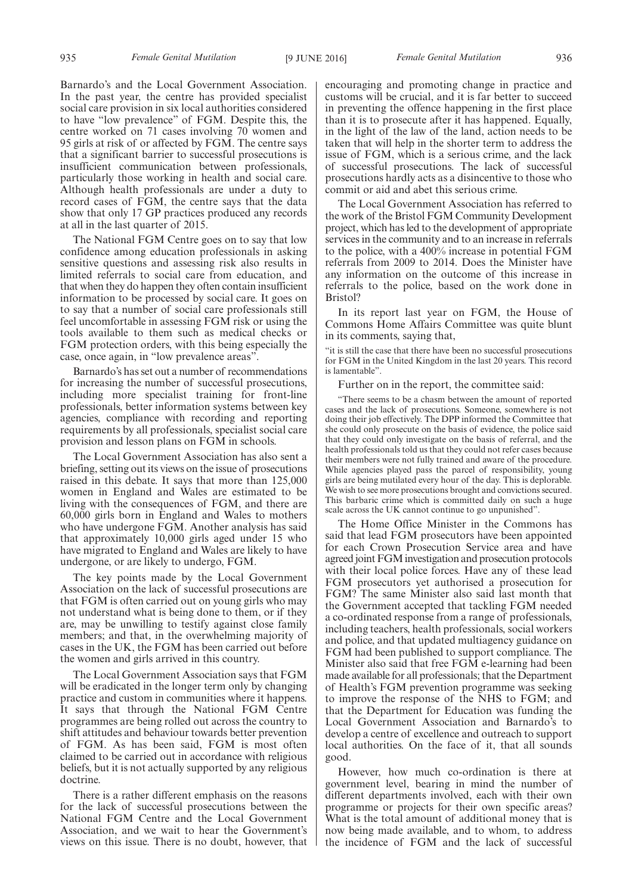Barnardo's and the Local Government Association. In the past year, the centre has provided specialist social care provision in six local authorities considered to have "low prevalence" of FGM. Despite this, the centre worked on 71 cases involving 70 women and 95 girls at risk of or affected by FGM. The centre says that a significant barrier to successful prosecutions is insufficient communication between professionals, particularly those working in health and social care. Although health professionals are under a duty to record cases of FGM, the centre says that the data show that only 17 GP practices produced any records at all in the last quarter of 2015.

The National FGM Centre goes on to say that low confidence among education professionals in asking sensitive questions and assessing risk also results in limited referrals to social care from education, and that when they do happen they often contain insufficient information to be processed by social care. It goes on to say that a number of social care professionals still feel uncomfortable in assessing FGM risk or using the tools available to them such as medical checks or FGM protection orders, with this being especially the case, once again, in "low prevalence areas".

Barnardo's has set out a number of recommendations for increasing the number of successful prosecutions, including more specialist training for front-line professionals, better information systems between key agencies, compliance with recording and reporting requirements by all professionals, specialist social care provision and lesson plans on FGM in schools.

The Local Government Association has also sent a briefing, setting out its views on the issue of prosecutions raised in this debate. It says that more than 125,000 women in England and Wales are estimated to be living with the consequences of FGM, and there are 60,000 girls born in England and Wales to mothers who have undergone FGM. Another analysis has said that approximately 10,000 girls aged under 15 who have migrated to England and Wales are likely to have undergone, or are likely to undergo, FGM.

The key points made by the Local Government Association on the lack of successful prosecutions are that FGM is often carried out on young girls who may not understand what is being done to them, or if they are, may be unwilling to testify against close family members; and that, in the overwhelming majority of cases in the UK, the FGM has been carried out before the women and girls arrived in this country.

The Local Government Association says that FGM will be eradicated in the longer term only by changing practice and custom in communities where it happens. It says that through the National FGM Centre programmes are being rolled out across the country to shift attitudes and behaviour towards better prevention of FGM. As has been said, FGM is most often claimed to be carried out in accordance with religious beliefs, but it is not actually supported by any religious doctrine.

There is a rather different emphasis on the reasons for the lack of successful prosecutions between the National FGM Centre and the Local Government Association, and we wait to hear the Government's views on this issue. There is no doubt, however, that encouraging and promoting change in practice and customs will be crucial, and it is far better to succeed in preventing the offence happening in the first place than it is to prosecute after it has happened. Equally, in the light of the law of the land, action needs to be taken that will help in the shorter term to address the issue of FGM, which is a serious crime, and the lack of successful prosecutions. The lack of successful prosecutions hardly acts as a disincentive to those who commit or aid and abet this serious crime.

The Local Government Association has referred to the work of the Bristol FGM Community Development project, which has led to the development of appropriate services in the community and to an increase in referrals to the police, with a 400% increase in potential FGM referrals from 2009 to 2014. Does the Minister have any information on the outcome of this increase in referrals to the police, based on the work done in Bristol?

In its report last year on FGM, the House of Commons Home Affairs Committee was quite blunt in its comments, saying that,

"it is still the case that there have been no successful prosecutions for FGM in the United Kingdom in the last 20 years. This record is lamentable".

Further on in the report, the committee said:

"There seems to be a chasm between the amount of reported cases and the lack of prosecutions. Someone, somewhere is not doing their job effectively. The DPP informed the Committee that she could only prosecute on the basis of evidence, the police said that they could only investigate on the basis of referral, and the health professionals told us that they could not refer cases because their members were not fully trained and aware of the procedure. While agencies played pass the parcel of responsibility, young girls are being mutilated every hour of the day. This is deplorable. We wish to see more prosecutions brought and convictions secured. This barbaric crime which is committed daily on such a huge scale across the UK cannot continue to go unpunished".

The Home Office Minister in the Commons has said that lead FGM prosecutors have been appointed for each Crown Prosecution Service area and have agreed joint FGM investigation and prosecution protocols with their local police forces. Have any of these lead FGM prosecutors yet authorised a prosecution for FGM? The same Minister also said last month that the Government accepted that tackling FGM needed a co-ordinated response from a range of professionals, including teachers, health professionals, social workers and police, and that updated multiagency guidance on FGM had been published to support compliance. The Minister also said that free FGM e-learning had been made available for all professionals; that the Department of Health's FGM prevention programme was seeking to improve the response of the NHS to FGM; and that the Department for Education was funding the Local Government Association and Barnardo's to develop a centre of excellence and outreach to support local authorities. On the face of it, that all sounds good.

However, how much co-ordination is there at government level, bearing in mind the number of different departments involved, each with their own programme or projects for their own specific areas? What is the total amount of additional money that is now being made available, and to whom, to address the incidence of FGM and the lack of successful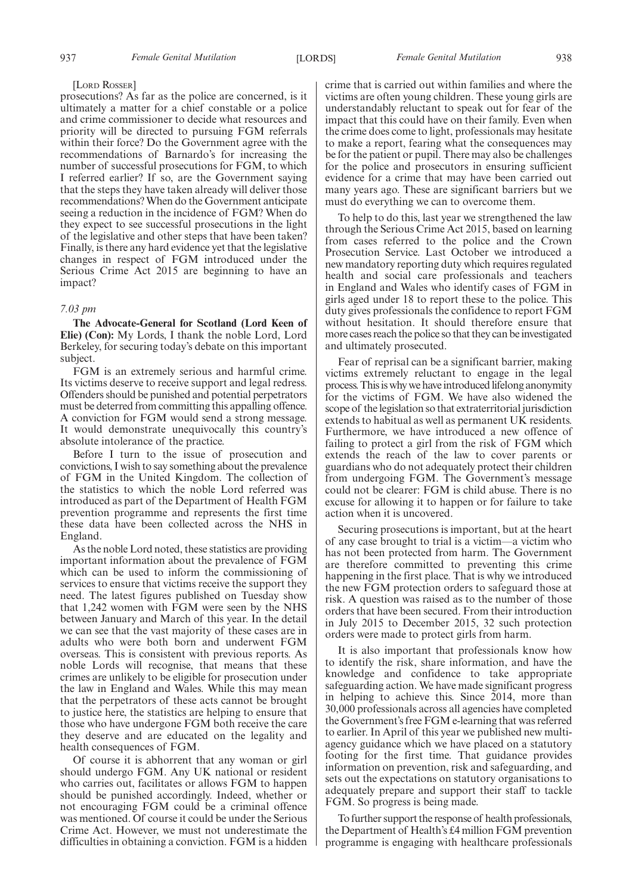### [LORD ROSSER]

prosecutions? As far as the police are concerned, is it ultimately a matter for a chief constable or a police and crime commissioner to decide what resources and priority will be directed to pursuing FGM referrals within their force? Do the Government agree with the recommendations of Barnardo's for increasing the number of successful prosecutions for FGM, to which I referred earlier? If so, are the Government saying that the steps they have taken already will deliver those recommendations? When do the Government anticipate seeing a reduction in the incidence of FGM? When do they expect to see successful prosecutions in the light of the legislative and other steps that have been taken? Finally, is there any hard evidence yet that the legislative changes in respect of FGM introduced under the Serious Crime Act 2015 are beginning to have an impact?

# *7.03 pm*

**The Advocate-General for Scotland (Lord Keen of Elie) (Con):** My Lords, I thank the noble Lord, Lord Berkeley, for securing today's debate on this important subject.

FGM is an extremely serious and harmful crime. Its victims deserve to receive support and legal redress. Offenders should be punished and potential perpetrators must be deterred from committing this appalling offence. A conviction for FGM would send a strong message. It would demonstrate unequivocally this country's absolute intolerance of the practice.

Before I turn to the issue of prosecution and convictions, I wish to say something about the prevalence of FGM in the United Kingdom. The collection of the statistics to which the noble Lord referred was introduced as part of the Department of Health FGM prevention programme and represents the first time these data have been collected across the NHS in England.

As the noble Lord noted, these statistics are providing important information about the prevalence of FGM which can be used to inform the commissioning of services to ensure that victims receive the support they need. The latest figures published on Tuesday show that 1,242 women with FGM were seen by the NHS between January and March of this year. In the detail we can see that the vast majority of these cases are in adults who were both born and underwent FGM overseas. This is consistent with previous reports. As noble Lords will recognise, that means that these crimes are unlikely to be eligible for prosecution under the law in England and Wales. While this may mean that the perpetrators of these acts cannot be brought to justice here, the statistics are helping to ensure that those who have undergone FGM both receive the care they deserve and are educated on the legality and health consequences of FGM.

Of course it is abhorrent that any woman or girl should undergo FGM. Any UK national or resident who carries out, facilitates or allows FGM to happen should be punished accordingly. Indeed, whether or not encouraging FGM could be a criminal offence was mentioned. Of course it could be under the Serious Crime Act. However, we must not underestimate the difficulties in obtaining a conviction. FGM is a hidden

crime that is carried out within families and where the victims are often young children. These young girls are understandably reluctant to speak out for fear of the impact that this could have on their family. Even when the crime does come to light, professionals may hesitate to make a report, fearing what the consequences may be for the patient or pupil. There may also be challenges for the police and prosecutors in ensuring sufficient evidence for a crime that may have been carried out many years ago. These are significant barriers but we must do everything we can to overcome them.

To help to do this, last year we strengthened the law through the Serious Crime Act 2015, based on learning from cases referred to the police and the Crown Prosecution Service. Last October we introduced a new mandatory reporting duty which requires regulated health and social care professionals and teachers in England and Wales who identify cases of FGM in girls aged under 18 to report these to the police. This duty gives professionals the confidence to report FGM without hesitation. It should therefore ensure that more cases reach the police so that they can be investigated and ultimately prosecuted.

Fear of reprisal can be a significant barrier, making victims extremely reluctant to engage in the legal process. This is why we have introduced lifelong anonymity for the victims of FGM. We have also widened the scope of the legislation so that extraterritorial jurisdiction extends to habitual as well as permanent UK residents. Furthermore, we have introduced a new offence of failing to protect a girl from the risk of FGM which extends the reach of the law to cover parents or guardians who do not adequately protect their children from undergoing FGM. The Government's message could not be clearer: FGM is child abuse. There is no excuse for allowing it to happen or for failure to take action when it is uncovered.

Securing prosecutions is important, but at the heart of any case brought to trial is a victim—a victim who has not been protected from harm. The Government are therefore committed to preventing this crime happening in the first place. That is why we introduced the new FGM protection orders to safeguard those at risk. A question was raised as to the number of those orders that have been secured. From their introduction in July 2015 to December 2015, 32 such protection orders were made to protect girls from harm.

It is also important that professionals know how to identify the risk, share information, and have the knowledge and confidence to take appropriate safeguarding action. We have made significant progress in helping to achieve this. Since 2014, more than 30,000 professionals across all agencies have completed the Government's free FGM e-learning that was referred to earlier. In April of this year we published new multiagency guidance which we have placed on a statutory footing for the first time. That guidance provides information on prevention, risk and safeguarding, and sets out the expectations on statutory organisations to adequately prepare and support their staff to tackle FGM. So progress is being made.

To further support the response of health professionals, the Department of Health's £4 million FGM prevention programme is engaging with healthcare professionals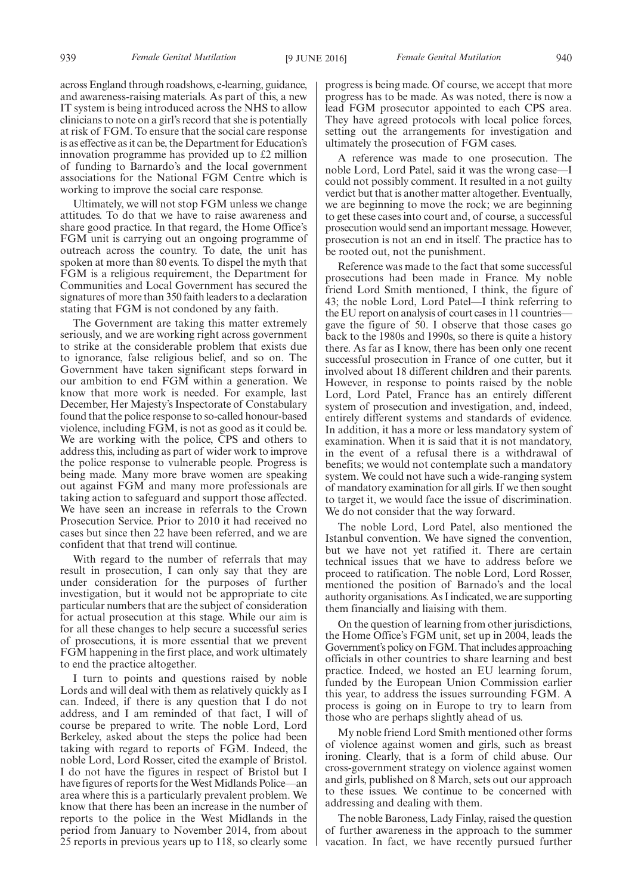across England through roadshows, e-learning, guidance, and awareness-raising materials. As part of this, a new IT system is being introduced across the NHS to allow clinicians to note on a girl's record that she is potentially at risk of FGM. To ensure that the social care response is as effective as it can be, the Department for Education's innovation programme has provided up to £2 million of funding to Barnardo's and the local government associations for the National FGM Centre which is working to improve the social care response.

Ultimately, we will not stop FGM unless we change attitudes. To do that we have to raise awareness and share good practice. In that regard, the Home Office's FGM unit is carrying out an ongoing programme of outreach across the country. To date, the unit has spoken at more than 80 events. To dispel the myth that FGM is a religious requirement, the Department for Communities and Local Government has secured the signatures of more than 350 faith leaders to a declaration stating that FGM is not condoned by any faith.

The Government are taking this matter extremely seriously, and we are working right across government to strike at the considerable problem that exists due to ignorance, false religious belief, and so on. The Government have taken significant steps forward in our ambition to end FGM within a generation. We know that more work is needed. For example, last December, Her Majesty's Inspectorate of Constabulary found that the police response to so-called honour-based violence, including FGM, is not as good as it could be. We are working with the police, CPS and others to address this, including as part of wider work to improve the police response to vulnerable people. Progress is being made. Many more brave women are speaking out against FGM and many more professionals are taking action to safeguard and support those affected. We have seen an increase in referrals to the Crown Prosecution Service. Prior to 2010 it had received no cases but since then 22 have been referred, and we are confident that that trend will continue.

With regard to the number of referrals that may result in prosecution, I can only say that they are under consideration for the purposes of further investigation, but it would not be appropriate to cite particular numbers that are the subject of consideration for actual prosecution at this stage. While our aim is for all these changes to help secure a successful series of prosecutions, it is more essential that we prevent FGM happening in the first place, and work ultimately to end the practice altogether.

I turn to points and questions raised by noble Lords and will deal with them as relatively quickly as I can. Indeed, if there is any question that I do not address, and I am reminded of that fact, I will of course be prepared to write. The noble Lord, Lord Berkeley, asked about the steps the police had been taking with regard to reports of FGM. Indeed, the noble Lord, Lord Rosser, cited the example of Bristol. I do not have the figures in respect of Bristol but I have figures of reports for the West Midlands Police—an area where this is a particularly prevalent problem. We know that there has been an increase in the number of reports to the police in the West Midlands in the period from January to November 2014, from about 25 reports in previous years up to 118, so clearly some progress is being made. Of course, we accept that more progress has to be made. As was noted, there is now a lead FGM prosecutor appointed to each CPS area. They have agreed protocols with local police forces, setting out the arrangements for investigation and ultimately the prosecution of FGM cases.

A reference was made to one prosecution. The noble Lord, Lord Patel, said it was the wrong case—I could not possibly comment. It resulted in a not guilty verdict but that is another matter altogether. Eventually, we are beginning to move the rock; we are beginning to get these cases into court and, of course, a successful prosecution would send an important message. However, prosecution is not an end in itself. The practice has to be rooted out, not the punishment.

Reference was made to the fact that some successful prosecutions had been made in France. My noble friend Lord Smith mentioned, I think, the figure of 43; the noble Lord, Lord Patel—I think referring to the EU report on analysis of court cases in 11 countries gave the figure of 50. I observe that those cases go back to the 1980s and 1990s, so there is quite a history there. As far as I know, there has been only one recent successful prosecution in France of one cutter, but it involved about 18 different children and their parents. However, in response to points raised by the noble Lord, Lord Patel, France has an entirely different system of prosecution and investigation, and, indeed, entirely different systems and standards of evidence. In addition, it has a more or less mandatory system of examination. When it is said that it is not mandatory, in the event of a refusal there is a withdrawal of benefits; we would not contemplate such a mandatory system. We could not have such a wide-ranging system of mandatory examination for all girls. If we then sought to target it, we would face the issue of discrimination. We do not consider that the way forward.

The noble Lord, Lord Patel, also mentioned the Istanbul convention. We have signed the convention, but we have not yet ratified it. There are certain technical issues that we have to address before we proceed to ratification. The noble Lord, Lord Rosser, mentioned the position of Barnado's and the local authority organisations. As I indicated, we are supporting them financially and liaising with them.

On the question of learning from other jurisdictions, the Home Office's FGM unit, set up in 2004, leads the Government's policy on FGM. That includes approaching officials in other countries to share learning and best practice. Indeed, we hosted an EU learning forum, funded by the European Union Commission earlier this year, to address the issues surrounding FGM. A process is going on in Europe to try to learn from those who are perhaps slightly ahead of us.

My noble friend Lord Smith mentioned other forms of violence against women and girls, such as breast ironing. Clearly, that is a form of child abuse. Our cross-government strategy on violence against women and girls, published on 8 March, sets out our approach to these issues. We continue to be concerned with addressing and dealing with them.

The noble Baroness, Lady Finlay, raised the question of further awareness in the approach to the summer vacation. In fact, we have recently pursued further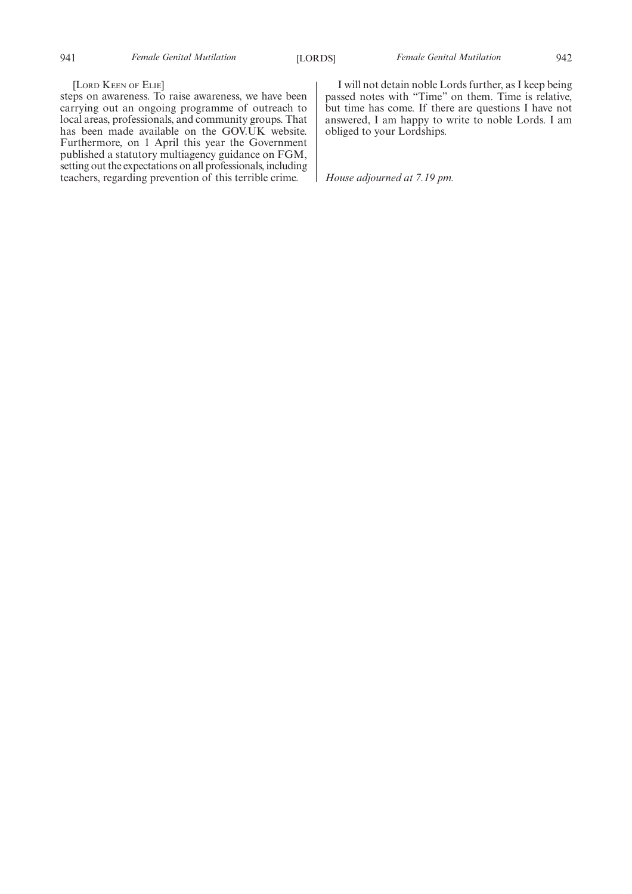# [LORD KEEN OF ELIE]

steps on awareness. To raise awareness, we have been carrying out an ongoing programme of outreach to local areas, professionals, and community groups. That has been made available on the GOV.UK website. Furthermore, on 1 April this year the Government published a statutory multiagency guidance on FGM, setting out the expectations on all professionals, including teachers, regarding prevention of this terrible crime.

I will not detain noble Lords further, as I keep being passed notes with "Time" on them. Time is relative, but time has come. If there are questions I have not answered, I am happy to write to noble Lords. I am obliged to your Lordships.

*House adjourned at 7.19 pm.*